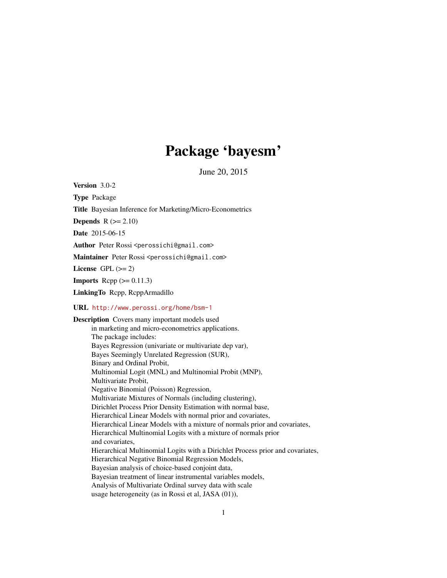# Package 'bayesm'

June 20, 2015

<span id="page-0-0"></span>Version 3.0-2

Type Package

Title Bayesian Inference for Marketing/Micro-Econometrics

**Depends**  $R$  ( $>= 2.10$ )

Date 2015-06-15

Author Peter Rossi <perossichi@gmail.com>

Maintainer Peter Rossi <perossichi@gmail.com>

License GPL  $(>= 2)$ 

**Imports** Rcpp  $(>= 0.11.3)$ 

LinkingTo Rcpp, RcppArmadillo

#### URL <http://www.perossi.org/home/bsm-1>

Description Covers many important models used in marketing and micro-econometrics applications. The package includes: Bayes Regression (univariate or multivariate dep var), Bayes Seemingly Unrelated Regression (SUR), Binary and Ordinal Probit, Multinomial Logit (MNL) and Multinomial Probit (MNP), Multivariate Probit, Negative Binomial (Poisson) Regression, Multivariate Mixtures of Normals (including clustering), Dirichlet Process Prior Density Estimation with normal base, Hierarchical Linear Models with normal prior and covariates, Hierarchical Linear Models with a mixture of normals prior and covariates, Hierarchical Multinomial Logits with a mixture of normals prior and covariates, Hierarchical Multinomial Logits with a Dirichlet Process prior and covariates, Hierarchical Negative Binomial Regression Models, Bayesian analysis of choice-based conjoint data, Bayesian treatment of linear instrumental variables models, Analysis of Multivariate Ordinal survey data with scale usage heterogeneity (as in Rossi et al, JASA (01)),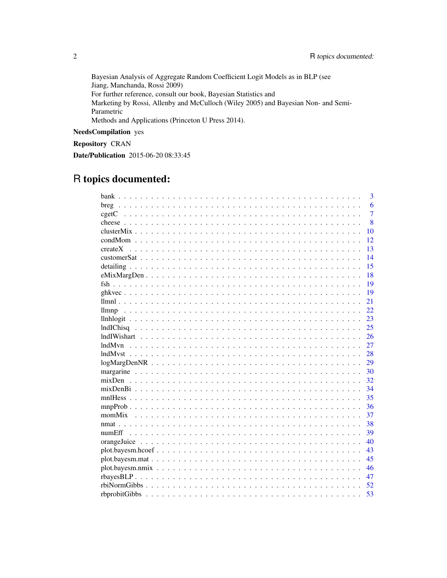Bayesian Analysis of Aggregate Random Coefficient Logit Models as in BLP (see Jiang, Manchanda, Rossi 2009) For further reference, consult our book, Bayesian Statistics and Marketing by Rossi, Allenby and McCulloch (Wiley 2005) and Bayesian Non- and Semi-Parametric Methods and Applications (Princeton U Press 2014).

## NeedsCompilation yes

Repository CRAN

Date/Publication 2015-06-20 08:33:45

# R topics documented:

| 6<br>$\overline{7}$<br>8<br>10<br>12<br>13<br>createX<br>14<br>15<br>$eMixMargDen$<br>18<br>19<br>19<br>21<br>22<br>llmnp<br>23<br>25<br>26<br>27<br>28<br>29<br>30<br>32<br>34<br>35<br>36<br>momMix<br>37<br>38<br>39<br>numEff<br>40<br>43<br>45<br>46<br>47<br>rbiNormGibbs |  |  |  |  |  |  |  |  |  |  |  |  |  |  |  |  | 3  |
|---------------------------------------------------------------------------------------------------------------------------------------------------------------------------------------------------------------------------------------------------------------------------------|--|--|--|--|--|--|--|--|--|--|--|--|--|--|--|--|----|
|                                                                                                                                                                                                                                                                                 |  |  |  |  |  |  |  |  |  |  |  |  |  |  |  |  |    |
|                                                                                                                                                                                                                                                                                 |  |  |  |  |  |  |  |  |  |  |  |  |  |  |  |  |    |
|                                                                                                                                                                                                                                                                                 |  |  |  |  |  |  |  |  |  |  |  |  |  |  |  |  |    |
|                                                                                                                                                                                                                                                                                 |  |  |  |  |  |  |  |  |  |  |  |  |  |  |  |  |    |
|                                                                                                                                                                                                                                                                                 |  |  |  |  |  |  |  |  |  |  |  |  |  |  |  |  |    |
|                                                                                                                                                                                                                                                                                 |  |  |  |  |  |  |  |  |  |  |  |  |  |  |  |  |    |
|                                                                                                                                                                                                                                                                                 |  |  |  |  |  |  |  |  |  |  |  |  |  |  |  |  |    |
|                                                                                                                                                                                                                                                                                 |  |  |  |  |  |  |  |  |  |  |  |  |  |  |  |  |    |
|                                                                                                                                                                                                                                                                                 |  |  |  |  |  |  |  |  |  |  |  |  |  |  |  |  |    |
|                                                                                                                                                                                                                                                                                 |  |  |  |  |  |  |  |  |  |  |  |  |  |  |  |  |    |
|                                                                                                                                                                                                                                                                                 |  |  |  |  |  |  |  |  |  |  |  |  |  |  |  |  |    |
|                                                                                                                                                                                                                                                                                 |  |  |  |  |  |  |  |  |  |  |  |  |  |  |  |  |    |
|                                                                                                                                                                                                                                                                                 |  |  |  |  |  |  |  |  |  |  |  |  |  |  |  |  |    |
|                                                                                                                                                                                                                                                                                 |  |  |  |  |  |  |  |  |  |  |  |  |  |  |  |  |    |
|                                                                                                                                                                                                                                                                                 |  |  |  |  |  |  |  |  |  |  |  |  |  |  |  |  |    |
|                                                                                                                                                                                                                                                                                 |  |  |  |  |  |  |  |  |  |  |  |  |  |  |  |  |    |
|                                                                                                                                                                                                                                                                                 |  |  |  |  |  |  |  |  |  |  |  |  |  |  |  |  |    |
|                                                                                                                                                                                                                                                                                 |  |  |  |  |  |  |  |  |  |  |  |  |  |  |  |  |    |
|                                                                                                                                                                                                                                                                                 |  |  |  |  |  |  |  |  |  |  |  |  |  |  |  |  |    |
|                                                                                                                                                                                                                                                                                 |  |  |  |  |  |  |  |  |  |  |  |  |  |  |  |  |    |
|                                                                                                                                                                                                                                                                                 |  |  |  |  |  |  |  |  |  |  |  |  |  |  |  |  |    |
|                                                                                                                                                                                                                                                                                 |  |  |  |  |  |  |  |  |  |  |  |  |  |  |  |  |    |
|                                                                                                                                                                                                                                                                                 |  |  |  |  |  |  |  |  |  |  |  |  |  |  |  |  |    |
|                                                                                                                                                                                                                                                                                 |  |  |  |  |  |  |  |  |  |  |  |  |  |  |  |  |    |
|                                                                                                                                                                                                                                                                                 |  |  |  |  |  |  |  |  |  |  |  |  |  |  |  |  |    |
|                                                                                                                                                                                                                                                                                 |  |  |  |  |  |  |  |  |  |  |  |  |  |  |  |  |    |
|                                                                                                                                                                                                                                                                                 |  |  |  |  |  |  |  |  |  |  |  |  |  |  |  |  |    |
|                                                                                                                                                                                                                                                                                 |  |  |  |  |  |  |  |  |  |  |  |  |  |  |  |  |    |
|                                                                                                                                                                                                                                                                                 |  |  |  |  |  |  |  |  |  |  |  |  |  |  |  |  |    |
|                                                                                                                                                                                                                                                                                 |  |  |  |  |  |  |  |  |  |  |  |  |  |  |  |  |    |
|                                                                                                                                                                                                                                                                                 |  |  |  |  |  |  |  |  |  |  |  |  |  |  |  |  |    |
|                                                                                                                                                                                                                                                                                 |  |  |  |  |  |  |  |  |  |  |  |  |  |  |  |  |    |
|                                                                                                                                                                                                                                                                                 |  |  |  |  |  |  |  |  |  |  |  |  |  |  |  |  |    |
|                                                                                                                                                                                                                                                                                 |  |  |  |  |  |  |  |  |  |  |  |  |  |  |  |  | 52 |
| 53                                                                                                                                                                                                                                                                              |  |  |  |  |  |  |  |  |  |  |  |  |  |  |  |  |    |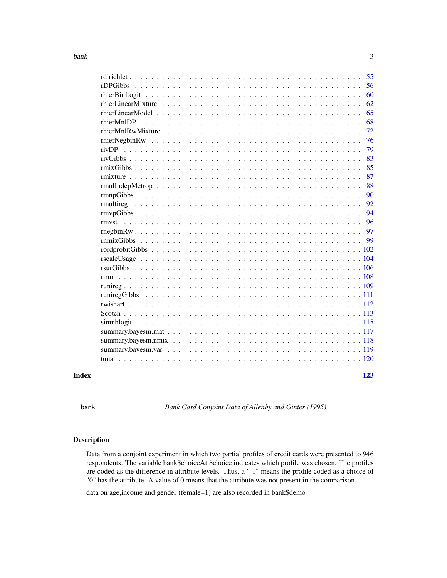<span id="page-2-0"></span>

|       | 55  |
|-------|-----|
|       | 56  |
|       | 60  |
|       | 62  |
|       | 65  |
|       | 68  |
|       | 72  |
|       | 76  |
|       | 79  |
|       | 83  |
|       | 85  |
|       | 87  |
|       | 88  |
|       | 90  |
|       | 92  |
|       | 94  |
|       | 96  |
|       | 97  |
|       | 99  |
|       |     |
|       |     |
|       |     |
|       |     |
|       |     |
|       |     |
|       |     |
|       |     |
|       |     |
|       |     |
|       |     |
|       |     |
|       |     |
| Index | 123 |

bank *Bank Card Conjoint Data of Allenby and Ginter (1995)*

### Description

Data from a conjoint experiment in which two partial profiles of credit cards were presented to 946 respondents. The variable bank\$choiceAtt\$choice indicates which profile was chosen. The profiles are coded as the difference in attribute levels. Thus, a "-1" means the profile coded as a choice of "0" has the attribute. A value of 0 means that the attribute was not present in the comparison.

data on age,income and gender (female=1) are also recorded in bank\$demo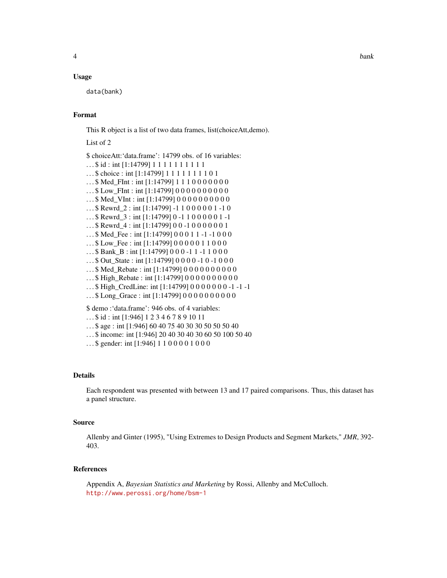#### Usage

data(bank)

#### Format

This R object is a list of two data frames, list(choiceAtt,demo).

List of 2

\$ choiceAtt:'data.frame': 14799 obs. of 16 variables: ... \$ id : int [1:14799] 1 1 1 1 1 1 1 1 1 1 ... \$ choice : int [1:14799] 1 1 1 1 1 1 1 1 0 1 ... \$ Med\_FInt : int [1:14799] 1 1 1 0 0 0 0 0 0 0 ... \$ Low\_FInt : int [1:14799] 0 0 0 0 0 0 0 0 0 0 0 ... \$ Med\_VInt : int [1:14799] 0 0 0 0 0 0 0 0 0 0 . . . \$ Rewrd\_2 : int [1:14799] -1 1 0 0 0 0 0 1 -1 0 . . . \$ Rewrd\_3 : int [1:14799] 0 -1 1 0 0 0 0 0 1 -1 . . . \$ Rewrd\_4 : int [1:14799] 0 0 -1 0 0 0 0 0 0 1 . . . \$ Med\_Fee : int [1:14799] 0 0 0 1 1 -1 -1 0 0 0 . . . \$ Low\_Fee : int [1:14799] 0 0 0 0 0 1 1 0 0 0 . . . \$ Bank\_B : int [1:14799] 0 0 0 -1 1 -1 1 0 0 0 . . . \$ Out\_State : int [1:14799] 0 0 0 0 -1 0 -1 0 0 0 ... \$ Med\_Rebate : int [1:14799] 0 0 0 0 0 0 0 0 0 0 0 ...\$ High\_Rebate : int [1:14799] 0 0 0 0 0 0 0 0 0 0 0  $...$  \$ High CredLine: int [1:14799] 0 0 0 0 0 0 0 -1 -1 -1 ...\$ Long\_Grace : int [1:14799] 0 0 0 0 0 0 0 0 0 0 0 \$ demo :'data.frame': 946 obs. of 4 variables: . . . \$ id : int [1:946] 1 2 3 4 6 7 8 9 10 11

. . . \$ age : int [1:946] 60 40 75 40 30 30 50 50 50 40

. . . \$ income: int [1:946] 20 40 30 40 30 60 50 100 50 40

```
...$ gender: int [1:946] 1 1 0 0 0 0 1 0 0 0
```
#### Details

Each respondent was presented with between 13 and 17 paired comparisons. Thus, this dataset has a panel structure.

### Source

Allenby and Ginter (1995), "Using Extremes to Design Products and Segment Markets," *JMR*, 392- 403.

#### References

Appendix A, *Bayesian Statistics and Marketing* by Rossi, Allenby and McCulloch. <http://www.perossi.org/home/bsm-1>

4 bank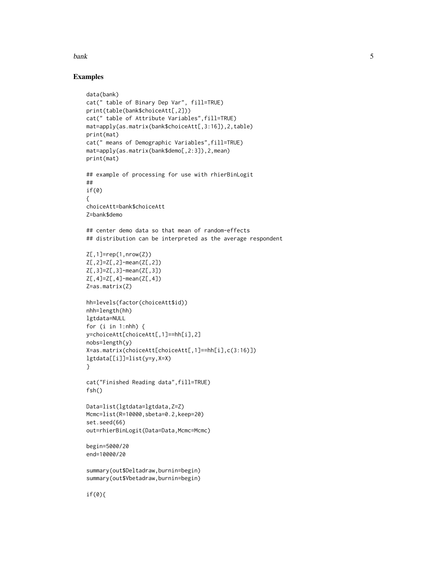#### bank 5 and 5 and 5 and 5 and 5 and 5 and 5 and 5 and 5 and 5 and 5 and 5 and 5 and 5 and 5 and 5 and 5 and 5 and 5 and 5 and 5 and 5 and 5 and 5 and 5 and 5 and 5 and 5 and 5 and 5 and 5 and 5 and 5 and 5 and 5 and 5 and 5

#### Examples

```
data(bank)
cat(" table of Binary Dep Var", fill=TRUE)
print(table(bank$choiceAtt[,2]))
cat(" table of Attribute Variables",fill=TRUE)
mat=apply(as.matrix(bank$choiceAtt[,3:16]),2,table)
print(mat)
cat(" means of Demographic Variables",fill=TRUE)
mat=apply(as.matrix(bank$demo[,2:3]),2,mean)
print(mat)
## example of processing for use with rhierBinLogit
##
if(0)
{
choiceAtt=bank$choiceAtt
Z=bank$demo
## center demo data so that mean of random-effects
## distribution can be interpreted as the average respondent
Z[,1]=rep(1,nrow(Z))
Z[,2]=Z[,2]-mean(Z[,2])
Z[,3]=Z[,3]-mean(Z[,3])
Z[,4]=Z[,4]-mean(Z[,4])
Z=as.matrix(Z)
hh=levels(factor(choiceAtt$id))
nhh=length(hh)
lgtdata=NULL
for (i in 1:nhh) {
y=choiceAtt[choiceAtt[,1]==hh[i],2]
nobs=length(y)
X=as.matrix(choiceAtt[choiceAtt[,1]==hh[i],c(3:16)])
lgtdata[[i]]=list(y=y,X=X)
}
cat("Finished Reading data",fill=TRUE)
fsh()
Data=list(lgtdata=lgtdata,Z=Z)
Mcmc=list(R=10000,sbeta=0.2,keep=20)
set.seed(66)
out=rhierBinLogit(Data=Data,Mcmc=Mcmc)
begin=5000/20
end=10000/20
summary(out$Deltadraw,burnin=begin)
summary(out$Vbetadraw,burnin=begin)
if(0){
```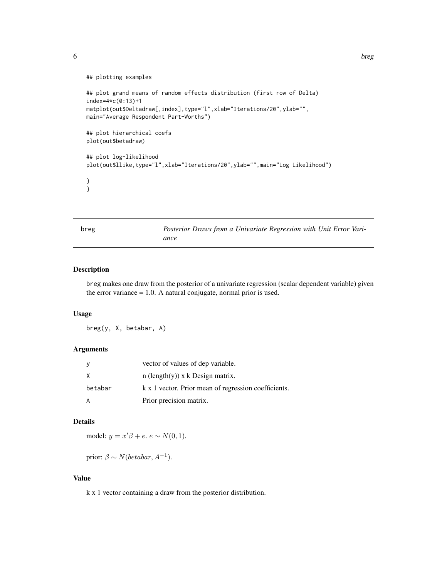<span id="page-5-0"></span>

```
## plotting examples
## plot grand means of random effects distribution (first row of Delta)
index=4*c(0:13)+1
matplot(out$Deltadraw[,index],type="l",xlab="Iterations/20",ylab="",
main="Average Respondent Part-Worths")
## plot hierarchical coefs
plot(out$betadraw)
## plot log-likelihood
plot(out$llike,type="l",xlab="Iterations/20",ylab="",main="Log Likelihood")
}
}
```
breg *Posterior Draws from a Univariate Regression with Unit Error Variance*

#### Description

breg makes one draw from the posterior of a univariate regression (scalar dependent variable) given the error variance = 1.0. A natural conjugate, normal prior is used.

#### Usage

breg(y, X, betabar, A)

### Arguments

| - y     | vector of values of dep variable.                    |
|---------|------------------------------------------------------|
| X       | n (length $(y)$ ) x k Design matrix.                 |
| betabar | k x 1 vector. Prior mean of regression coefficients. |
| A       | Prior precision matrix.                              |

### Details

model:  $y = x'\beta + e$ .  $e \sim N(0, 1)$ .

prior:  $\beta \sim N(betabar, A^{-1}).$ 

### Value

k x 1 vector containing a draw from the posterior distribution.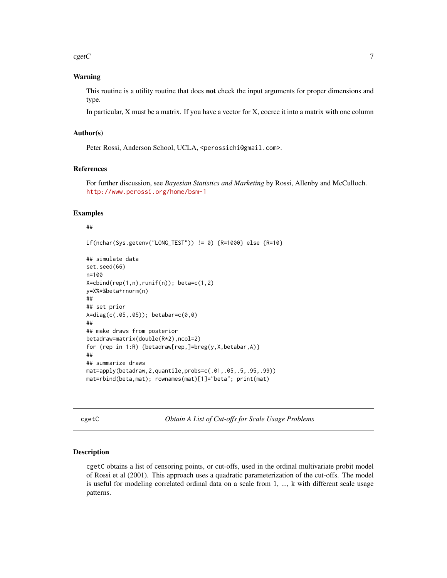<span id="page-6-0"></span> $cgetC$  7

#### Warning

This routine is a utility routine that does not check the input arguments for proper dimensions and type.

In particular, X must be a matrix. If you have a vector for X, coerce it into a matrix with one column

#### Author(s)

Peter Rossi, Anderson School, UCLA, <perossichi@gmail.com>.

#### References

For further discussion, see *Bayesian Statistics and Marketing* by Rossi, Allenby and McCulloch. <http://www.perossi.org/home/bsm-1>

### Examples

#### ##

if(nchar(Sys.getenv("LONG\_TEST")) != 0) {R=1000} else {R=10}

```
## simulate data
set.seed(66)
n=100
X = \text{cbind}(rep(1, n), runif(n)); beta = c(1, 2)y=X%*%beta+rnorm(n)
##
## set prior
A=diag(c(.05,.05)); betabar=c(0,0)
##
## make draws from posterior
betadraw=matrix(double(R*2),ncol=2)
for (rep in 1:R) {betadraw[rep,]=breg(y,X,betabar,A)}
##
## summarize draws
mat=apply(betadraw,2,quantile,probs=c(.01,.05,.5,.95,.99))
mat=rbind(beta,mat); rownames(mat)[1]="beta"; print(mat)
```
cgetC *Obtain A List of Cut-offs for Scale Usage Problems*

#### Description

cgetC obtains a list of censoring points, or cut-offs, used in the ordinal multivariate probit model of Rossi et al (2001). This approach uses a quadratic parameterization of the cut-offs. The model is useful for modeling correlated ordinal data on a scale from 1, ..., k with different scale usage patterns.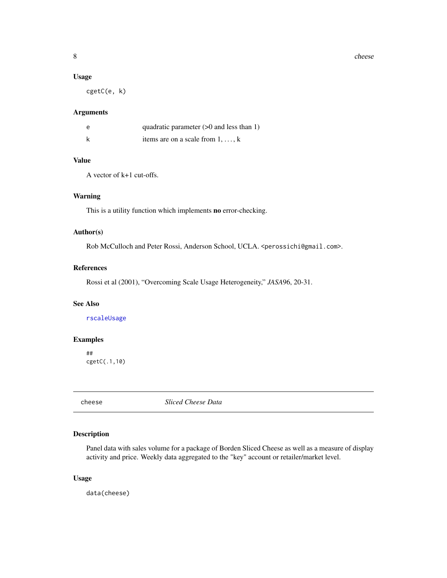### <span id="page-7-0"></span>Usage

cgetC(e, k)

### Arguments

| e | quadratic parameter $(>0$ and less than 1) |
|---|--------------------------------------------|
|   | items are on a scale from $1, \ldots, k$   |

### Value

A vector of k+1 cut-offs.

### Warning

This is a utility function which implements no error-checking.

#### Author(s)

Rob McCulloch and Peter Rossi, Anderson School, UCLA. <perossichi@gmail.com>.

### References

Rossi et al (2001), "Overcoming Scale Usage Heterogeneity," *JASA*96, 20-31.

### See Also

[rscaleUsage](#page-103-1)

### Examples

## cgetC(.1,10)

cheese *Sliced Cheese Data*

### Description

Panel data with sales volume for a package of Borden Sliced Cheese as well as a measure of display activity and price. Weekly data aggregated to the "key" account or retailer/market level.

#### Usage

data(cheese)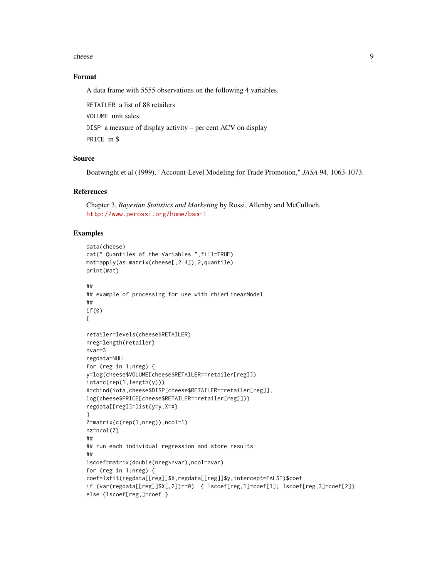#### cheese 9

#### Format

A data frame with 5555 observations on the following 4 variables.

RETAILER a list of 88 retailers

VOLUME unit sales

DISP a measure of display activity – per cent ACV on display

PRICE in \$

### Source

Boatwright et al (1999), "Account-Level Modeling for Trade Promotion," *JASA* 94, 1063-1073.

#### References

Chapter 3, *Bayesian Statistics and Marketing* by Rossi, Allenby and McCulloch. <http://www.perossi.org/home/bsm-1>

#### Examples

```
data(cheese)
cat(" Quantiles of the Variables ",fill=TRUE)
mat=apply(as.matrix(cheese[,2:4]),2,quantile)
print(mat)
##
## example of processing for use with rhierLinearModel
##
if(0)
{
retailer=levels(cheese$RETAILER)
nreg=length(retailer)
nvar=3
regdata=NULL
for (reg in 1:nreg) {
y=log(cheese$VOLUME[cheese$RETAILER==retailer[reg]])
iota=c(rep(1,length(y)))
X=cbind(iota,cheese$DISP[cheese$RETAILER==retailer[reg]],
log(cheese$PRICE[cheese$RETAILER==retailer[reg]]))
regdata[[reg]]=list(y=y,X=X)
}
Z=matrix(c(rep(1,nreg)),ncol=1)
nz=ncol(Z)
##
## run each individual regression and store results
##
lscoef=matrix(double(nreg*nvar),ncol=nvar)
for (reg in 1:nreg) {
coef=lsfit(regdata[[reg]]$X,regdata[[reg]]$y,intercept=FALSE)$coef
if (var(regdata[[reg]]$X[,2])==0) { lscoef[reg,1]=coef[1]; lscoef[reg,3]=coef[2]}
else {lscoef[reg,]=coef }
```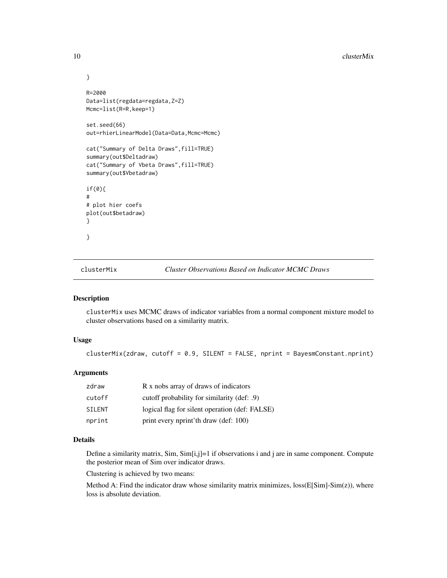```
}
R=2000
Data=list(regdata=regdata,Z=Z)
Mcmc=list(R=R,keep=1)
set.seed(66)
out=rhierLinearModel(Data=Data,Mcmc=Mcmc)
cat("Summary of Delta Draws",fill=TRUE)
summary(out$Deltadraw)
cat("Summary of Vbeta Draws",fill=TRUE)
summary(out$Vbetadraw)
if(0){
#
# plot hier coefs
plot(out$betadraw)
}
}
```
clusterMix *Cluster Observations Based on Indicator MCMC Draws*

### Description

clusterMix uses MCMC draws of indicator variables from a normal component mixture model to cluster observations based on a similarity matrix.

### Usage

clusterMix(zdraw, cutoff = 0.9, SILENT = FALSE, nprint = BayesmConstant.nprint)

### Arguments

| zdraw         | R x nobs array of draws of indicators          |
|---------------|------------------------------------------------|
| cutoff        | cutoff probability for similarity (def: .9)    |
| <b>SILENT</b> | logical flag for silent operation (def: FALSE) |
| nprint        | print every nprint'th draw (def: 100)          |

### Details

Define a similarity matrix, Sim, Sim[i,j]=1 if observations i and j are in same component. Compute the posterior mean of Sim over indicator draws.

Clustering is achieved by two means:

Method A: Find the indicator draw whose similarity matrix minimizes,  $loss(E[Sim]-Sim(z))$ , where loss is absolute deviation.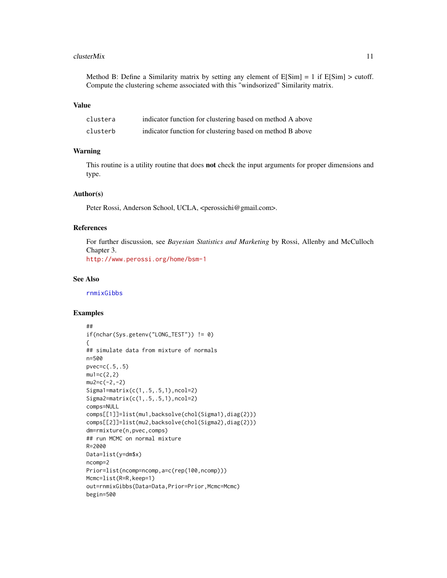#### clusterMix 11

Method B: Define a Similarity matrix by setting any element of  $E[\text{Sim}] = 1$  if  $E[\text{Sim}] > \text{cutoff}$ . Compute the clustering scheme associated with this "windsorized" Similarity matrix.

### Value

| clustera | indicator function for clustering based on method A above |
|----------|-----------------------------------------------------------|
| clusterb | indicator function for clustering based on method B above |

### Warning

This routine is a utility routine that does not check the input arguments for proper dimensions and type.

#### Author(s)

Peter Rossi, Anderson School, UCLA, <perossichi@gmail.com>.

### References

For further discussion, see *Bayesian Statistics and Marketing* by Rossi, Allenby and McCulloch Chapter 3.

<http://www.perossi.org/home/bsm-1>

#### See Also

[rnmixGibbs](#page-98-1)

#### Examples

```
##
if(nchar(Sys.getenv("LONG_TEST")) != 0)
{
## simulate data from mixture of normals
n=500
pvec=c(.5,.5)mu1=c(2,2)mu2=c(-2,-2)
Sigma1=matrix(c(1,.5,.5,1),ncol=2)
Sigma2=matrix(c(1,.5,.5,1),ncol=2)
comps=NULL
comps[[1]]=list(mu1,backsolve(chol(Sigma1),diag(2)))
comps[[2]]=list(mu2,backsolve(chol(Sigma2),diag(2)))
dm=rmixture(n,pvec,comps)
## run MCMC on normal mixture
R=2000
Data=list(y=dm$x)
ncomp=2
Prior=list(ncomp=ncomp,a=c(rep(100,ncomp)))
Mcmc=list(R=R,keep=1)
out=rnmixGibbs(Data=Data,Prior=Prior,Mcmc=Mcmc)
begin=500
```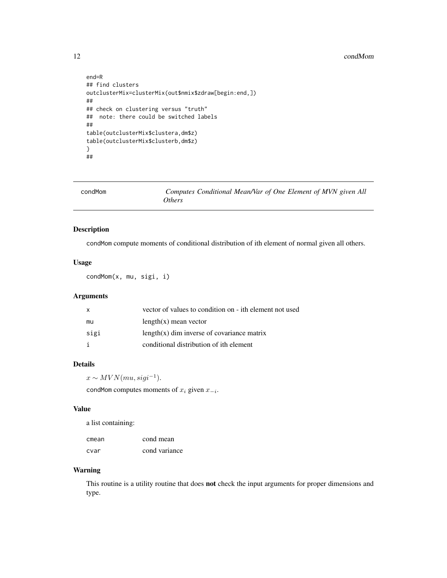#### <span id="page-11-0"></span>12 condMom

```
end=R
## find clusters
outclusterMix=clusterMix(out$nmix$zdraw[begin:end,])
##
## check on clustering versus "truth"
## note: there could be switched labels
##
table(outclusterMix$clustera,dm$z)
table(outclusterMix$clusterb,dm$z)
}
##
```

| condMom | Computes Conditional Mean/Var of One Element of MVN given All |
|---------|---------------------------------------------------------------|
|         | <i>Others</i>                                                 |

### Description

condMom compute moments of conditional distribution of ith element of normal given all others.

### Usage

condMom(x, mu, sigi, i)

### Arguments

| X    | vector of values to condition on - ith element not used |
|------|---------------------------------------------------------|
| mu   | $length(x)$ mean vector                                 |
| sigi | $length(x)$ dim inverse of covariance matrix            |
|      | conditional distribution of ith element                 |

### Details

 $x \sim MVN(mu, sigi^{-1}).$ 

condMom computes moments of  $x_i$  given  $x_{-i}$ .

### Value

a list containing:

| cmean | cond mean     |
|-------|---------------|
| cvar  | cond variance |

### Warning

This routine is a utility routine that does not check the input arguments for proper dimensions and type.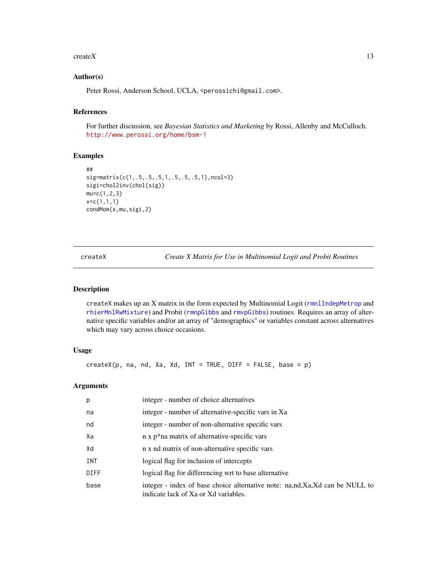#### <span id="page-12-0"></span> $\text{create}X$  13

#### Author(s)

Peter Rossi, Anderson School, UCLA, <perossichi@gmail.com>.

### References

For further discussion, see *Bayesian Statistics and Marketing* by Rossi, Allenby and McCulloch. <http://www.perossi.org/home/bsm-1>

### Examples

```
##
sig=matrix(c(1,.5,.5,.5,1,.5,.5,.5,1),ncol=3)
sigi=chol2inv(chol(sig))
mu=c(1,2,3)x=c(1,1,1)
condMom(x,mu,sigi,2)
```
<span id="page-12-1"></span>createX *Create X Matrix for Use in Multinomial Logit and Probit Routines*

#### Description

createX makes up an X matrix in the form expected by Multinomial Logit ([rmnlIndepMetrop](#page-87-1) and [rhierMnlRwMixture](#page-71-1)) and Probit ([rmnpGibbs](#page-89-1) and [rmvpGibbs](#page-93-1)) routines. Requires an array of alternative specific variables and/or an array of "demographics" or variables constant across alternatives which may vary across choice occasions.

#### Usage

 $createX(p, na, nd, Xa, Xd, INT = TRUE, DIFF = FALSE, base = p)$ 

### Arguments

| p           | integer - number of choice alternatives                                                                             |
|-------------|---------------------------------------------------------------------------------------------------------------------|
| na          | integer - number of alternative-specific vars in Xa                                                                 |
| nd          | integer - number of non-alternative specific vars                                                                   |
| Xa          | n x p*na matrix of alternative-specific vars                                                                        |
| Xd          | n x nd matrix of non-alternative specific vars                                                                      |
| <b>INT</b>  | logical flag for inclusion of intercepts                                                                            |
| <b>DIFF</b> | logical flag for differencing wrt to base alternative                                                               |
| base        | integer - index of base choice alternative note: na,nd,Xa,Xd can be NULL to<br>indicate lack of Xa or Xd variables. |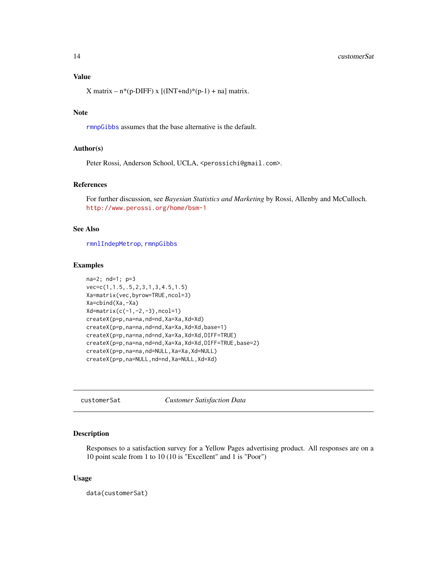### <span id="page-13-0"></span>Value

X matrix –  $n*(p-DIFF)$  x  $[(INT+nd)*(p-1) + na]$  matrix.

### Note

[rmnpGibbs](#page-89-1) assumes that the base alternative is the default.

### Author(s)

Peter Rossi, Anderson School, UCLA, <perossichi@gmail.com>.

### References

For further discussion, see *Bayesian Statistics and Marketing* by Rossi, Allenby and McCulloch. <http://www.perossi.org/home/bsm-1>

### See Also

[rmnlIndepMetrop](#page-87-1), [rmnpGibbs](#page-89-1)

#### Examples

```
na=2; nd=1; p=3
vec=c(1,1.5,.5,2,3,1,3,4.5,1.5)
Xa=matrix(vec,byrow=TRUE,ncol=3)
Xa=cbind(Xa,-Xa)
Xd=matrix(c(-1,-2,-3),ncol=1)
createX(p=p,na=na,nd=nd,Xa=Xa,Xd=Xd)
createX(p=p,na=na,nd=nd,Xa=Xa,Xd=Xd,base=1)
createX(p=p,na=na,nd=nd,Xa=Xa,Xd=Xd,DIFF=TRUE)
createX(p=p,na=na,nd=nd,Xa=Xa,Xd=Xd,DIFF=TRUE,base=2)
createX(p=p,na=na,nd=NULL,Xa=Xa,Xd=NULL)
createX(p=p,na=NULL,nd=nd,Xa=NULL,Xd=Xd)
```
customerSat *Customer Satisfaction Data*

### Description

Responses to a satisfaction survey for a Yellow Pages advertising product. All responses are on a 10 point scale from 1 to 10 (10 is "Excellent" and 1 is "Poor")

#### Usage

data(customerSat)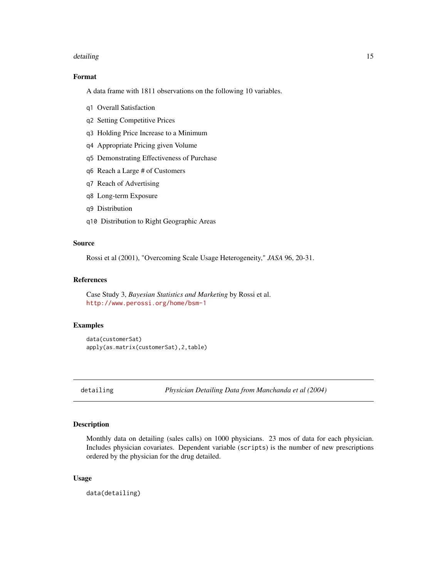#### <span id="page-14-0"></span>detailing the state of the state of the state of the state of the state of the state of the state of the state of the state of the state of the state of the state of the state of the state of the state of the state of the

### Format

A data frame with 1811 observations on the following 10 variables.

- q1 Overall Satisfaction
- q2 Setting Competitive Prices
- q3 Holding Price Increase to a Minimum
- q4 Appropriate Pricing given Volume
- q5 Demonstrating Effectiveness of Purchase
- q6 Reach a Large # of Customers
- q7 Reach of Advertising
- q8 Long-term Exposure
- q9 Distribution
- q10 Distribution to Right Geographic Areas

#### Source

Rossi et al (2001), "Overcoming Scale Usage Heterogeneity," *JASA* 96, 20-31.

### References

Case Study 3, *Bayesian Statistics and Marketing* by Rossi et al. <http://www.perossi.org/home/bsm-1>

#### Examples

```
data(customerSat)
apply(as.matrix(customerSat),2,table)
```
detailing *Physician Detailing Data from Manchanda et al (2004)*

#### Description

Monthly data on detailing (sales calls) on 1000 physicians. 23 mos of data for each physician. Includes physician covariates. Dependent variable (scripts) is the number of new prescriptions ordered by the physician for the drug detailed.

#### Usage

data(detailing)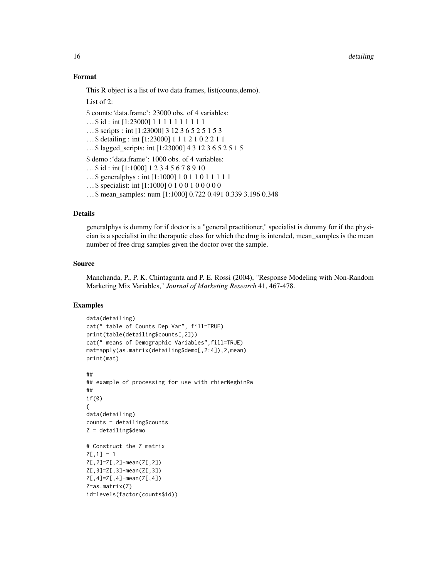#### 16 detailing the contract of the contract of the contract of the contract of the contract of the contract of the contract of the contract of the contract of the contract of the contract of the contract of the contract of t

#### Format

This R object is a list of two data frames, list(counts,demo).

List of 2:

\$ counts:'data.frame': 23000 obs. of 4 variables:

... \$ id : int [1:23000] 1 1 1 1 1 1 1 1 1 1

. . . \$ scripts : int [1:23000] 3 12 3 6 5 2 5 1 5 3

. . . \$ detailing : int [1:23000] 1 1 1 2 1 0 2 2 1 1

. . . \$ lagged\_scripts: int [1:23000] 4 3 12 3 6 5 2 5 1 5

\$ demo :'data.frame': 1000 obs. of 4 variables:

. . . \$ id : int [1:1000] 1 2 3 4 5 6 7 8 9 10

- . . . \$ generalphys : int [1:1000] 1 0 1 1 0 1 1 1 1 1
- ...\$ specialist: int [1:1000] 0 1 0 0 1 0 0 0 0 0 0

. . . \$ mean\_samples: num [1:1000] 0.722 0.491 0.339 3.196 0.348

#### Details

generalphys is dummy for if doctor is a "general practitioner," specialist is dummy for if the physician is a specialist in the theraputic class for which the drug is intended, mean\_samples is the mean number of free drug samples given the doctor over the sample.

#### Source

Manchanda, P., P. K. Chintagunta and P. E. Rossi (2004), "Response Modeling with Non-Random Marketing Mix Variables," *Journal of Marketing Research* 41, 467-478.

#### Examples

```
data(detailing)
cat(" table of Counts Dep Var", fill=TRUE)
print(table(detailing$counts[,2]))
cat(" means of Demographic Variables",fill=TRUE)
mat=apply(as.matrix(detailing$demo[,2:4]),2,mean)
print(mat)
##
## example of processing for use with rhierNegbinRw
##
if(0)
{
data(detailing)
counts = detailing$counts
Z = detailing$demo
# Construct the Z matrix
Z[, 1] = 1Z[,2]=Z[,2]-mean(Z[,2])
Z[,3]=Z[,3]-mean(Z[,3])
Z[,4]=Z[,4]-mean(Z[,4])
Z=as.matrix(Z)
id=levels(factor(counts$id))
```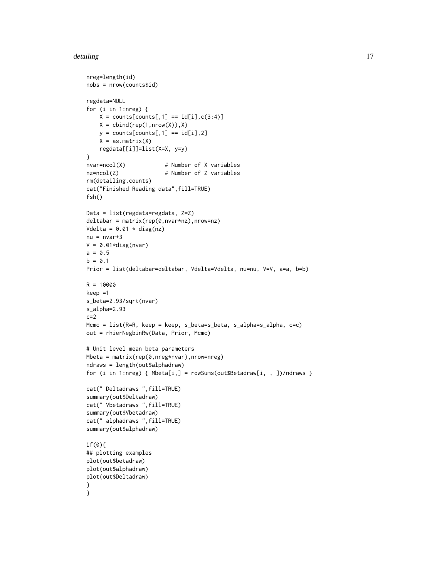#### detailing the state of the state of the state of the state of the state of the state of the state of the state of the state of the state of the state of the state of the state of the state of the state of the state of the

```
nreg=length(id)
nobs = nrow(counts$id)
regdata=NULL
for (i in 1:nreg) {
   X = \text{counts}[\text{counts}[, 1] == \text{id}[i], c(3:4)]X = \text{cbind}(\text{rep}(1, \text{nrow}(X)), X)y = \text{counts}[\text{counts}[, 1] == \text{id}[i], 2]X = as_matrix(X)regdata[[i]]=list(X=X, y=y)
}
nvar=ncol(X) # Number of X variables
nz=ncol(Z) # Number of Z variables
rm(detailing,counts)
cat("Finished Reading data",fill=TRUE)
fsh()
Data = list(regdata=regdata, Z=Z)
deltabar = matrix(rep(0,nvar*nz),nrow=nz)
Vdelta = 0.01 \times diag(nz)nu = nvar+3V = 0.01*diag(nvar)a = 0.5b = 0.1Prior = list(deltabar=deltabar, Vdelta=Vdelta, nu=nu, V=V, a=a, b=b)
R = 10000keep =1
s_beta=2.93/sqrt(nvar)
s_alpha=2.93
c=2Mcmc = list(R=R, keep = keep, s_beta=s_beta, s_alpha=s_alpha, c=c)
out = rhierNegbinRw(Data, Prior, Mcmc)
# Unit level mean beta parameters
Mbeta = matrix(rep(0,nreg*nvar),nrow=nreg)
ndraws = length(out$alphadraw)
for (i in 1:nreg) { Mbeta[i,] = rowSums(out$Betadraw[i, , ])/ndraws }
cat(" Deltadraws ",fill=TRUE)
summary(out$Deltadraw)
cat(" Vbetadraws ",fill=TRUE)
summary(out$Vbetadraw)
cat(" alphadraws ",fill=TRUE)
summary(out$alphadraw)
if(0){
## plotting examples
plot(out$betadraw)
plot(out$alphadraw)
plot(out$Deltadraw)
}
}
```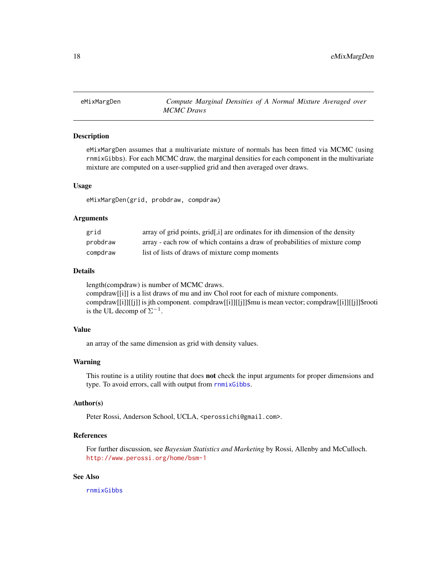<span id="page-17-0"></span>eMixMargDen *Compute Marginal Densities of A Normal Mixture Averaged over MCMC Draws*

### **Description**

eMixMargDen assumes that a multivariate mixture of normals has been fitted via MCMC (using rnmixGibbs). For each MCMC draw, the marginal densities for each component in the multivariate mixture are computed on a user-supplied grid and then averaged over draws.

#### Usage

eMixMargDen(grid, probdraw, compdraw)

#### Arguments

| grid     | array of grid points, grid[,i] are ordinates for ith dimension of the density |
|----------|-------------------------------------------------------------------------------|
| probdraw | array - each row of which contains a draw of probabilities of mixture comp    |
| compdraw | list of lists of draws of mixture comp moments                                |

#### Details

length(compdraw) is number of MCMC draws. compdraw[[i]] is a list draws of mu and inv Chol root for each of mixture components. compdraw[[i]][[j]] is jth component. compdraw[[i]][[j]]\$mu is mean vector; compdraw[[i]][[j]]\$rooti is the UL decomp of  $\Sigma^{-1}$ .

### Value

an array of the same dimension as grid with density values.

#### Warning

This routine is a utility routine that does not check the input arguments for proper dimensions and type. To avoid errors, call with output from [rnmixGibbs](#page-98-1).

### Author(s)

Peter Rossi, Anderson School, UCLA, <perossichi@gmail.com>.

#### References

For further discussion, see *Bayesian Statistics and Marketing* by Rossi, Allenby and McCulloch. <http://www.perossi.org/home/bsm-1>

#### See Also

[rnmixGibbs](#page-98-1)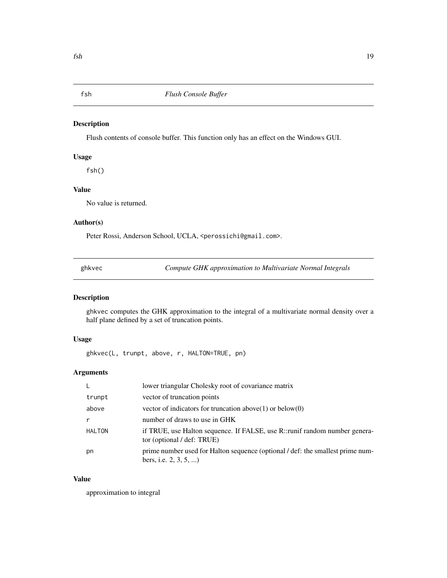### <span id="page-18-0"></span>Description

Flush contents of console buffer. This function only has an effect on the Windows GUI.

### Usage

fsh()

## Value

No value is returned.

### Author(s)

Peter Rossi, Anderson School, UCLA, <perossichi@gmail.com>.

ghkvec *Compute GHK approximation to Multivariate Normal Integrals*

### Description

ghkvec computes the GHK approximation to the integral of a multivariate normal density over a half plane defined by a set of truncation points.

### Usage

ghkvec(L, trunpt, above, r, HALTON=TRUE, pn)

### Arguments

| $\mathsf{L}$ | lower triangular Cholesky root of covariance matrix                                                        |
|--------------|------------------------------------------------------------------------------------------------------------|
| trunpt       | vector of truncation points                                                                                |
| above        | vector of indicators for truncation above $(1)$ or below $(0)$                                             |
| r            | number of draws to use in GHK                                                                              |
| HALTON       | if TRUE, use Halton sequence. If FALSE, use R::runif random number genera-<br>tor (optional / def: TRUE)   |
| pn           | prime number used for Halton sequence (optional / def: the smallest prime num-<br>bers, i.e. $2, 3, 5, $ ) |

### Value

approximation to integral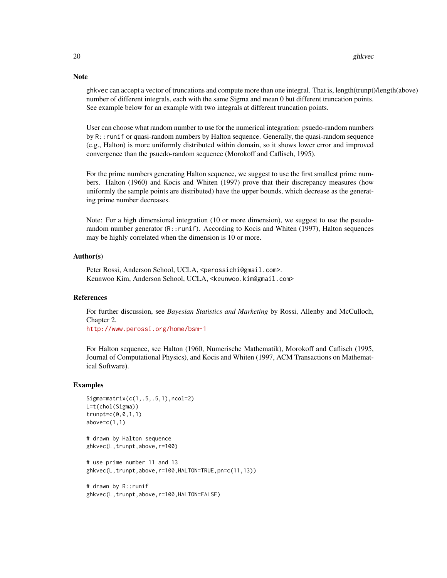ghkvec can accept a vector of truncations and compute more than one integral. That is, length(trunpt)/length(above) number of different integrals, each with the same Sigma and mean 0 but different truncation points. See example below for an example with two integrals at different truncation points.

User can choose what random number to use for the numerical integration: psuedo-random numbers by R::runif or quasi-random numbers by Halton sequence. Generally, the quasi-random sequence (e.g., Halton) is more uniformly distributed within domain, so it shows lower error and improved convergence than the psuedo-random sequence (Morokoff and Caflisch, 1995).

For the prime numbers generating Halton sequence, we suggest to use the first smallest prime numbers. Halton (1960) and Kocis and Whiten (1997) prove that their discrepancy measures (how uniformly the sample points are distributed) have the upper bounds, which decrease as the generating prime number decreases.

Note: For a high dimensional integration (10 or more dimension), we suggest to use the psuedorandom number generator (R::runif). According to Kocis and Whiten (1997), Halton sequences may be highly correlated when the dimension is 10 or more.

#### Author(s)

Peter Rossi, Anderson School, UCLA, <perossichi@gmail.com>. Keunwoo Kim, Anderson School, UCLA, <keunwoo.kim@gmail.com>

### References

For further discussion, see *Bayesian Statistics and Marketing* by Rossi, Allenby and McCulloch, Chapter 2.

<http://www.perossi.org/home/bsm-1>

For Halton sequence, see Halton (1960, Numerische Mathematik), Morokoff and Caflisch (1995, Journal of Computational Physics), and Kocis and Whiten (1997, ACM Transactions on Mathematical Software).

#### Examples

```
Sigma=matrix(c(1,.5,.5,1),ncol=2)
L=t(chol(Sigma))
trunpt=c(0,0,1,1)
above=c(1,1)
# drawn by Halton sequence
ghkvec(L,trunpt,above,r=100)
# use prime number 11 and 13
ghkvec(L,trunpt,above,r=100,HALTON=TRUE,pn=c(11,13))
# drawn by R::runif
```
ghkvec(L,trunpt,above,r=100,HALTON=FALSE)

### **Note**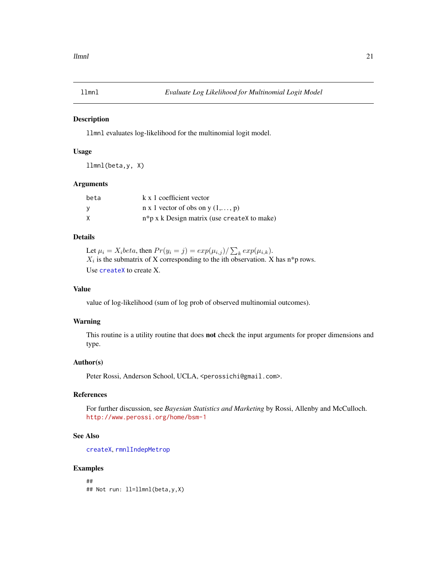<span id="page-20-1"></span><span id="page-20-0"></span>

#### Description

llmnl evaluates log-likelihood for the multinomial logit model.

#### Usage

llmnl(beta,y, X)

#### Arguments

| beta | k x 1 coefficient vector                         |
|------|--------------------------------------------------|
| - V  | $n \times 1$ vector of obs on y $(1, \ldots, p)$ |
| X    | $n * p x k$ Design matrix (use createx to make)  |

### Details

Let  $\mu_i = X_i$ beta, then  $Pr(y_i = j) = exp(\mu_{i,j}) / \sum_k exp(\mu_{i,k}).$  $X_i$  is the submatrix of X corresponding to the ith observation. X has n\*p rows. Use [createX](#page-12-1) to create X.

#### Value

value of log-likelihood (sum of log prob of observed multinomial outcomes).

### Warning

This routine is a utility routine that does **not** check the input arguments for proper dimensions and type.

### Author(s)

Peter Rossi, Anderson School, UCLA, <perossichi@gmail.com>.

#### References

For further discussion, see *Bayesian Statistics and Marketing* by Rossi, Allenby and McCulloch. <http://www.perossi.org/home/bsm-1>

### See Also

[createX](#page-12-1), [rmnlIndepMetrop](#page-87-1)

#### Examples

## ## Not run: ll=llmnl(beta,y,X)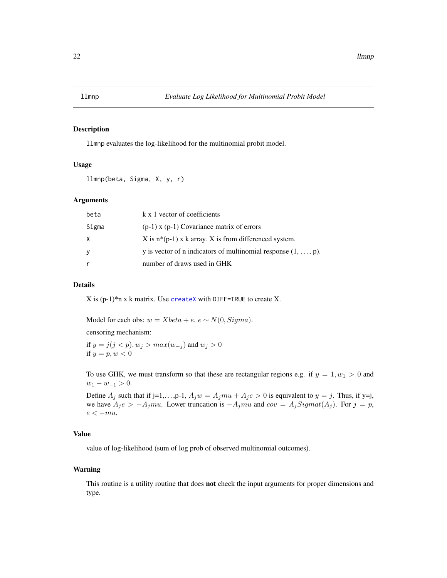<span id="page-21-0"></span>

### Description

llmnp evaluates the log-likelihood for the multinomial probit model.

### Usage

llmnp(beta, Sigma, X, y, r)

### Arguments

| beta  | k x 1 vector of coefficients                                           |
|-------|------------------------------------------------------------------------|
| Sigma | $(p-1)$ x $(p-1)$ Covariance matrix of errors                          |
| X     | X is $n*(p-1)$ x k array. X is from differenced system.                |
| y.    | y is vector of n indicators of multinomial response $(1, \ldots, p)$ . |
|       | number of draws used in GHK                                            |

#### Details

 $X$  is (p-1)\*n x k matrix. Use [createX](#page-12-1) with DIFF=TRUE to create X.

Model for each obs:  $w = Xbeta + e$ .  $e \sim N(0, Sigma)$ .

censoring mechanism:

if  $y = j(j < p), w_j > max(w_{-j})$  and  $w_j > 0$ if  $y = p, w < 0$ 

To use GHK, we must transform so that these are rectangular regions e.g. if  $y = 1, w_1 > 0$  and  $w_1 - w_{-1} > 0.$ 

Define  $A_j$  such that if j=1,...,p-1,  $A_j w = A_j m u + A_j e > 0$  is equivalent to  $y = j$ . Thus, if y=j, we have  $A_j e > -A_j mu$ . Lower truncation is  $-A_j mu$  and  $cov = A_j Sigmoid(A_j)$ . For  $j = p$ ,  $e < -mu$ .

### Value

value of log-likelihood (sum of log prob of observed multinomial outcomes).

#### Warning

This routine is a utility routine that does **not** check the input arguments for proper dimensions and type.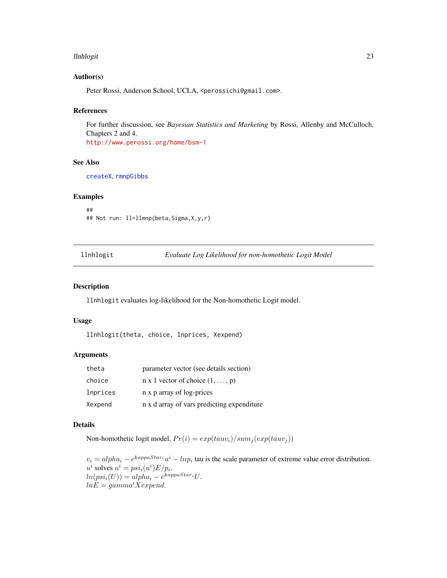#### <span id="page-22-0"></span>llnhlogit 23

#### Author(s)

Peter Rossi, Anderson School, UCLA, <perossichi@gmail.com>.

#### References

For further discussion, see *Bayesian Statistics and Marketing* by Rossi, Allenby and McCulloch, Chapters 2 and 4. <http://www.perossi.org/home/bsm-1>

#### See Also

[createX](#page-12-1), [rmnpGibbs](#page-89-1)

#### Examples

## ## Not run: ll=llmnp(beta,Sigma,X,y,r)

|  | llnhlogit |  |
|--|-----------|--|
|  |           |  |

git *Evaluate Log Likelihood for non-homothetic Logit Model* 

#### Description

llnhlogit evaluates log-likelihood for the Non-homothetic Logit model.

#### Usage

```
llnhlogit(theta, choice, lnprices, Xexpend)
```
#### Arguments

| theta    | parameter vector (see details section)         |
|----------|------------------------------------------------|
| choice   | $n \times 1$ vector of choice $(1, \ldots, p)$ |
| lnprices | n x p array of log-prices                      |
| Xexpend  | n x d array of vars predicting expenditure     |

### Details

Non-homothetic logit model,  $Pr(i) = exp(tauv_i)/sum_j(exp(tauv_j))$ 

 $v_i = alpha_i - e^{kappa_i}u^i - lnp_i$  tau is the scale parameter of extreme value error distribution.  $u^i$  solves  $u^i = psi_i(u^i)E/p_i$ .  $ln(psi_i(U)) = alpha_i - e^{kappaStar_i}U.$  $lnE = gamma'Xexpend.$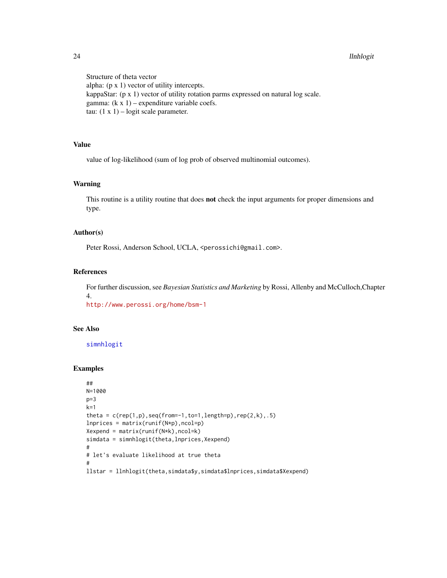#### 24 llnhlogit

Structure of theta vector alpha: (p x 1) vector of utility intercepts. kappaStar: (p x 1) vector of utility rotation parms expressed on natural log scale. gamma:  $(k \times 1)$  – expenditure variable coefs. tau:  $(1 \times 1)$  – logit scale parameter.

### Value

value of log-likelihood (sum of log prob of observed multinomial outcomes).

### Warning

This routine is a utility routine that does not check the input arguments for proper dimensions and type.

### Author(s)

Peter Rossi, Anderson School, UCLA, <perossichi@gmail.com>.

#### References

For further discussion, see *Bayesian Statistics and Marketing* by Rossi, Allenby and McCulloch,Chapter 4.

<http://www.perossi.org/home/bsm-1>

### See Also

[simnhlogit](#page-114-1)

#### Examples

```
##
N=1000
p=3k=1theta = c(rep(1,p),seq(from=-1,to=1,length=p),rep(2,k),.5)Inprices = matrix(runif(N*p),ncol=p)Xexpend = matrix(runif(N*k),ncol=k)
simdata = simnhlogit(theta,lnprices,Xexpend)
#
# let's evaluate likelihood at true theta
#
llstar = llnhlogit(theta,simdata$y,simdata$lnprices,simdata$Xexpend)
```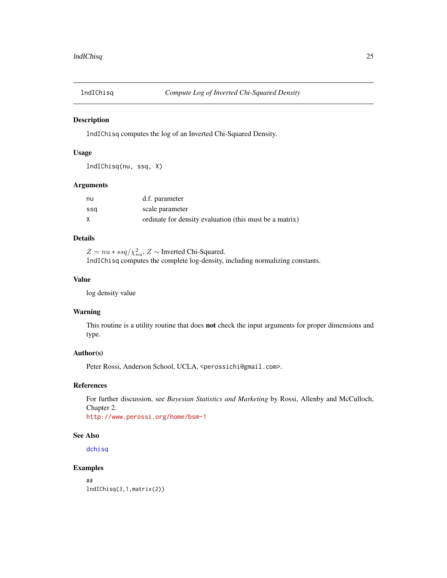<span id="page-24-0"></span>

### Description

lndIChisq computes the log of an Inverted Chi-Squared Density.

### Usage

lndIChisq(nu, ssq, X)

### Arguments

| nu  | d.f. parameter                                          |
|-----|---------------------------------------------------------|
| ssa | scale parameter                                         |
|     | ordinate for density evaluation (this must be a matrix) |

### Details

 $Z = nu * ssq / \chi^2_{nu}$ ,  $Z \sim$  Inverted Chi-Squared. lndIChisq computes the complete log-density, including normalizing constants.

#### Value

log density value

#### Warning

This routine is a utility routine that does not check the input arguments for proper dimensions and type.

### Author(s)

Peter Rossi, Anderson School, UCLA, <perossichi@gmail.com>.

### References

For further discussion, see *Bayesian Statistics and Marketing* by Rossi, Allenby and McCulloch, Chapter 2. <http://www.perossi.org/home/bsm-1>

#### See Also

[dchisq](#page-0-0)

### Examples

## lndIChisq(3,1,matrix(2))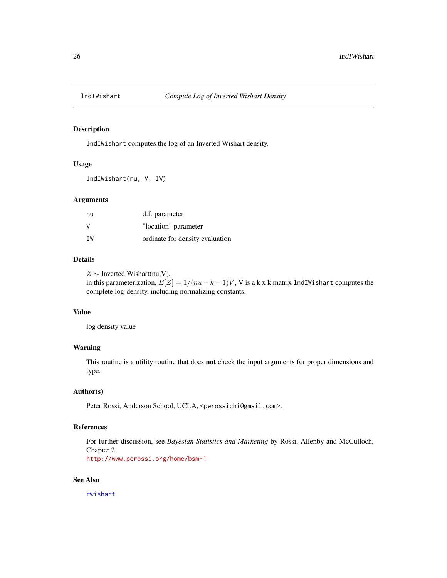<span id="page-25-0"></span>

### Description

lndIWishart computes the log of an Inverted Wishart density.

### Usage

lndIWishart(nu, V, IW)

#### Arguments

| nu | d.f. parameter                  |
|----|---------------------------------|
| V  | "location" parameter            |
| TW | ordinate for density evaluation |

### Details

 $Z \sim$  Inverted Wishart(nu,V).

in this parameterization,  $E[Z] = 1/(nu - k - 1)V$ , V is a k x k matrix lndIWishart computes the complete log-density, including normalizing constants.

#### Value

log density value

### Warning

This routine is a utility routine that does not check the input arguments for proper dimensions and type.

### Author(s)

Peter Rossi, Anderson School, UCLA, <perossichi@gmail.com>.

#### References

For further discussion, see *Bayesian Statistics and Marketing* by Rossi, Allenby and McCulloch, Chapter 2.

<http://www.perossi.org/home/bsm-1>

### See Also

[rwishart](#page-111-1)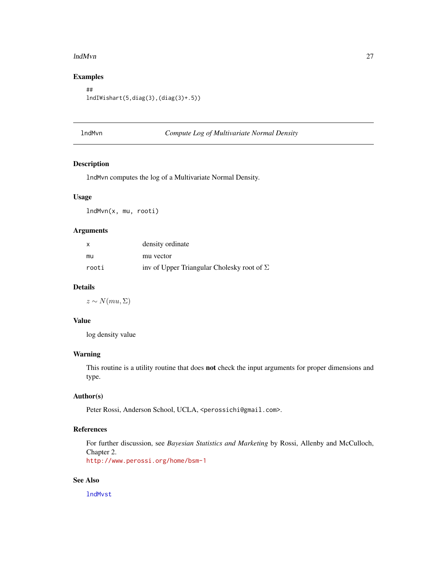#### <span id="page-26-0"></span>lndMvn 27

### Examples

## lndIWishart(5,diag(3),(diag(3)+.5))

<span id="page-26-1"></span>

### lndMvn *Compute Log of Multivariate Normal Density*

### Description

lndMvn computes the log of a Multivariate Normal Density.

### Usage

lndMvn(x, mu, rooti)

### Arguments

| x     | density ordinate                                  |
|-------|---------------------------------------------------|
| mu    | mu vector                                         |
| rooti | inv of Upper Triangular Cholesky root of $\Sigma$ |

### Details

 $z \sim N(mu, \Sigma)$ 

### Value

log density value

### Warning

This routine is a utility routine that does not check the input arguments for proper dimensions and type.

### Author(s)

Peter Rossi, Anderson School, UCLA, <perossichi@gmail.com>.

### References

For further discussion, see *Bayesian Statistics and Marketing* by Rossi, Allenby and McCulloch, Chapter 2.

<http://www.perossi.org/home/bsm-1>

### See Also

[lndMvst](#page-27-1)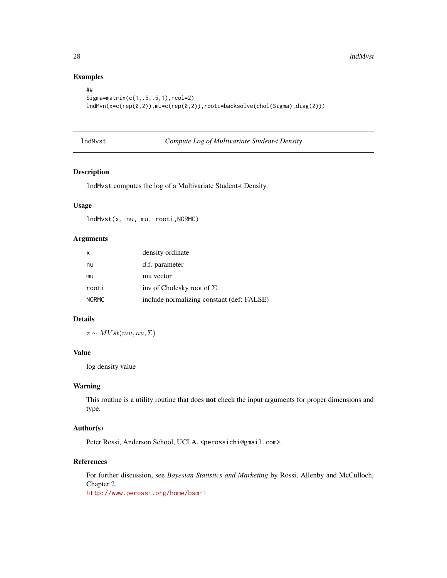### Examples

```
##
Sigma=matrix(c(1,.5,.5,1),ncol=2)
lndMvn(x=c(rep(0,2)),mu=c(rep(0,2)),rooti=backsolve(chol(Sigma),diag(2)))
```
<span id="page-27-1"></span>

| lndMvst | Compute Log of Multivariate Student-t Density |  |
|---------|-----------------------------------------------|--|
|---------|-----------------------------------------------|--|

### Description

lndMvst computes the log of a Multivariate Student-t Density.

### Usage

lndMvst(x, nu, mu, rooti,NORMC)

### Arguments

| $\mathsf{X}$ | density ordinate                          |
|--------------|-------------------------------------------|
| nu           | d.f. parameter                            |
| mu           | mu vector                                 |
| rooti        | inv of Cholesky root of $\Sigma$          |
| <b>NORMC</b> | include normalizing constant (def: FALSE) |

#### Details

 $z \sim MVst(mu, nu, \Sigma)$ 

### Value

log density value

#### Warning

This routine is a utility routine that does not check the input arguments for proper dimensions and type.

### Author(s)

Peter Rossi, Anderson School, UCLA, <perossichi@gmail.com>.

### References

For further discussion, see *Bayesian Statistics and Marketing* by Rossi, Allenby and McCulloch, Chapter 2. <http://www.perossi.org/home/bsm-1>

<span id="page-27-0"></span>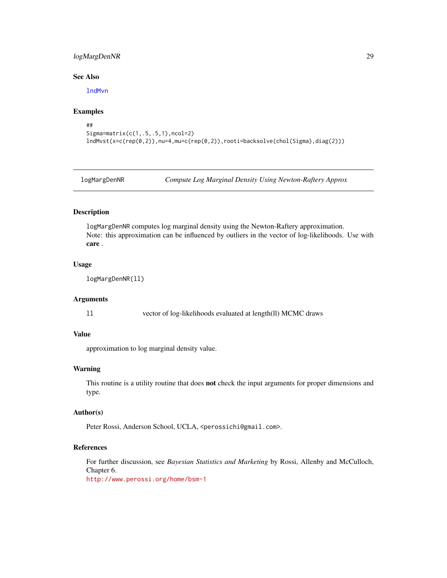### <span id="page-28-0"></span>logMargDenNR 29

### See Also

[lndMvn](#page-26-1)

#### Examples

```
##
Sigma=matrix(c(1,.5,.5,1),ncol=2)
lndMvst(x=c(rep(0,2)),nu=4,mu=c(rep(0,2)),rooti=backsolve(chol(Sigma),diag(2)))
```
logMargDenNR *Compute Log Marginal Density Using Newton-Raftery Approx*

### Description

logMargDenNR computes log marginal density using the Newton-Raftery approximation. Note: this approximation can be influenced by outliers in the vector of log-likelihoods. Use with care .

### Usage

logMargDenNR(ll)

#### Arguments

ll vector of log-likelihoods evaluated at length(ll) MCMC draws

### Value

approximation to log marginal density value.

#### Warning

This routine is a utility routine that does **not** check the input arguments for proper dimensions and type.

#### Author(s)

Peter Rossi, Anderson School, UCLA, <perossichi@gmail.com>.

### References

For further discussion, see *Bayesian Statistics and Marketing* by Rossi, Allenby and McCulloch, Chapter 6.

<http://www.perossi.org/home/bsm-1>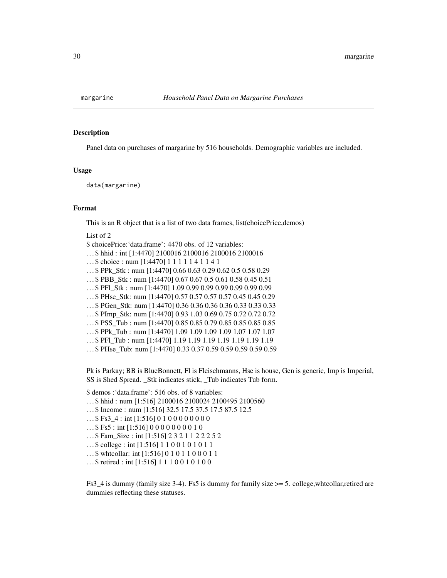<span id="page-29-0"></span>

#### Description

Panel data on purchases of margarine by 516 households. Demographic variables are included.

#### Usage

data(margarine)

#### Format

This is an R object that is a list of two data frames, list(choicePrice,demos)

List of 2

\$ choicePrice:'data.frame': 4470 obs. of 12 variables:

- . . . \$ hhid : int [1:4470] 2100016 2100016 2100016 2100016
- ... \$ choice : num [1:4470] 1 1 1 1 1 4 1 1 4 1
- . . . \$ PPk\_Stk : num [1:4470] 0.66 0.63 0.29 0.62 0.5 0.58 0.29
- . . . \$ PBB\_Stk : num [1:4470] 0.67 0.67 0.5 0.61 0.58 0.45 0.51

. . . \$ PFl\_Stk : num [1:4470] 1.09 0.99 0.99 0.99 0.99 0.99 0.99

- . . . \$ PHse\_Stk: num [1:4470] 0.57 0.57 0.57 0.57 0.45 0.45 0.29
- . . . \$ PGen\_Stk: num [1:4470] 0.36 0.36 0.36 0.36 0.33 0.33 0.33
- . . . \$ PImp\_Stk: num [1:4470] 0.93 1.03 0.69 0.75 0.72 0.72 0.72
- . . . \$ PSS\_Tub : num [1:4470] 0.85 0.85 0.79 0.85 0.85 0.85 0.85
- . . . \$ PPk\_Tub : num [1:4470] 1.09 1.09 1.09 1.09 1.07 1.07 1.07
- . . . \$ PFl\_Tub : num [1:4470] 1.19 1.19 1.19 1.19 1.19 1.19 1.19
- . . . \$ PHse\_Tub: num [1:4470] 0.33 0.37 0.59 0.59 0.59 0.59 0.59

Pk is Parkay; BB is BlueBonnett, Fl is Fleischmanns, Hse is house, Gen is generic, Imp is Imperial, SS is Shed Spread. \_Stk indicates stick, \_Tub indicates Tub form.

\$ demos :'data.frame': 516 obs. of 8 variables:

- . . . \$ hhid : num [1:516] 2100016 2100024 2100495 2100560
- . . . \$ Income : num [1:516] 32.5 17.5 37.5 17.5 87.5 12.5
- $...$ \$ Fs3\_4 : int [1:516] 0 1 0 0 0 0 0 0 0 0 0
- $...$ \$ Fs5 : int [1:516] 0 0 0 0 0 0 0 0 1 0
- . . . \$ Fam\_Size : int [1:516] 2 3 2 1 1 2 2 2 5 2
- . . . \$ college : int [1:516] 1 1 0 0 1 0 1 0 1 1
- . . . \$ whtcollar: int [1:516] 0 1 0 1 1 0 0 0 1 1
- . . . \$ retired : int [1:516] 1 1 1 0 0 1 0 1 0 0

Fs3\_4 is dummy (family size 3-4). Fs5 is dummy for family size >= 5. college,whtcollar,retired are dummies reflecting these statuses.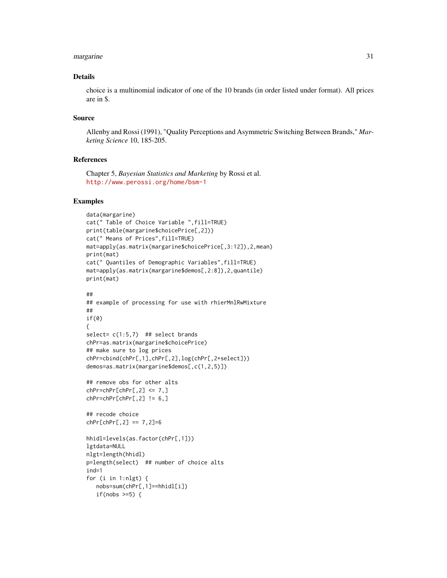#### margarine 31

### Details

choice is a multinomial indicator of one of the 10 brands (in order listed under format). All prices are in \$.

#### Source

Allenby and Rossi (1991), "Quality Perceptions and Asymmetric Switching Between Brands," *Marketing Science* 10, 185-205.

#### References

Chapter 5, *Bayesian Statistics and Marketing* by Rossi et al. <http://www.perossi.org/home/bsm-1>

#### Examples

```
data(margarine)
cat(" Table of Choice Variable ",fill=TRUE)
print(table(margarine$choicePrice[,2]))
cat(" Means of Prices",fill=TRUE)
mat=apply(as.matrix(margarine$choicePrice[,3:12]),2,mean)
print(mat)
cat(" Quantiles of Demographic Variables",fill=TRUE)
mat=apply(as.matrix(margarine$demos[,2:8]),2,quantile)
print(mat)
##
## example of processing for use with rhierMnlRwMixture
##
if(0)
{
select= c(1:5,7) ## select brands
chPr=as.matrix(margarine$choicePrice)
## make sure to log prices
chPr=cbind(chPr[,1],chPr[,2],log(chPr[,2+select]))
demos=as.matrix(margarine$demos[,c(1,2,5)])
## remove obs for other alts
chPr=chPr[chPr[, 2] \le 7,chPr=chPr[chPr[, 2] != 6,]
## recode choice
chPr[chPr[, 2] == 7, 2]=6hhidl=levels(as.factor(chPr[,1]))
lgtdata=NULL
nlgt=length(hhidl)
p=length(select) ## number of choice alts
ind=1
for (i in 1:nlgt) {
  nobs=sum(chPr[,1]==hhidl[i])
   if(nobs >=5) {
```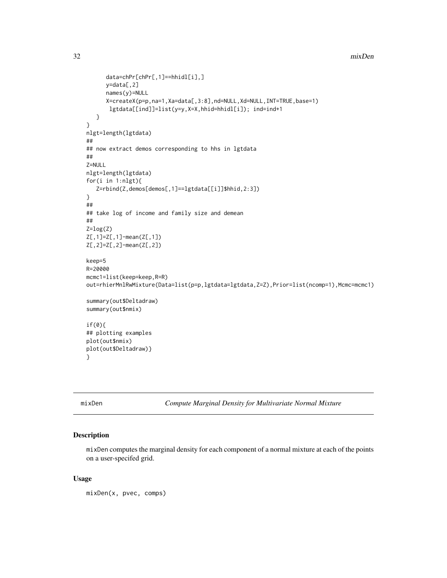```
32 mixDen
```

```
data=chPr[chPr[,1]==hhidl[i],]
      y=data[,2]
      names(y)=NULL
      X=createX(p=p,na=1,Xa=data[,3:8],nd=NULL,Xd=NULL,INT=TRUE,base=1)
       lgtdata[[ind]]=list(y=y,X=X,hhid=hhidl[i]); ind=ind+1
   }
}
nlgt=length(lgtdata)
##
## now extract demos corresponding to hhs in lgtdata
##
Z=NULL
nlgt=length(lgtdata)
for(i in 1:nlgt){
   Z=rbind(Z,demos[demos[,1]==lgtdata[[i]]$hhid,2:3])
}
##
## take log of income and family size and demean
##
Z = log(Z)Z[,1]=Z[,1]-mean(Z[,1])
Z[,2]=Z[,2]-mean(Z[,2])
keep=5
R=20000
mcmc1=list(keep=keep,R=R)
out=rhierMnlRwMixture(Data=list(p=p,lgtdata=lgtdata,Z=Z),Prior=list(ncomp=1),Mcmc=mcmc1)
summary(out$Deltadraw)
summary(out$nmix)
if(0){
## plotting examples
plot(out$nmix)
plot(out$Deltadraw)}
}
```
<span id="page-31-1"></span>mixDen *Compute Marginal Density for Multivariate Normal Mixture*

#### Description

mixDen computes the marginal density for each component of a normal mixture at each of the points on a user-specifed grid.

#### Usage

mixDen(x, pvec, comps)

<span id="page-31-0"></span>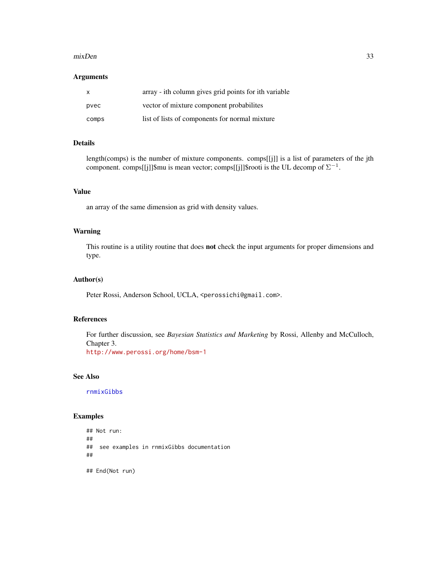#### $mixDen$  33

### Arguments

| $\mathsf{x}$ | array - ith column gives grid points for ith variable |
|--------------|-------------------------------------------------------|
| pvec         | vector of mixture component probabilities             |
| comps        | list of lists of components for normal mixture        |

### Details

length(comps) is the number of mixture components. comps[[j]] is a list of parameters of the jth component. comps[[j]]\$mu is mean vector; comps[[j]]\$rooti is the UL decomp of  $\Sigma^{-1}$ .

### Value

an array of the same dimension as grid with density values.

#### Warning

This routine is a utility routine that does not check the input arguments for proper dimensions and type.

#### Author(s)

Peter Rossi, Anderson School, UCLA, <perossichi@gmail.com>.

#### References

For further discussion, see *Bayesian Statistics and Marketing* by Rossi, Allenby and McCulloch, Chapter 3.

<http://www.perossi.org/home/bsm-1>

### See Also

[rnmixGibbs](#page-98-1)

#### Examples

```
## Not run:
##
## see examples in rnmixGibbs documentation
##
## End(Not run)
```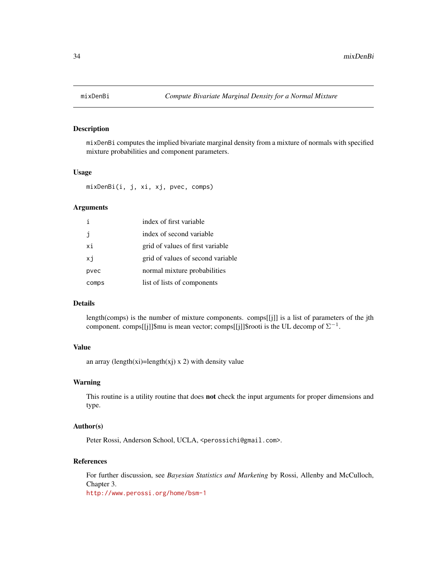<span id="page-33-0"></span>

### Description

mixDenBi computes the implied bivariate marginal density from a mixture of normals with specified mixture probabilities and component parameters.

### Usage

mixDenBi(i, j, xi, xj, pvec, comps)

#### Arguments

|       | index of first variable           |
|-------|-----------------------------------|
| i     | index of second variable          |
| хi    | grid of values of first variable  |
| xj    | grid of values of second variable |
| pvec  | normal mixture probabilities      |
| comps | list of lists of components       |

#### Details

length(comps) is the number of mixture components. comps[[j]] is a list of parameters of the jth component. comps[[j]]\$mu is mean vector; comps[[j]]\$rooti is the UL decomp of  $\Sigma^{-1}$ .

### Value

an array (length(xi)=length(xj) x 2) with density value

### Warning

This routine is a utility routine that does not check the input arguments for proper dimensions and type.

### Author(s)

Peter Rossi, Anderson School, UCLA, <perossichi@gmail.com>.

### References

For further discussion, see *Bayesian Statistics and Marketing* by Rossi, Allenby and McCulloch, Chapter 3. <http://www.perossi.org/home/bsm-1>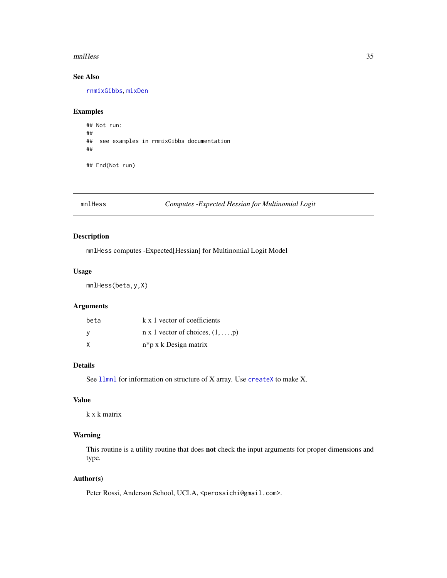#### <span id="page-34-0"></span>mnlHess 35

### See Also

[rnmixGibbs](#page-98-1), [mixDen](#page-31-1)

#### Examples

```
## Not run:
##
## see examples in rnmixGibbs documentation
##
## End(Not run)
```
mnlHess *Computes -Expected Hessian for Multinomial Logit*

### Description

mnlHess computes -Expected[Hessian] for Multinomial Logit Model

#### Usage

mnlHess(beta,y,X)

### Arguments

| beta | k x 1 vector of coefficients                     |
|------|--------------------------------------------------|
|      | $n \times 1$ vector of choices, $(1, \ldots, p)$ |
| X    | $n * p x k$ Design matrix                        |

### Details

See [llmnl](#page-20-1) for information on structure of X array. Use [createX](#page-12-1) to make X.

#### Value

k x k matrix

### Warning

This routine is a utility routine that does not check the input arguments for proper dimensions and type.

### Author(s)

Peter Rossi, Anderson School, UCLA, <perossichi@gmail.com>.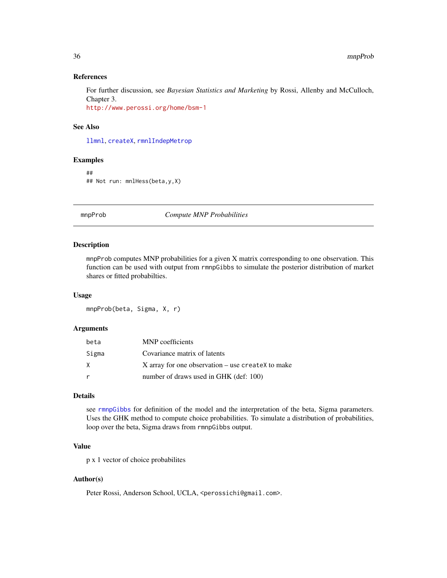#### References

For further discussion, see *Bayesian Statistics and Marketing* by Rossi, Allenby and McCulloch, Chapter 3.

<http://www.perossi.org/home/bsm-1>

#### See Also

[llmnl](#page-20-1), [createX](#page-12-1), [rmnlIndepMetrop](#page-87-1)

### Examples

## ## Not run: mnlHess(beta,y,X)

mnpProb *Compute MNP Probabilities*

### Description

mnpProb computes MNP probabilities for a given X matrix corresponding to one observation. This function can be used with output from rmnpGibbs to simulate the posterior distribution of market shares or fitted probabilties.

#### Usage

mnpProb(beta, Sigma, X, r)

### Arguments

| beta  | MNP coefficients                                    |
|-------|-----------------------------------------------------|
| Sigma | Covariance matrix of latents                        |
| X     | $X$ array for one observation – use createX to make |
| r     | number of draws used in GHK (def: 100)              |

#### Details

see [rmnpGibbs](#page-89-1) for definition of the model and the interpretation of the beta, Sigma parameters. Uses the GHK method to compute choice probabilities. To simulate a distribution of probabilities, loop over the beta, Sigma draws from rmnpGibbs output.

### Value

p x 1 vector of choice probabilites

#### Author(s)

Peter Rossi, Anderson School, UCLA, <perossichi@gmail.com>.

<span id="page-35-0"></span>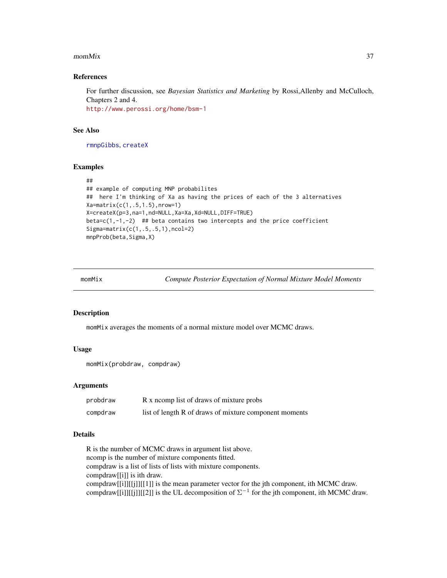#### $m$ momMix  $37$

## References

For further discussion, see *Bayesian Statistics and Marketing* by Rossi,Allenby and McCulloch, Chapters 2 and 4. <http://www.perossi.org/home/bsm-1>

#### See Also

[rmnpGibbs](#page-89-0), [createX](#page-12-0)

#### Examples

```
##
## example of computing MNP probabilites
## here I'm thinking of Xa as having the prices of each of the 3 alternatives
Xa=matrix(c(1,.5,1.5),nrow=1)
X=createX(p=3,na=1,nd=NULL,Xa=Xa,Xd=NULL,DIFF=TRUE)
beta=c(1,-1,-2) ## beta contains two intercepts and the price coefficient
Sigma=matrix(c(1,.5,.5,1),ncol=2)
mnpProb(beta, Sigma, X)
```
<span id="page-36-0"></span>

momMix *Compute Posterior Expectation of Normal Mixture Model Moments*

# Description

momMix averages the moments of a normal mixture model over MCMC draws.

## Usage

```
momMix(probdraw, compdraw)
```
# Arguments

| probdraw | R x norm list of draws of mixture probs                |
|----------|--------------------------------------------------------|
| compdraw | list of length R of draws of mixture component moments |

## Details

R is the number of MCMC draws in argument list above. ncomp is the number of mixture components fitted. compdraw is a list of lists of lists with mixture components. compdraw[[i]] is ith draw. compdraw[[i]][[j]][[1]] is the mean parameter vector for the jth component, ith MCMC draw. compdraw[[i]][[j]][[2]] is the UL decomposition of  $\Sigma^{-1}$  for the jth component, ith MCMC draw.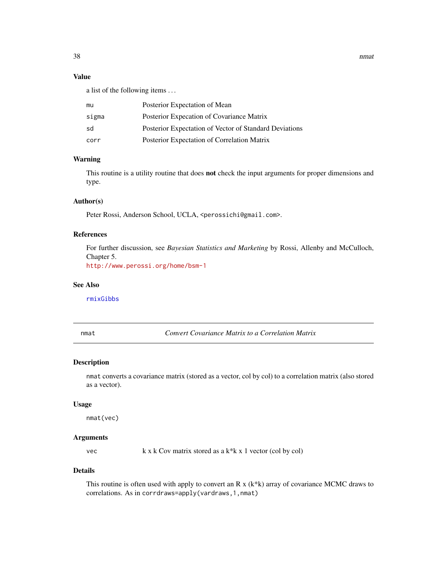38 nmath and the contract of the contract of the contract of the contract of the contract of the contract of the contract of the contract of the contract of the contract of the contract of the contract of the contract of t

# Value

a list of the following items . . .

| mu    | Posterior Expectation of Mean                          |
|-------|--------------------------------------------------------|
| sigma | Posterior Expecation of Covariance Matrix              |
| sd    | Posterior Expectation of Vector of Standard Deviations |
| corr  | Posterior Expectation of Correlation Matrix            |

## Warning

This routine is a utility routine that does not check the input arguments for proper dimensions and type.

# Author(s)

Peter Rossi, Anderson School, UCLA, <perossichi@gmail.com>.

# References

For further discussion, see *Bayesian Statistics and Marketing* by Rossi, Allenby and McCulloch, Chapter 5.

<http://www.perossi.org/home/bsm-1>

# See Also

[rmixGibbs](#page-84-0)

nmat *Convert Covariance Matrix to a Correlation Matrix*

## Description

nmat converts a covariance matrix (stored as a vector, col by col) to a correlation matrix (also stored as a vector).

#### Usage

nmat(vec)

# Arguments

vec  $k \times k$  Cov matrix stored as a  $k \times k$  1 vector (col by col)

## Details

This routine is often used with apply to convert an R x (k\*k) array of covariance MCMC draws to correlations. As in corrdraws=apply(vardraws,1,nmat)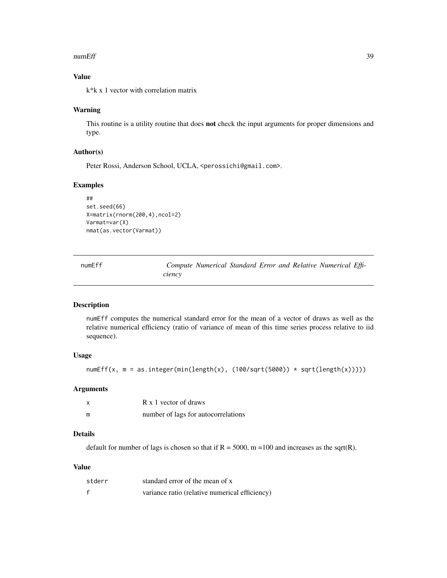#### numEff 39

# Value

k\*k x 1 vector with correlation matrix

## Warning

This routine is a utility routine that does not check the input arguments for proper dimensions and type.

# Author(s)

Peter Rossi, Anderson School, UCLA, <perossichi@gmail.com>.

# Examples

```
##
set.seed(66)
X=matrix(rnorm(200,4),ncol=2)
Varmat=var(X)
nmat(as.vector(Varmat))
```

| numEff |        |  |  | Compute Numerical Standard Error and Relative Numerical Effi- |  |
|--------|--------|--|--|---------------------------------------------------------------|--|
|        | ciency |  |  |                                                               |  |

# Description

numEff computes the numerical standard error for the mean of a vector of draws as well as the relative numerical efficiency (ratio of variance of mean of this time series process relative to iid sequence).

# Usage

```
numEff(x, m = as.integer(min(length(x), (100/sqrt(5000)) * sqrt(length(x))))
```
# Arguments

| x | R x 1 vector of draws               |
|---|-------------------------------------|
| m | number of lags for autocorrelations |

# Details

default for number of lags is chosen so that if  $R = 5000$ , m = 100 and increases as the sqrt(R).

# Value

| stderr | standard error of the mean of x                |
|--------|------------------------------------------------|
|        | variance ratio (relative numerical efficiency) |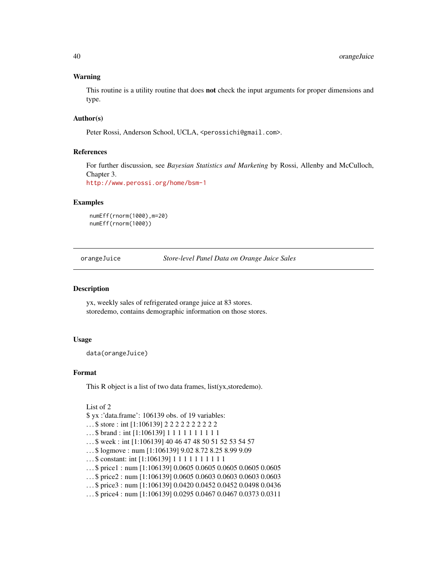## Warning

This routine is a utility routine that does **not** check the input arguments for proper dimensions and type.

## Author(s)

Peter Rossi, Anderson School, UCLA, <perossichi@gmail.com>.

## References

For further discussion, see *Bayesian Statistics and Marketing* by Rossi, Allenby and McCulloch, Chapter 3.

<http://www.perossi.org/home/bsm-1>

## Examples

```
numEff(rnorm(1000),m=20)
numEff(rnorm(1000))
```
orangeJuice *Store-level Panel Data on Orange Juice Sales*

#### Description

yx, weekly sales of refrigerated orange juice at 83 stores. storedemo, contains demographic information on those stores.

## Usage

data(orangeJuice)

## Format

This R object is a list of two data frames, list(yx, storedemo).

```
List of 2
```
\$ yx :'data.frame': 106139 obs. of 19 variables:

- ...\$ store : int [1:106139] 2 2 2 2 2 2 2 2 2 2
- ... \$ brand : int [1:106139] 1 1 1 1 1 1 1 1 1 1 1
- . . . \$ week : int [1:106139] 40 46 47 48 50 51 52 53 54 57
- . . . \$ logmove : num [1:106139] 9.02 8.72 8.25 8.99 9.09
- ... \$ constant: int [1:106139] 1 1 1 1 1 1 1 1 1 1
- . . . \$ price1 : num [1:106139] 0.0605 0.0605 0.0605 0.0605 0.0605
- . . . \$ price2 : num [1:106139] 0.0605 0.0603 0.0603 0.0603 0.0603
- . . . \$ price3 : num [1:106139] 0.0420 0.0452 0.0452 0.0498 0.0436
- . . . \$ price4 : num [1:106139] 0.0295 0.0467 0.0467 0.0373 0.0311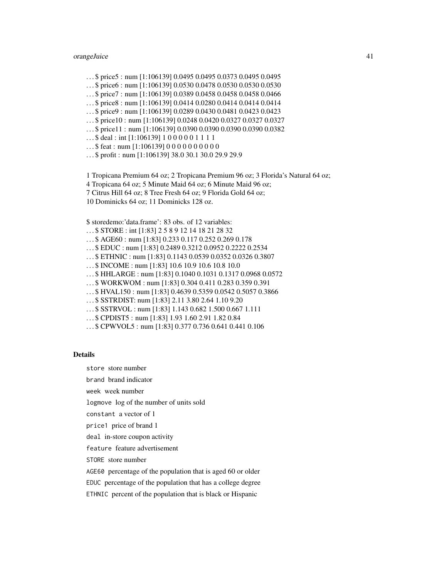# orangeJuice 41

- . . . \$ price5 : num [1:106139] 0.0495 0.0495 0.0373 0.0495 0.0495
- . . . \$ price6 : num [1:106139] 0.0530 0.0478 0.0530 0.0530 0.0530
- . . . \$ price7 : num [1:106139] 0.0389 0.0458 0.0458 0.0458 0.0466
- . . . \$ price8 : num [1:106139] 0.0414 0.0280 0.0414 0.0414 0.0414
- . . . \$ price9 : num [1:106139] 0.0289 0.0430 0.0481 0.0423 0.0423
- . . . \$ price10 : num [1:106139] 0.0248 0.0420 0.0327 0.0327 0.0327
- . . . \$ price11 : num [1:106139] 0.0390 0.0390 0.0390 0.0390 0.0382
- ...\$ deal : int [1:106139] 1 0 0 0 0 0 1 1 1 1
- $...$ \$ feat : num [1:106139] 0 0 0 0 0 0 0 0 0 0 0
- . . . \$ profit : num [1:106139] 38.0 30.1 30.0 29.9 29.9

1 Tropicana Premium 64 oz; 2 Tropicana Premium 96 oz; 3 Florida's Natural 64 oz;

- 4 Tropicana 64 oz; 5 Minute Maid 64 oz; 6 Minute Maid 96 oz;
- 7 Citrus Hill 64 oz; 8 Tree Fresh 64 oz; 9 Florida Gold 64 oz;
- 10 Dominicks 64 oz; 11 Dominicks 128 oz.

#### \$ storedemo:'data.frame': 83 obs. of 12 variables:

. . . \$ STORE : int [1:83] 2 5 8 9 12 14 18 21 28 32 . . . \$ AGE60 : num [1:83] 0.233 0.117 0.252 0.269 0.178 . . . \$ EDUC : num [1:83] 0.2489 0.3212 0.0952 0.2222 0.2534 . . . \$ ETHNIC : num [1:83] 0.1143 0.0539 0.0352 0.0326 0.3807 . . . \$ INCOME : num [1:83] 10.6 10.9 10.6 10.8 10.0 . . . \$ HHLARGE : num [1:83] 0.1040 0.1031 0.1317 0.0968 0.0572 . . . \$ WORKWOM : num [1:83] 0.304 0.411 0.283 0.359 0.391 . . . \$ HVAL150 : num [1:83] 0.4639 0.5359 0.0542 0.5057 0.3866 . . . \$ SSTRDIST: num [1:83] 2.11 3.80 2.64 1.10 9.20 . . . \$ SSTRVOL : num [1:83] 1.143 0.682 1.500 0.667 1.111 . . . \$ CPDIST5 : num [1:83] 1.93 1.60 2.91 1.82 0.84

. . . \$ CPWVOL5 : num [1:83] 0.377 0.736 0.641 0.441 0.106

#### Details

store store number

brand brand indicator

week week number

logmove log of the number of units sold

constant a vector of 1

price1 price of brand 1

deal in-store coupon activity

feature feature advertisement

STORE store number

AGE60 percentage of the population that is aged 60 or older

EDUC percentage of the population that has a college degree

ETHNIC percent of the population that is black or Hispanic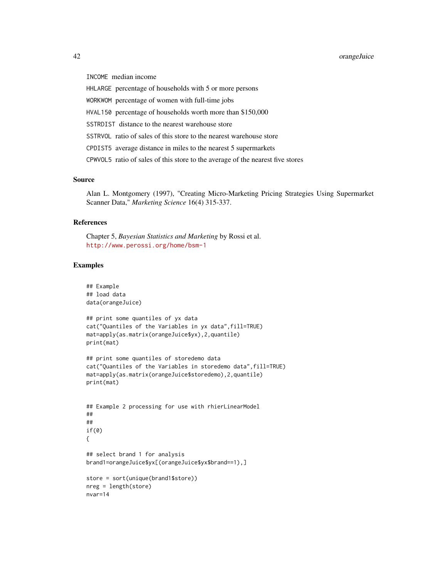# 42 orangeJuice

INCOME median income

HHLARGE percentage of households with 5 or more persons

WORKWOM percentage of women with full-time jobs

HVAL150 percentage of households worth more than \$150,000

SSTRDIST distance to the nearest warehouse store

SSTRVOL ratio of sales of this store to the nearest warehouse store

CPDIST5 average distance in miles to the nearest 5 supermarkets

CPWVOL5 ratio of sales of this store to the average of the nearest five stores

# Source

Alan L. Montgomery (1997), "Creating Micro-Marketing Pricing Strategies Using Supermarket Scanner Data," *Marketing Science* 16(4) 315-337.

# References

Chapter 5, *Bayesian Statistics and Marketing* by Rossi et al. <http://www.perossi.org/home/bsm-1>

```
## Example
## load data
data(orangeJuice)
## print some quantiles of yx data
cat("Quantiles of the Variables in yx data",fill=TRUE)
mat=apply(as.matrix(orangeJuice$yx),2,quantile)
print(mat)
## print some quantiles of storedemo data
cat("Quantiles of the Variables in storedemo data",fill=TRUE)
mat=apply(as.matrix(orangeJuice$storedemo),2,quantile)
print(mat)
## Example 2 processing for use with rhierLinearModel
##
##
if(0)
{
## select brand 1 for analysis
brand1=orangeJuice$yx[(orangeJuice$yx$brand==1),]
store = sort(unique(brand1$store))
nreg = length(store)
nvar=14
```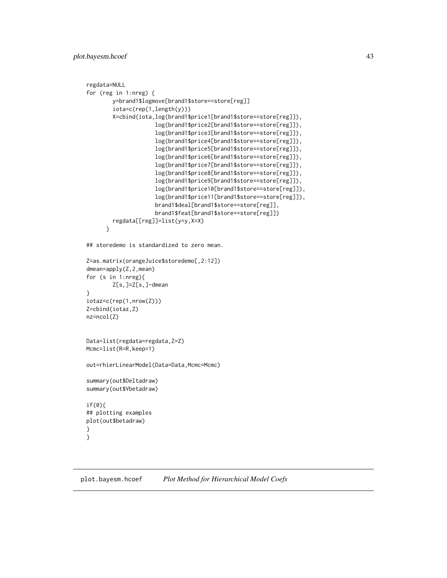# plot.bayesm.hcoef 43

```
regdata=NULL
for (reg in 1:nreg) {
        y=brand1$logmove[brand1$store==store[reg]]
        iota=c(rep(1,length(y)))
        X=cbind(iota,log(brand1$price1[brand1$store==store[reg]]),
                     log(brand1$price2[brand1$store==store[reg]]),
                     log(brand1$price3[brand1$store==store[reg]]),
                     log(brand1$price4[brand1$store==store[reg]]),
                     log(brand1$price5[brand1$store==store[reg]]),
                     log(brand1$price6[brand1$store==store[reg]]),
                     log(brand1$price7[brand1$store==store[reg]]),
                     log(brand1$price8[brand1$store==store[reg]]),
                     log(brand1$price9[brand1$store==store[reg]]),
                     log(brand1$price10[brand1$store==store[reg]]),
                     log(brand1$price11[brand1$store==store[reg]]),
                     brand1$deal[brand1$store==store[reg]],
                     brand1$feat[brand1$store==store[reg]])
        regdata[[reg]]=list(y=y,X=X)
      }
## storedemo is standardized to zero mean.
Z=as.matrix(orangeJuice$storedemo[,2:12])
dmean=apply(Z,2,mean)
for (s in 1:nreg){
        Z[s,]=Z[s,]-dmean
}
iotaz=c(rep(1,nrow(Z)))
Z=cbind(iotaz,Z)
nz=ncol(Z)
Data=list(regdata=regdata,Z=Z)
Mcmc=list(R=R,keep=1)
out=rhierLinearModel(Data=Data,Mcmc=Mcmc)
summary(out$Deltadraw)
summary(out$Vbetadraw)
if(0){
## plotting examples
plot(out$betadraw)
}
}
```
plot.bayesm.hcoef *Plot Method for Hierarchical Model Coefs*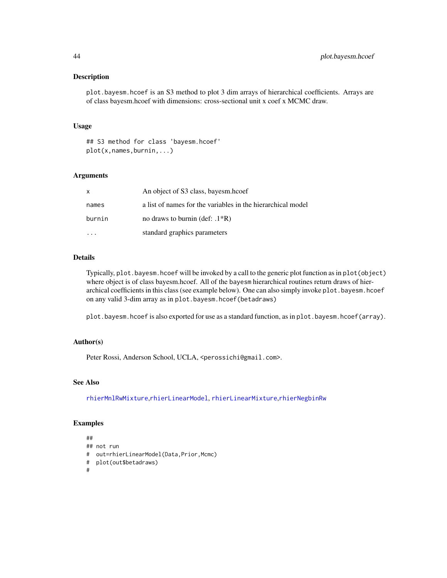#### Description

plot.bayesm.hcoef is an S3 method to plot 3 dim arrays of hierarchical coefficients. Arrays are of class bayesm.hcoef with dimensions: cross-sectional unit x coef x MCMC draw.

#### Usage

## S3 method for class 'bayesm.hcoef' plot(x,names,burnin,...)

## Arguments

| X      | An object of S3 class, bayesm.hcoef                         |
|--------|-------------------------------------------------------------|
| names  | a list of names for the variables in the hierarchical model |
| burnin | no draws to burnin (def: $.1*R$ )                           |
|        | standard graphics parameters                                |

# Details

Typically, plot.bayesm.hcoef will be invoked by a call to the generic plot function as in plot(object) where object is of class bayesm.hcoef. All of the bayesm hierarchical routines return draws of hierarchical coefficients in this class (see example below). One can also simply invoke plot.bayesm.hcoef on any valid 3-dim array as in plot.bayesm.hcoef(betadraws)

plot.bayesm.hcoef is also exported for use as a standard function, as in plot.bayesm.hcoef(array).

# Author(s)

Peter Rossi, Anderson School, UCLA, <perossichi@gmail.com>.

# See Also

[rhierMnlRwMixture](#page-71-0),[rhierLinearModel](#page-64-0), [rhierLinearMixture](#page-61-0),[rhierNegbinRw](#page-75-0)

```
##
## not run
# out=rhierLinearModel(Data,Prior,Mcmc)
# plot(out$betadraws)
#
```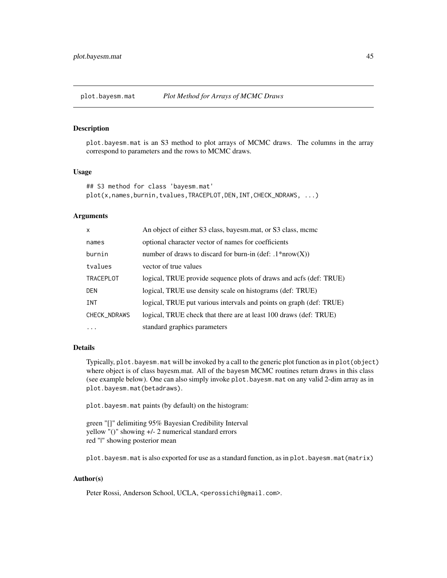# Description

plot.bayesm.mat is an S3 method to plot arrays of MCMC draws. The columns in the array correspond to parameters and the rows to MCMC draws.

# Usage

```
## S3 method for class 'bayesm.mat'
plot(x,names,burnin,tvalues,TRACEPLOT,DEN,INT,CHECK_NDRAWS, ...)
```
#### Arguments

| X                | An object of either S3 class, bayesm.mat, or S3 class, mcmc         |
|------------------|---------------------------------------------------------------------|
| names            | optional character vector of names for coefficients                 |
| burnin           | number of draws to discard for burn-in (def: $.1*uvw(X)$ )          |
| tvalues          | vector of true values                                               |
| <b>TRACEPLOT</b> | logical, TRUE provide sequence plots of draws and acfs (def: TRUE)  |
| <b>DEN</b>       | logical, TRUE use density scale on histograms (def: TRUE)           |
| <b>INT</b>       | logical, TRUE put various intervals and points on graph (def: TRUE) |
| CHECK_NDRAWS     | logical, TRUE check that there are at least 100 draws (def: TRUE)   |
| $\ddotsc$        | standard graphics parameters                                        |

#### Details

Typically, plot.bayesm.mat will be invoked by a call to the generic plot function as in plot(object) where object is of class bayesm.mat. All of the bayesm MCMC routines return draws in this class (see example below). One can also simply invoke plot.bayesm.mat on any valid 2-dim array as in plot.bayesm.mat(betadraws).

plot.bayesm.mat paints (by default) on the histogram:

green "[]" delimiting 95% Bayesian Credibility Interval yellow "()" showing +/- 2 numerical standard errors red "|" showing posterior mean

plot.bayesm.mat is also exported for use as a standard function, as in plot.bayesm.mat(matrix)

# Author(s)

Peter Rossi, Anderson School, UCLA, <perossichi@gmail.com>.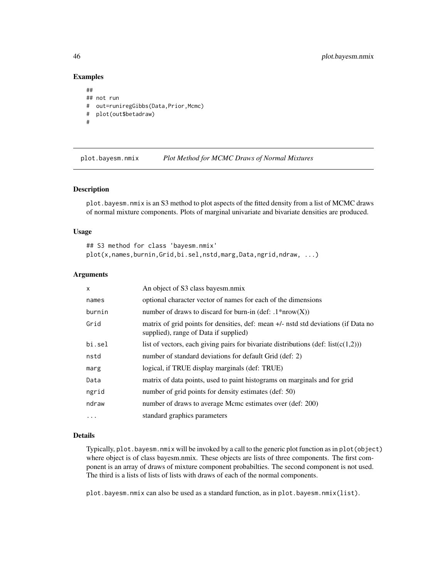## Examples

```
##
## not run
# out=runiregGibbs(Data,Prior,Mcmc)
# plot(out$betadraw)
#
```
plot.bayesm.nmix *Plot Method for MCMC Draws of Normal Mixtures*

# Description

plot.bayesm.nmix is an S3 method to plot aspects of the fitted density from a list of MCMC draws of normal mixture components. Plots of marginal univariate and bivariate densities are produced.

## Usage

```
## S3 method for class 'bayesm.nmix'
plot(x,names,burnin,Grid,bi.sel,nstd,marg,Data,ngrid,ndraw, ...)
```
#### Arguments

| $\mathsf{x}$ | An object of S3 class bayesm.nmix                                                                                           |
|--------------|-----------------------------------------------------------------------------------------------------------------------------|
| names        | optional character vector of names for each of the dimensions                                                               |
| burnin       | number of draws to discard for burn-in (def: $.1*now(X)$ )                                                                  |
| Grid         | matrix of grid points for densities, def: mean +/- nstd std deviations (if Data no<br>supplied), range of Data if supplied) |
| bi.sel       | list of vectors, each giving pairs for bivariate distributions (def: list( $c(1,2)$ ))                                      |
| nstd         | number of standard deviations for default Grid (def: 2)                                                                     |
| marg         | logical, if TRUE display marginals (def: TRUE)                                                                              |
| Data         | matrix of data points, used to paint histograms on marginals and for grid                                                   |
| ngrid        | number of grid points for density estimates (def: 50)                                                                       |
| ndraw        | number of draws to average Mcmc estimates over (def: 200)                                                                   |
| $\cdots$     | standard graphics parameters                                                                                                |

## Details

Typically, plot.bayesm.nmix will be invoked by a call to the generic plot function as in plot(object) where object is of class bayesm.nmix. These objects are lists of three components. The first component is an array of draws of mixture component probabilties. The second component is not used. The third is a lists of lists of lists with draws of each of the normal components.

plot.bayesm.nmix can also be used as a standard function, as in plot.bayesm.nmix(list).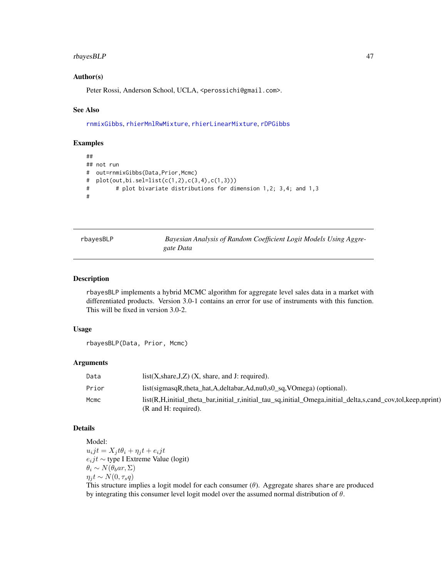## rbayesBLP 47

## Author(s)

Peter Rossi, Anderson School, UCLA, <perossichi@gmail.com>.

#### See Also

[rnmixGibbs](#page-98-0), [rhierMnlRwMixture](#page-71-0), [rhierLinearMixture](#page-61-0), [rDPGibbs](#page-55-0)

#### Examples

```
##
## not run
# out=rnmixGibbs(Data,Prior,Mcmc)
# plot(out,bi.sel=list(c(1,2),c(3,4),c(1,3)))
# # plot bivariate distributions for dimension 1,2; 3,4; and 1,3
#
```
rbayesBLP *Bayesian Analysis of Random Coefficient Logit Models Using Aggregate Data*

#### Description

rbayesBLP implements a hybrid MCMC algorithm for aggregate level sales data in a market with differentiated products. Version 3.0-1 contains an error for use of instruments with this function. This will be fixed in version 3.0-2.

#### Usage

rbayesBLP(Data, Prior, Mcmc)

#### Arguments

| Data  | $list(X, share, J, Z)$ $(X, share, and J: required).$                                                                                    |
|-------|------------------------------------------------------------------------------------------------------------------------------------------|
| Prior | list(sigmasqR,theta_hat,A,deltabar,Ad,nu0,s0_sq,VOmega) (optional).                                                                      |
| Mcmc  | list(R,H,initial_theta_bar,initial_r,initial_tau_sq,initial_Omega,initial_delta,s,cand_cov,tol,keep,nprint)<br>$(R$ and $H$ : required). |

## Details

Model:  $u_ijt = X_it\theta_i + \eta_i t + e_ijt$ eijt ∼ type I Extreme Value (logit)  $\theta_i \sim N(\theta_b ar, \Sigma)$  $\eta_j t \sim N(0, \tau_s q)$ 

This structure implies a logit model for each consumer  $(\theta)$ . Aggregate shares share are produced by integrating this consumer level logit model over the assumed normal distribution of  $\theta$ .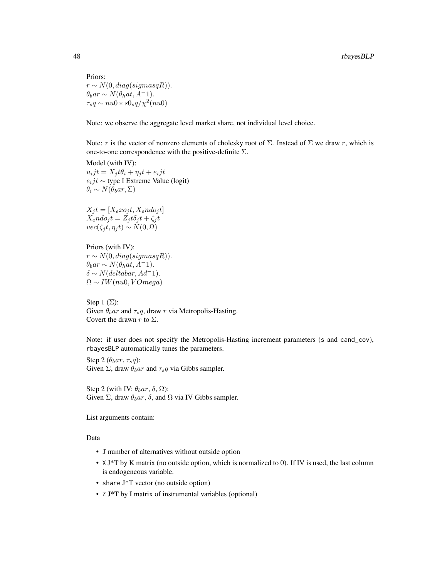Priors:  $r \sim N(0, diag(signasqR)).$  $\theta_b$ ar ∼ N( $\theta_h$ at, A<sup>-</sup>1).  $\tau_s q \sim nu0 * s0_s q/\chi^2 (nu0)$ 

Note: we observe the aggregate level market share, not individual level choice.

Note: r is the vector of nonzero elements of cholesky root of  $\Sigma$ . Instead of  $\Sigma$  we draw r, which is one-to-one correspondence with the positive-definite  $\Sigma$ .

Model (with IV):  $u_ijt = X_j t\theta_i + \eta_j t + e_ijt$  $e_i j t \sim$  type I Extreme Value (logit)  $\theta_i \sim N(\theta_b ar, \Sigma)$ 

 $X_j t = [X_e x o_j t, X_e n d o_j t]$  $X_{e}ndo_{j}t = Z_{j}t\delta_{j}t + \zeta_{j}t$  $vec(\zeta_i t, \eta_i t) \sim N(0, \Omega)$ 

Priors (with IV):  $r \sim N(0, diag(signasqR)).$  $\theta_b$ ar ∼ N( $\theta_h$ at, A<sup>-</sup>1).  $\delta \sim N(deltabar, Ad^-1).$  $\Omega \sim IW(nu0, VOmega)$ 

Step 1  $(\Sigma)$ : Given  $\theta_b$ ar and  $\tau_s q$ , draw r via Metropolis-Hasting. Covert the drawn r to  $\Sigma$ .

Note: if user does not specify the Metropolis-Hasting increment parameters (s and cand\_cov), rbayesBLP automatically tunes the parameters.

Step 2  $(\theta_bar, \tau_sq)$ : Given  $\Sigma$ , draw  $\theta_b$ ar and  $\tau_s q$  via Gibbs sampler.

Step 2 (with IV:  $\theta_b$ ar,  $\delta$ ,  $\Omega$ ): Given  $\Sigma$ , draw  $\theta_b$ ar,  $\delta$ , and  $\Omega$  via IV Gibbs sampler.

List arguments contain:

Data

- J number of alternatives without outside option
- X J\*T by K matrix (no outside option, which is normalized to 0). If IV is used, the last column is endogeneous variable.
- share J\*T vector (no outside option)
- Z J\*T by I matrix of instrumental variables (optional)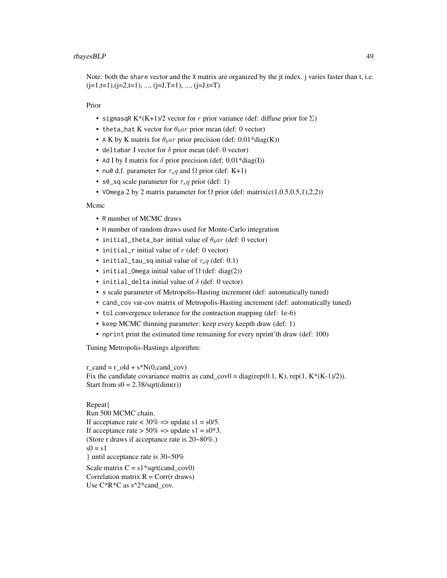Note: both the share vector and the X matrix are organized by the jt index. j varies faster than t, i.e.  $(j=1,t=1), (j=2,t=1), ..., (j=J,T=1), ..., (j=J,t=T)$ 

Prior

- sigmasqR K\*(K+1)/2 vector for r prior variance (def: diffuse prior for  $\Sigma$ )
- theta\_hat K vector for  $\theta_b$ ar prior mean (def: 0 vector)
- A K by K matrix for  $\theta_b$ ar prior precision (def: 0.01\*diag(K))
- deltabar I vector for  $\delta$  prior mean (def: 0 vector)
- Ad I by I matrix for  $\delta$  prior precision (def: 0.01\*diag(I))
- nu0 d.f. parameter for  $\tau_s q$  and  $\Omega$  prior (def: K+1)
- s0\_sq scale parameter for  $\tau_s q$  prior (def: 1)
- VOmega 2 by 2 matrix parameter for  $\Omega$  prior (def: matrix(c(1,0.5,0.5,1),2,2))

Mcmc

- R number of MCMC draws
- H number of random draws used for Monte-Carlo integration
- initial\_theta\_bar initial value of  $\theta_b$ ar (def: 0 vector)
- initial\_r initial value of  $r$  (def: 0 vector)
- initial\_tau\_sq initial value of  $\tau_s q$  (def: 0.1)
- initial\_Omega initial value of  $\Omega$  (def: diag(2))
- initial\_delta initial value of  $\delta$  (def: 0 vector)
- s scale parameter of Metropolis-Hasting increment (def: automatically tuned)
- cand\_cov var-cov matrix of Metropolis-Hasting increment (def: automatically tuned)
- tol convergence tolerance for the contraction mapping (def: 1e-6)
- keep MCMC thinning parameter: keep every keepth draw (def: 1)
- nprint print the estimated time remaining for every nprint'th draw (def: 100)

Tuning Metropolis-Hastings algorithm:

r\_cand = r\_old + s\*N(0,cand\_cov) Fix the candidate covariance matrix as cand\_cov0 = diag(rep(0.1, K), rep(1, K\*(K-1)/2)). Start from  $s0 = 2.38/\sqrt{g(t(\dim(r))}$ 

```
Repeat{
Run 500 MCMC chain.
If acceptance rate \langle 30\% \rangle => update s1 = s0/5.
If acceptance rate > 50\% = > update s1 = s0<sup>*</sup>3.
(Store r draws if acceptance rate is 20~80%.)
s0 = s1} until acceptance rate is 30~50%
Scale matrix C = s1*sqrt(cand cov0)Correlation matrix R = Corr(r) draws)
Use C*R*C as s^2*cand_cov.
```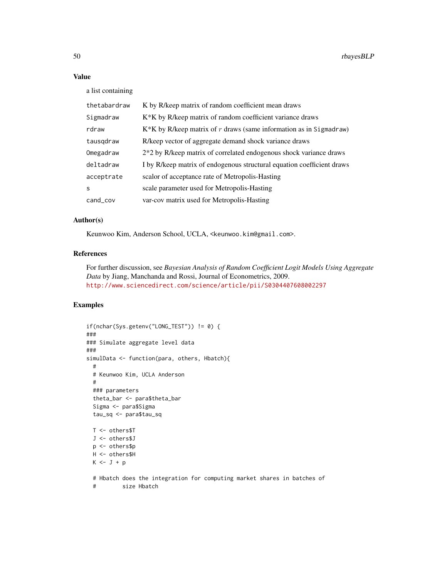# Value

a list containing

| thetabardraw      | K by R/keep matrix of random coefficient mean draws                    |
|-------------------|------------------------------------------------------------------------|
| Sigmadraw         | K <sup>*</sup> K by R/keep matrix of random coefficient variance draws |
| rdraw             | $K*K$ by R/keep matrix of r draws (same information as in Sigmadraw)   |
| tausgdraw         | R/keep vector of aggregate demand shock variance draws                 |
| Omegadraw         | 2*2 by R/keep matrix of correlated endogenous shock variance draws     |
| deltadraw         | I by R/keep matrix of endogenous structural equation coefficient draws |
| acceptrate        | scalor of acceptance rate of Metropolis-Hasting                        |
| $\mathbf{s}$      | scale parameter used for Metropolis-Hasting                            |
| $cand_{\sim}$ cov | var-cov matrix used for Metropolis-Hasting                             |

# Author(s)

Keunwoo Kim, Anderson School, UCLA, <keunwoo.kim@gmail.com>.

# References

For further discussion, see *Bayesian Analysis of Random Coefficient Logit Models Using Aggregate Data* by Jiang, Manchanda and Rossi, Journal of Econometrics, 2009. <http://www.sciencedirect.com/science/article/pii/S0304407608002297>

```
if(nchar(Sys.getenv("LONG_TEST")) != 0) {
###
### Simulate aggregate level data
###
simulData <- function(para, others, Hbatch){
 #
 # Keunwoo Kim, UCLA Anderson
 #
 ### parameters
 theta_bar <- para$theta_bar
 Sigma <- para$Sigma
 tau_sq <- para$tau_sq
 T <- others$T
 J <- others$J
 p <- others$p
 H <- others$H
 K \leftarrow J + p# Hbatch does the integration for computing market shares in batches of
 # size Hbatch
```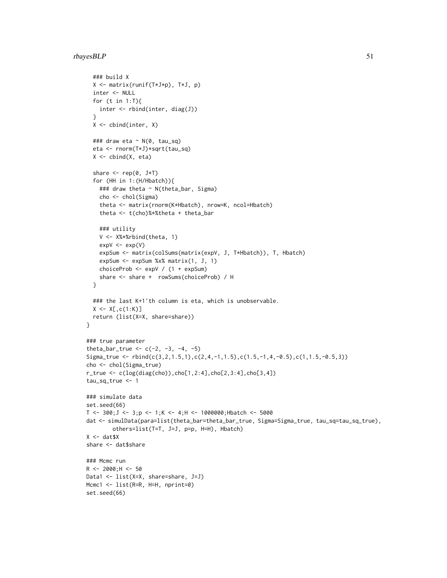# rbayesBLP 51

```
### build X
  X <- matrix(runif(T*J*p), T*J, p)
  inter <- NULL
  for (t in 1:T){
   inter <- rbind(inter, diag(J))
  }
  X \leftarrow \text{cbind}(inter, X)### draw eta ~ N(0, tau_sq)
  eta <- rnorm(T*J)*sqrt(tau_sq)
  X \leftarrow \text{cbind}(X, \text{ eta})share \leq rep(0, J*T)
  for (HH in 1:(H/Hbatch)){
    ### draw theta ~ N(theta_bar, Sigma)
    cho <- chol(Sigma)
    theta <- matrix(rnorm(K*Hbatch), nrow=K, ncol=Hbatch)
    theta <- t(cho)%*%theta + theta_bar
    ### utility
    V <- X%*%rbind(theta, 1)
    expV < -exp(V)expSum <- matrix(colSums(matrix(expV, J, T*Hbatch)), T, Hbatch)
    expSum <- expSum %x% matrix(1, J, 1)
    choiceProb <- expV / (1 + expSum)
    share <- share + rowSums(choiceProb) / H
  }
  ### the last K+1'th column is eta, which is unobservable.
  X \leftarrow X[, c(1:K)]return (list(X=X, share=share))
}
### true parameter
theta_bar_true <- c(-2, -3, -4, -5)Sigma_true <- rbind(c(3,2,1.5,1),c(2,4,-1,1.5),c(1.5,-1,4,-0.5),c(1,1.5,-0.5,3))
cho <- chol(Sigma_true)
r_true <- c(log(diag(cho)),cho[1,2:4],cho[2,3:4],cho[3,4])
tau_sq_true <- 1
### simulate data
set.seed(66)
T <- 300; J <- 3; p <- 1; K <- 4; H <- 1000000; Hbatch <- 5000
dat <- simulData(para=list(theta_bar=theta_bar_true, Sigma=Sigma_true, tau_sq=tau_sq_true),
        others=list(T=T, J=J, p=p, H=H), Hbatch)
X \leftarrow \text{dat$X}share <- dat$share
### Mcmc run
R <- 2000; H <- 50
Data1 <- list(X=X, share=share, J=J)
Mcmc1 <- list(R=R, H=H, nprint=0)
set.seed(66)
```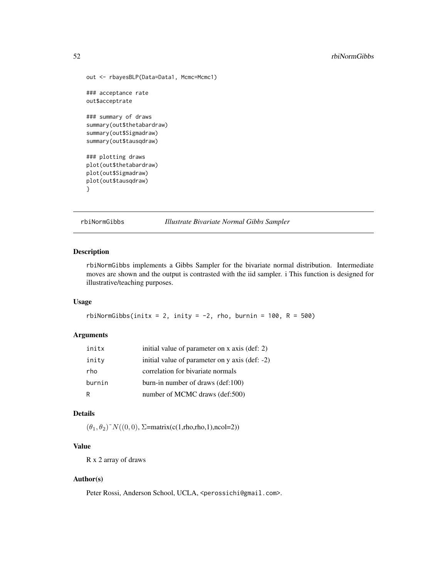```
out <- rbayesBLP(Data=Data1, Mcmc=Mcmc1)
### acceptance rate
out$acceptrate
### summary of draws
summary(out$thetabardraw)
summary(out$Sigmadraw)
summary(out$tausqdraw)
### plotting draws
plot(out$thetabardraw)
plot(out$Sigmadraw)
plot(out$tausqdraw)
}
```
rbiNormGibbs *Illustrate Bivariate Normal Gibbs Sampler*

# Description

rbiNormGibbs implements a Gibbs Sampler for the bivariate normal distribution. Intermediate moves are shown and the output is contrasted with the iid sampler. i This function is designed for illustrative/teaching purposes.

#### Usage

rbiNormGibbs(initx = 2, inity =  $-2$ , rho, burnin = 100, R = 500)

#### Arguments

| initx  | initial value of parameter on x axis (def: 2)  |
|--------|------------------------------------------------|
| inity  | initial value of parameter on y axis (def: -2) |
| rho    | correlation for bivariate normals              |
| burnin | burn-in number of draws $(det:100)$            |
| R      | number of MCMC draws (def:500)                 |

# Details

 $(\theta_1, \theta_2)^{\sim} N((0, 0), \Sigma = \text{matrix}(c(1, rho, rho, 1), \text{ncol} = 2))$ 

# Value

R x 2 array of draws

#### Author(s)

Peter Rossi, Anderson School, UCLA, <perossichi@gmail.com>.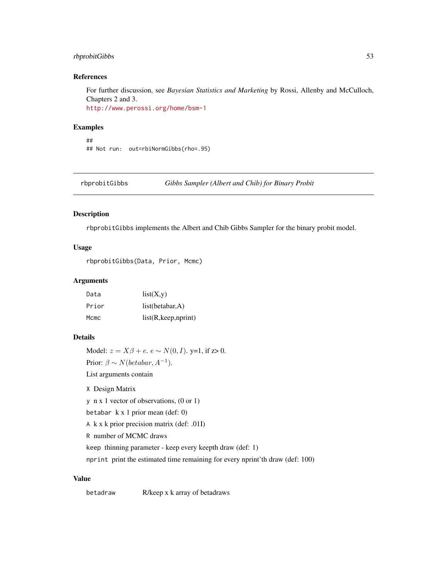# rbprobitGibbs 53

# References

For further discussion, see *Bayesian Statistics and Marketing* by Rossi, Allenby and McCulloch, Chapters 2 and 3. <http://www.perossi.org/home/bsm-1>

#### Examples

```
##
## Not run: out=rbiNormGibbs(rho=.95)
```
rbprobitGibbs *Gibbs Sampler (Albert and Chib) for Binary Probit*

#### Description

rbprobitGibbs implements the Albert and Chib Gibbs Sampler for the binary probit model.

## Usage

rbprobitGibbs(Data, Prior, Mcmc)

# Arguments

| Data  | list(X,y)             |
|-------|-----------------------|
| Prior | list(betabar, A)      |
| Mcmc  | list(R, keep, nprint) |

## Details

Model:  $z = X\beta + e$ .  $e \sim N(0, I)$ . y=1, if z> 0.

Prior:  $\beta \sim N(betabar, A^{-1}).$ 

List arguments contain

X Design Matrix

y n x 1 vector of observations, (0 or 1)

betabar k x 1 prior mean (def: 0)

A k x k prior precision matrix (def: .01I)

R number of MCMC draws

keep thinning parameter - keep every keepth draw (def: 1)

nprint print the estimated time remaining for every nprint'th draw (def: 100)

# Value

betadraw R/keep x k array of betadraws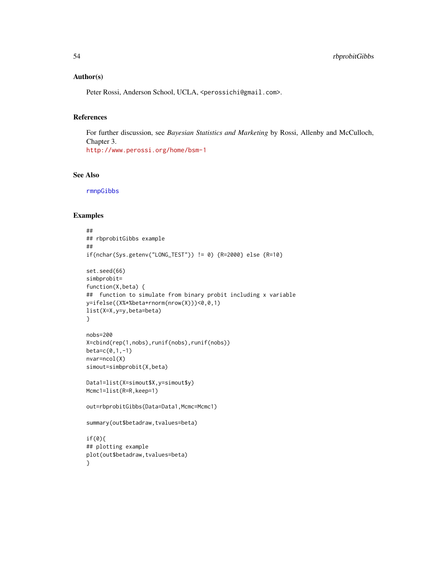## Author(s)

Peter Rossi, Anderson School, UCLA, <perossichi@gmail.com>.

# References

For further discussion, see *Bayesian Statistics and Marketing* by Rossi, Allenby and McCulloch, Chapter 3. <http://www.perossi.org/home/bsm-1>

#### See Also

[rmnpGibbs](#page-89-0)

```
##
## rbprobitGibbs example
##
if(nchar(Sys.getenv("LONG_TEST")) != 0) {R=2000} else {R=10}
set.seed(66)
simbprobit=
function(X,beta) {
## function to simulate from binary probit including x variable
y=ifelse((X%*%beta+rnorm(nrow(X)))<0,0,1)
list(X=X,y=y,beta=beta)
}
nobs=200
X=cbind(rep(1,nobs),runif(nobs),runif(nobs))
beta=c(0,1,-1)
nvar=ncol(X)
simout=simbprobit(X,beta)
Data1=list(X=simout$X,y=simout$y)
Mcmc1=list(R=R,keep=1)
out=rbprobitGibbs(Data=Data1,Mcmc=Mcmc1)
summary(out$betadraw,tvalues=beta)
if(0){
## plotting example
plot(out$betadraw,tvalues=beta)
}
```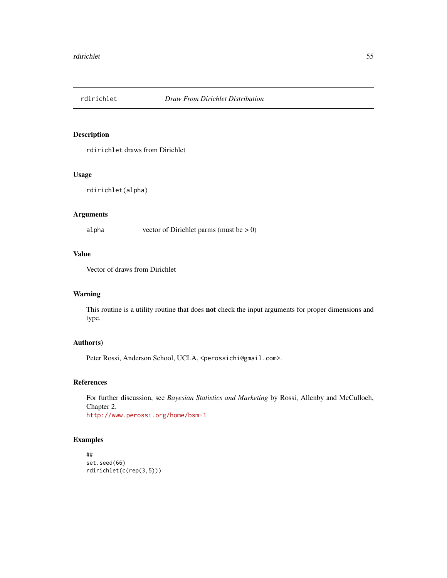# Description

rdirichlet draws from Dirichlet

## Usage

```
rdirichlet(alpha)
```
# Arguments

alpha vector of Dirichlet parms (must be > 0)

# Value

Vector of draws from Dirichlet

# Warning

This routine is a utility routine that does not check the input arguments for proper dimensions and type.

# Author(s)

Peter Rossi, Anderson School, UCLA, <perossichi@gmail.com>.

# References

For further discussion, see *Bayesian Statistics and Marketing* by Rossi, Allenby and McCulloch, Chapter 2. <http://www.perossi.org/home/bsm-1>

```
##
set.seed(66)
rdirichlet(c(rep(3,5)))
```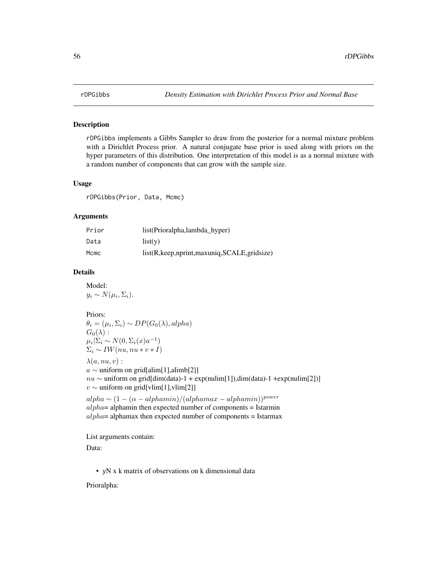## <span id="page-55-0"></span>Description

rDPGibbs implements a Gibbs Sampler to draw from the posterior for a normal mixture problem with a Dirichlet Process prior. A natural conjugate base prior is used along with priors on the hyper parameters of this distribution. One interpretation of this model is as a normal mixture with a random number of components that can grow with the sample size.

## Usage

rDPGibbs(Prior, Data, Mcmc)

#### Arguments

| Prior | list(Prioralpha,lambda_hyper)                      |
|-------|----------------------------------------------------|
| Data  | list(v)                                            |
| Mcmc  | $list(R, keep, nprint, maxuniq, SCALE, grid size)$ |

## Details

Model:  $y_i \sim N(\mu_i, \Sigma_i).$ 

#### Priors:

 $\theta_i = (\mu_i, \Sigma_i) \sim DP(G_0(\lambda), alpha)$  $G_0(\lambda):$  $\mu_i | \Sigma_i \sim N(0, \Sigma_i(x) a^{-1})$  $\Sigma_i \sim IW(nu, nu * v * I)$ 

 $\lambda(a, nu, v)$ :

a ∼ uniform on grid[alim[1],alimb[2]]  $nu \sim$  uniform on grid[dim(data)-1 + exp(nulim[1]),dim(data)-1 +exp(nulim[2])]  $v \sim$  uniform on grid[vlim[1],vlim[2]]

 $alpha \sim (1-(\alpha-alphamin)/(alphamax-alphamin))^{power}$  $alpha=$  alphamin then expected number of components = Istarmin  $alpha=$  alphamax then expected number of components = Istarmax

List arguments contain:

Data:

• yN x k matrix of observations on k dimensional data

Prioralpha: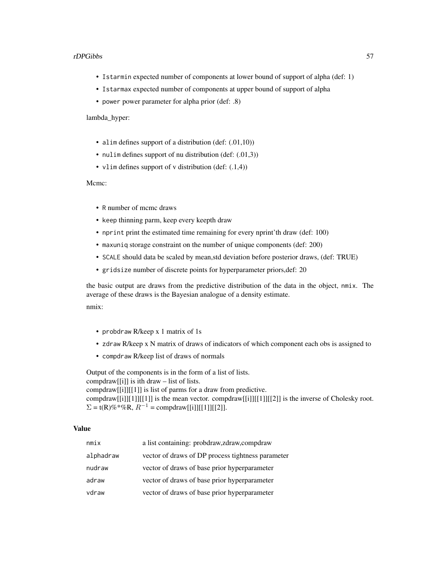#### rDPGibbs 57

- Istarmin expected number of components at lower bound of support of alpha (def: 1)
- Istarmax expected number of components at upper bound of support of alpha
- power power parameter for alpha prior (def: .8)

lambda\_hyper:

- alim defines support of a distribution (def:  $(.01,10)$ )
- nulim defines support of nu distribution (def: (.01,3))
- vlim defines support of v distribution (def:  $(.1,4)$ )

#### Mcmc:

- R number of mcmc draws
- keep thinning parm, keep every keepth draw
- nprint print the estimated time remaining for every nprint'th draw (def: 100)
- maxuniq storage constraint on the number of unique components (def: 200)
- SCALE should data be scaled by mean,std deviation before posterior draws, (def: TRUE)
- gridsize number of discrete points for hyperparameter priors,def: 20

the basic output are draws from the predictive distribution of the data in the object, nmix. The average of these draws is the Bayesian analogue of a density estimate.

nmix:

- probdraw R/keep x 1 matrix of 1s
- zdraw R/keep x N matrix of draws of indicators of which component each obs is assigned to
- compdraw R/keep list of draws of normals

Output of the components is in the form of a list of lists. compdraw[[i]] is ith draw – list of lists. compdraw[[i]][[1]] is list of parms for a draw from predictive. compdraw $[[i]][1]][[1]]$  is the mean vector. compdraw $[[i]][[1]][[2]]$  is the inverse of Cholesky root.  $\Sigma = t(R)\% * \% R$ ,  $R^{-1} = \text{comptraw}[[i]][[1]][[2]].$ 

#### Value

| nmin x    | a list containing: probdraw, zdraw, compdraw      |
|-----------|---------------------------------------------------|
| alphadraw | vector of draws of DP process tightness parameter |
| nudraw    | vector of draws of base prior hyperparameter      |
| adraw     | vector of draws of base prior hyperparameter      |
| vdraw     | vector of draws of base prior hyperparameter      |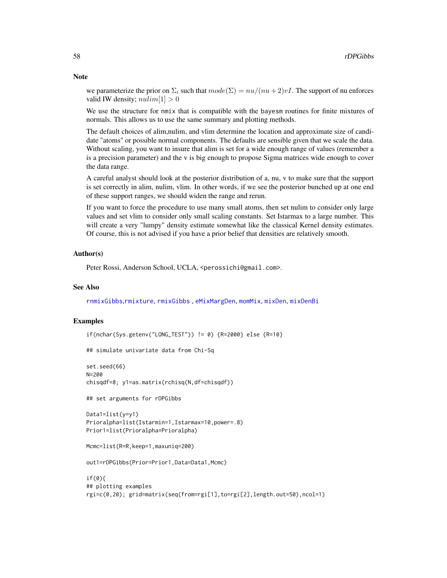**Note** 

we parameterize the prior on  $\Sigma_i$  such that  $mode(\Sigma) = nu/(nu+2)vI$ . The support of nu enforces valid IW density;  $\textit{null} \geq 0$ 

We use the structure for nmix that is compatible with the bayesm routines for finite mixtures of normals. This allows us to use the same summary and plotting methods.

The default choices of alim,nulim, and vlim determine the location and approximate size of candidate "atoms" or possible normal components. The defaults are sensible given that we scale the data. Without scaling, you want to insure that alim is set for a wide enough range of values (remember a is a precision parameter) and the v is big enough to propose Sigma matrices wide enough to cover the data range.

A careful analyst should look at the posterior distribution of a, nu, v to make sure that the support is set correctly in alim, nulim, vlim. In other words, if we see the posterior bunched up at one end of these support ranges, we should widen the range and rerun.

If you want to force the procedure to use many small atoms, then set nulim to consider only large values and set vlim to consider only small scaling constants. Set Istarmax to a large number. This will create a very "lumpy" density estimate somewhat like the classical Kernel density estimates. Of course, this is not advised if you have a prior belief that densities are relatively smooth.

## Author(s)

Peter Rossi, Anderson School, UCLA, <perossichi@gmail.com>.

## See Also

[rnmixGibbs](#page-98-0),[rmixture](#page-86-0), [rmixGibbs](#page-84-0) , [eMixMargDen](#page-17-0), [momMix](#page-36-0), [mixDen](#page-31-0), [mixDenBi](#page-33-0)

```
if(nchar(Sys.getenv("LONG_TEST")) != 0) {R=2000} else {R=10}
## simulate univariate data from Chi-Sq
set.seed(66)
N=200
chisqdf=8; y1=as.matrix(rchisq(N,df=chisqdf))
## set arguments for rDPGibbs
Data1=list(y=y1)
Prioralpha=list(Istarmin=1,Istarmax=10,power=.8)
Prior1=list(Prioralpha=Prioralpha)
Mcmc=list(R=R,keep=1,maxuniq=200)
out1=rDPGibbs(Prior=Prior1,Data=Data1,Mcmc)
if(0){
## plotting examples
rgi=c(0,20); grid=matrix(seq(from=rgi[1],to=rgi[2],length.out=50),ncol=1)
```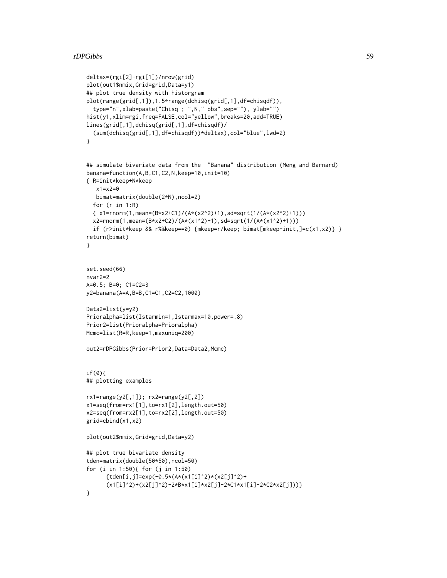```
deltax=(rgi[2]-rgi[1])/nrow(grid)
plot(out1$nmix,Grid=grid,Data=y1)
## plot true density with historgram
plot(range(grid[,1]),1.5*range(dchisq(grid[,1],df=chisqdf)),
  type="n",xlab=paste("Chisq ; ",N," obs",sep=""), ylab="")
hist(y1,xlim=rgi,freq=FALSE,col="yellow",breaks=20,add=TRUE)
lines(grid[,1],dchisq(grid[,1],df=chisqdf)/
  (sum(dchisq(grid[,1],df=chisqdf))*deltax),col="blue",lwd=2)
}
## simulate bivariate data from the "Banana" distribution (Meng and Barnard)
banana=function(A,B,C1,C2,N,keep=10,init=10)
{ R=init*keep+N*keep
   x1=x2=0bimat=matrix(double(2*N),ncol=2)
  for (r in 1:R)
  { x1=rnorm(1,mean=(B*x2+C1)/(A*(x2^2)+1),sd=sqrt(1/(A*(x2^2)+1)))
  x2=rnorm(1,mean=(B*x2+C2)/(A*(x1^2)+1),sd=sqrt(1/(A*(x1^2)+1)))
  if (r>init*keep && r%%keep==0) {mkeep=r/keep; bimat[mkeep-init,]=c(x1,x2)} }
return(bimat)
}
set.seed(66)
nvar2=2
A=0.5; B=0; C1=C2=3
y2=banana(A=A,B=B,C1=C1,C2=C2,1000)
Data2=list(y=y2)
Prioralpha=list(Istarmin=1,Istarmax=10,power=.8)
Prior2=list(Prioralpha=Prioralpha)
Mcmc=list(R=R,keep=1,maxuniq=200)
out2=rDPGibbs(Prior=Prior2,Data=Data2,Mcmc)
if(0){
## plotting examples
rx1=range(y2[,1]); rx2=range(y2[,2])
x1=seq(from=rx1[1],to=rx1[2],length.out=50)
x2=seq(from=rx2[1],to=rx2[2],length.out=50)
grid=cbind(x1,x2)
plot(out2$nmix,Grid=grid,Data=y2)
## plot true bivariate density
tden=matrix(double(50*50),ncol=50)
for (i in 1:50){ for (j in 1:50)
      {tden[i,j]=exp(-0.5*(A*(x1[i]^2)*(x2[j]^2)+
      (x1[i]^2)+(x2[j]^2)-2*B*x1[i]*x2[j]-2*C1*x1[i]-2*C2*x2[j]))}
}
```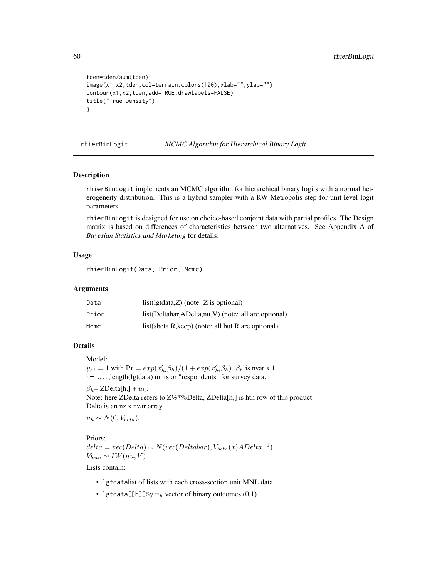```
tden=tden/sum(tden)
image(x1,x2,tden,col=terrain.colors(100),xlab="",ylab="")
contour(x1,x2,tden,add=TRUE,drawlabels=FALSE)
title("True Density")
}
```
rhierBinLogit *MCMC Algorithm for Hierarchical Binary Logit*

#### Description

rhierBinLogit implements an MCMC algorithm for hierarchical binary logits with a normal heterogeneity distribution. This is a hybrid sampler with a RW Metropolis step for unit-level logit parameters.

rhierBinLogit is designed for use on choice-based conjoint data with partial profiles. The Design matrix is based on differences of characteristics between two alternatives. See Appendix A of *Bayesian Statistics and Marketing* for details.

## Usage

```
rhierBinLogit(Data, Prior, Mcmc)
```
## Arguments

| Data  | $list(lgtdata, Z)$ (note: Z is optional)               |
|-------|--------------------------------------------------------|
| Prior | list(Deltabar, ADelta, nu, V) (note: all are optional) |
| Mcmc  | $list(sbeta, R, keep)$ (note: all but R are optional)  |

## Details

Model:

 $y_{hi} = 1$  with  $\Pr = exp(x'_{hi} \beta_h)/(1 + exp(x'_{hi} \beta_h)$ .  $\beta_h$  is nvar x 1. h=1,. . . ,length(lgtdata) units or "respondents" for survey data.

 $\beta_h = \text{ZDelta}[h] + u_h$ . Note: here ZDelta refers to Z%\*%Delta, ZDelta[h,] is hth row of this product. Delta is an nz x nvar array.

 $u_h \sim N(0, V_{beta}).$ 

Priors:

 $delta = vec(Delta) \sim N(vec(Delta bar), V_{beta}(x) ADelta^{-1})$  $V_{beta} \sim IW(nu, V)$ 

Lists contain:

- lgtdatalist of lists with each cross-section unit MNL data
- lgtdata[[h]]\$y  $n_h$  vector of binary outcomes  $(0,1)$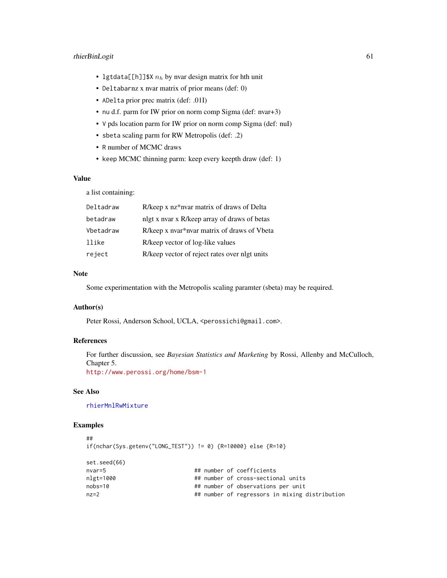# rhierBinLogit 61

- lgtdata[[h]]\$X  $n_h$  by nvar design matrix for hth unit
- Deltabarnz x nvar matrix of prior means (def: 0)
- ADelta prior prec matrix (def: .01I)
- nu d.f. parm for IW prior on norm comp Sigma (def: nvar+3)
- V pds location parm for IW prior on norm comp Sigma (def: nuI)
- sbeta scaling parm for RW Metropolis (def: .2)
- R number of MCMC draws
- keep MCMC thinning parm: keep every keepth draw (def: 1)

## Value

a list containing:

| Deltadraw | R/keep x nz*nvar matrix of draws of Delta     |
|-----------|-----------------------------------------------|
| betadraw  | nlgt x nyar x R/keep array of draws of betas  |
| Vbetadraw | R/keep x nvar*nvar matrix of draws of Vbeta   |
| llike     | R/keep vector of log-like values              |
| reject    | R/keep vector of reject rates over nlgt units |

## Note

Some experimentation with the Metropolis scaling paramter (sbeta) may be required.

## Author(s)

Peter Rossi, Anderson School, UCLA, <perossichi@gmail.com>.

## References

For further discussion, see *Bayesian Statistics and Marketing* by Rossi, Allenby and McCulloch, Chapter 5. <http://www.perossi.org/home/bsm-1>

## See Also

[rhierMnlRwMixture](#page-71-0)

```
##
if(nchar(Sys.getenv("LONG_TEST")) != 0) {R=10000} else {R=10}
set.seed(66)
nvar=5 And A + # number of coefficients
nlgt=1000 ## number of cross-sectional units
nobs=10 ## number of observations per unit
nz=2 ## number of regressors in mixing distribution
```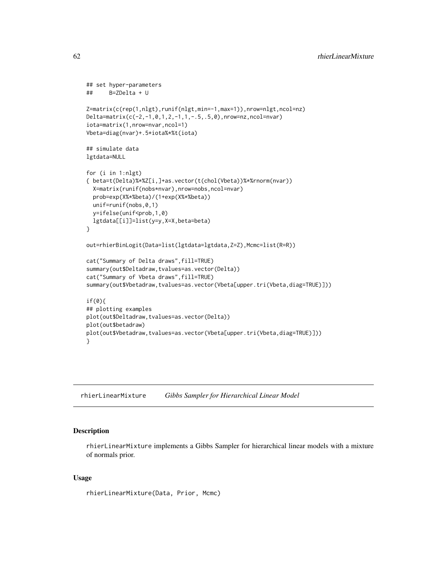```
## set hyper-parameters
## B=ZDelta + U
Z=matrix(c(rep(1,nlgt),runif(nlgt,min=-1,max=1)),nrow=nlgt,ncol=nz)
Delta=matrix(c(-2,-1,0,1,2,-1,1,-.5,.5,0),nrow=nz,ncol=nvar)
iota=matrix(1,nrow=nvar,ncol=1)
Vbeta=diag(nvar)+.5*iota%*%t(iota)
## simulate data
lgtdata=NULL
for (i in 1:nlgt)
{ beta=t(Delta)%*%Z[i,]+as.vector(t(chol(Vbeta))%*%rnorm(nvar))
 X=matrix(runif(nobs*nvar),nrow=nobs,ncol=nvar)
 prob=exp(X%*%beta)/(1+exp(X%*%beta))
 unif=runif(nobs,0,1)
 y=ifelse(unif<prob,1,0)
 lgtdata[[i]]=list(y=y,X=X,beta=beta)
}
out=rhierBinLogit(Data=list(lgtdata=lgtdata,Z=Z),Mcmc=list(R=R))
cat("Summary of Delta draws",fill=TRUE)
summary(out$Deltadraw,tvalues=as.vector(Delta))
cat("Summary of Vbeta draws",fill=TRUE)
summary(out$Vbetadraw,tvalues=as.vector(Vbeta[upper.tri(Vbeta,diag=TRUE)]))
if(0){
## plotting examples
plot(out$Deltadraw,tvalues=as.vector(Delta))
plot(out$betadraw)
plot(out$Vbetadraw,tvalues=as.vector(Vbeta[upper.tri(Vbeta,diag=TRUE)]))
}
```
<span id="page-61-0"></span>rhierLinearMixture *Gibbs Sampler for Hierarchical Linear Model*

## Description

rhierLinearMixture implements a Gibbs Sampler for hierarchical linear models with a mixture of normals prior.

#### Usage

rhierLinearMixture(Data, Prior, Mcmc)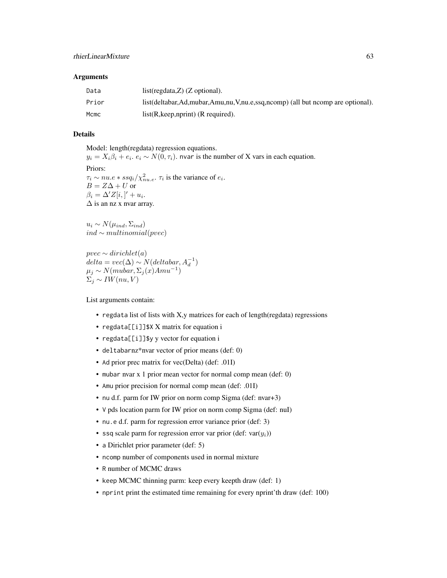#### Arguments

| Data  | $list(regdata, Z)$ (Z optional).                                                       |
|-------|----------------------------------------------------------------------------------------|
| Prior | list(deltabar, Ad, mubar, Amu, nu, V, nu, e, ssq, ncomp) (all but ncomp are optional). |
| Mcmc  | $list(R, keep, nprint)$ (R required).                                                  |

# Details

Model: length(regdata) regression equations.

 $y_i = X_i \beta_i + e_i$ .  $e_i \sim N(0, \tau_i)$ . nvar is the number of X vars in each equation. Priors:  $\tau_i \sim nu.e$  \*  $ssq_i/\chi^2_{nu.e}$ .  $\tau_i$  is the variance of  $e_i$ .  $B = Z\Delta + U$  or  $\beta_i = \Delta' Z[i, ]' + u_i.$ 

 $\Delta$  is an nz x nvar array.

 $u_i \sim N(\mu_{ind}, \Sigma_{ind})$ *ind*  $∼$  *multinomial(pvec)* 

 $pvec \sim dirichlet(a)$  $delta = vec(\Delta) \sim N(dettabar, A_d^{-1})$  $\mu_j \sim N(mubar, \Sigma_j(x)Amu^{-1})$  $\Sigma_i \sim IW(nu, V)$ 

List arguments contain:

- regdata list of lists with X,y matrices for each of length(regdata) regressions
- regdata[[i]] \$X X matrix for equation i
- regdata[[i]]\$y y vector for equation i
- deltabarnz\*nvar vector of prior means (def: 0)
- Ad prior prec matrix for vec(Delta) (def: .01I)
- mubar nvar x 1 prior mean vector for normal comp mean (def: 0)
- Amu prior precision for normal comp mean (def: .01I)
- nu d.f. parm for IW prior on norm comp Sigma (def: nvar+3)
- V pds location parm for IW prior on norm comp Sigma (def: nuI)
- nu.e d.f. parm for regression error variance prior (def: 3)
- ssq scale parm for regression error var prior (def:  $var(y_i)$ )
- a Dirichlet prior parameter (def: 5)
- ncomp number of components used in normal mixture
- R number of MCMC draws
- keep MCMC thinning parm: keep every keepth draw (def: 1)
- nprint print the estimated time remaining for every nprint'th draw (def: 100)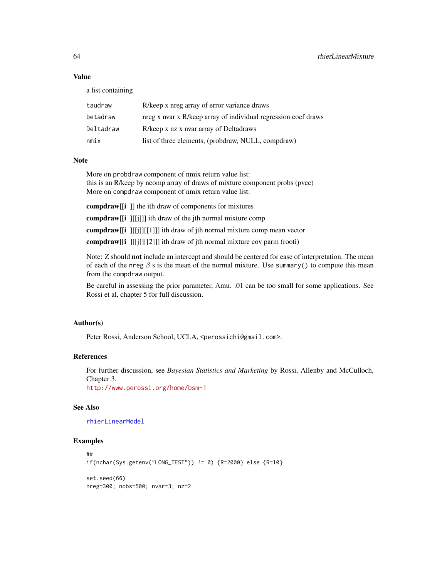# Value

a list containing

| taudraw   | R/keep x nreg array of error variance draws                    |
|-----------|----------------------------------------------------------------|
| betadraw  | nreg x nvar x R/keep array of individual regression coef draws |
| Deltadraw | R/keep x nz x nyar array of Deltadraws                         |
| nmix      | list of three elements, (probdraw, NULL, compdraw)             |

# Note

More on probdraw component of nmix return value list: this is an R/keep by ncomp array of draws of mixture component probs (pvec) More on compdraw component of nmix return value list:

compdraw[[i ]] the ith draw of components for mixtures

compdraw[[i ][[j]]] ith draw of the jth normal mixture comp

compdraw[[i ][[j]][[1]]] ith draw of jth normal mixture comp mean vector

compdraw[[i ][[j]][[2]]] ith draw of jth normal mixture cov parm (rooti)

Note: Z should not include an intercept and should be centered for ease of interpretation. The mean of each of the nreg  $\beta$  s is the mean of the normal mixture. Use summary() to compute this mean from the compdraw output.

Be careful in assessing the prior parameter, Amu. .01 can be too small for some applications. See Rossi et al, chapter 5 for full discussion.

# Author(s)

Peter Rossi, Anderson School, UCLA, <perossichi@gmail.com>.

# References

For further discussion, see *Bayesian Statistics and Marketing* by Rossi, Allenby and McCulloch, Chapter 3.

<http://www.perossi.org/home/bsm-1>

# See Also

[rhierLinearModel](#page-64-0)

```
##
if(nchar(Sys.getenv("LONG_TEST")) != 0) {R=2000} else {R=10}
set.seed(66)
nreg=300; nobs=500; nvar=3; nz=2
```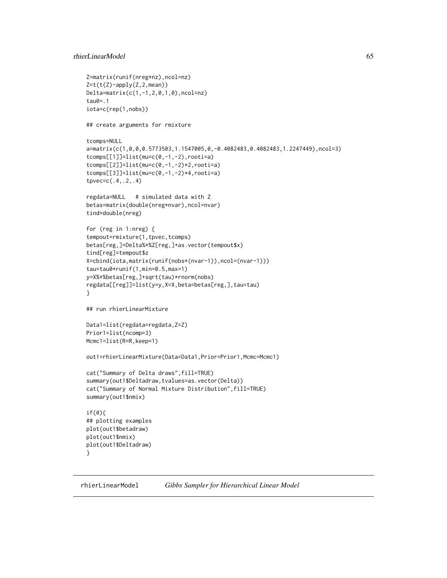# rhierLinearModel 65

```
Z=matrix(runif(nreg*nz),ncol=nz)
Z=t(t(Z)-apply(Z,2,mean))Delta=matrix(c(1,-1,2,0,1,0),ncol=nz)
tau0=.1
iota=c(rep(1,nobs))
## create arguments for rmixture
tcomps=NULL
a=matrix(c(1,0,0,0.5773503,1.1547005,0,-0.4082483,0.4082483,1.2247449),ncol=3)
tcomps[[1]]=list(mu=c(0,-1,-2),rooti=a)
tcomps[[2]]=list(mu=c(0,-1,-2)*2,rooti=a)
tcomps[[3]]=list(mu=c(0,-1,-2)*4,rooti=a)
tpvec=c(.4,.2,.4)
regdata=NULL # simulated data with Z
betas=matrix(double(nreg*nvar),ncol=nvar)
tind=double(nreg)
for (reg in 1:nreg) {
tempout=rmixture(1,tpvec,tcomps)
betas[reg,]=Delta%*%Z[reg,]+as.vector(tempout$x)
tind[reg]=tempout$z
X=cbind(iota,matrix(runif(nobs*(nvar-1)),ncol=(nvar-1)))
tau=tau0*runif(1,min=0.5,max=1)
y=X%*%betas[reg,]+sqrt(tau)*rnorm(nobs)
regdata[[reg]]=list(y=y,X=X,beta=betas[reg,],tau=tau)
}
## run rhierLinearMixture
Data1=list(regdata=regdata,Z=Z)
Prior1=list(ncomp=3)
Mcmc1=list(R=R,keep=1)
out1=rhierLinearMixture(Data=Data1,Prior=Prior1,Mcmc=Mcmc1)
cat("Summary of Delta draws",fill=TRUE)
summary(out1$Deltadraw,tvalues=as.vector(Delta))
cat("Summary of Normal Mixture Distribution",fill=TRUE)
summary(out1$nmix)
if(0){
## plotting examples
plot(out1$betadraw)
plot(out1$nmix)
plot(out1$Deltadraw)
}
```
<span id="page-64-0"></span>rhierLinearModel *Gibbs Sampler for Hierarchical Linear Model*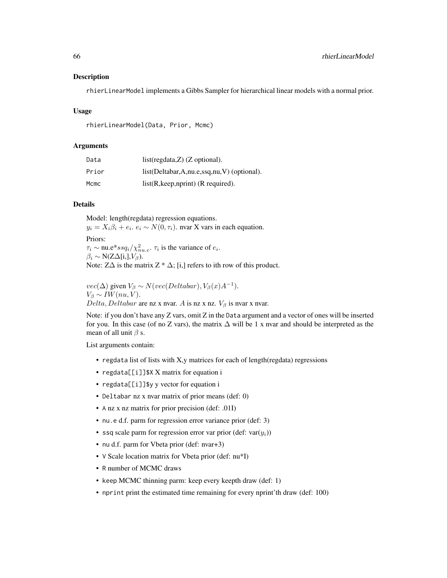#### Description

rhierLinearModel implements a Gibbs Sampler for hierarchical linear models with a normal prior.

#### Usage

rhierLinearModel(Data, Prior, Mcmc)

#### Arguments

| Data  | $list(regdata, Z)$ (Z optional).                  |
|-------|---------------------------------------------------|
| Prior | $list(Deltabar, A, nu.e, ssq, nu, V)$ (optional). |
| Mcmc  | $list(R, keep, nprint)$ (R required).             |

## Details

Model: length(regdata) regression equations.  $y_i = X_i \beta_i + e_i$ .  $e_i \sim N(0, \tau_i)$ . nvar X vars in each equation. Priors:  $\tau_i \sim$  nu.e\*ss $q_i/\chi^2_{nu.e}$ .  $\tau_i$  is the variance of  $e_i$ .  $\beta_i \sim N(Z\Delta[i,], V_\beta).$ 

Note:  $Z\Delta$  is the matrix  $Z * \Delta$ ; [i,] refers to ith row of this product.

 $vec(\Delta)$  given  $V_\beta \sim N(vec(Deltabar), V_\beta(x)A^{-1}).$  $V_\beta \sim IW(nu, V).$  $Delta, Delta$ are nz x nvar. A is nz x nz.  $V_\beta$  is nvar x nvar.

Note: if you don't have any Z vars, omit Z in the Data argument and a vector of ones will be inserted for you. In this case (of no Z vars), the matrix  $\Delta$  will be 1 x nvar and should be interpreted as the mean of all unit  $\beta$  s.

List arguments contain:

- regdata list of lists with X,y matrices for each of length(regdata) regressions
- regdata[[i]] \$X X matrix for equation i
- regdata[[i]]\$y y vector for equation i
- Deltabar nz x nvar matrix of prior means (def: 0)
- A nz x nz matrix for prior precision (def: .01I)
- nu.e d.f. parm for regression error variance prior (def: 3)
- ssq scale parm for regression error var prior (def: var $(y_i)$ )
- nu d.f. parm for Vbeta prior (def: nvar+3)
- V Scale location matrix for Vbeta prior (def: nu\*I)
- R number of MCMC draws
- keep MCMC thinning parm: keep every keepth draw (def: 1)
- nprint print the estimated time remaining for every nprint'th draw (def: 100)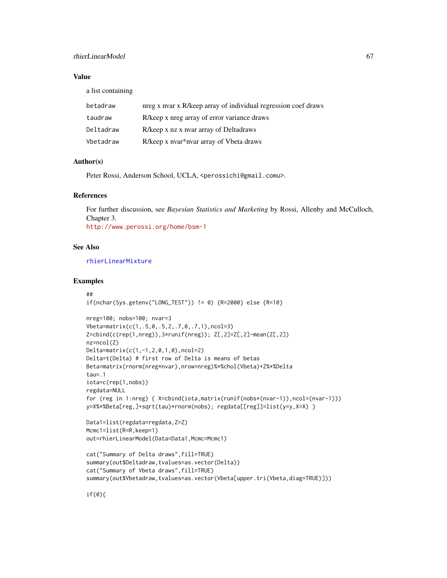# rhierLinearModel 67

## Value

a list containing

| betadraw  | nreg x nvar x R/keep array of individual regression coef draws |
|-----------|----------------------------------------------------------------|
| taudraw   | R/keep x nreg array of error variance draws                    |
| Deltadraw | R/keep x nz x nyar array of Deltadraws                         |
| Vbetadraw | R/keep x nyar*nyar array of Vbeta draws                        |

# Author(s)

Peter Rossi, Anderson School, UCLA, <perossichi@gmail.comu>.

## References

For further discussion, see *Bayesian Statistics and Marketing* by Rossi, Allenby and McCulloch, Chapter 3. <http://www.perossi.org/home/bsm-1>

#### See Also

[rhierLinearMixture](#page-61-0)

## Examples

```
##
if(nchar(Sys.getenv("Long_TEST")) != 0) {R=2000} else {R=10}nreg=100; nobs=100; nvar=3
Vbeta=matrix(c(1,.5,0,.5,2,.7,0,.7,1),ncol=3)
Z=cbind(c(rep(1,nreg)),3*runif(nreg)); Z[,2]=Z[,2]-mean(Z[,2])
nz=ncol(Z)
Delta=matrix(c(1,-1,2,0,1,0),ncol=2)
Delta=t(Delta) # first row of Delta is means of betas
Beta=matrix(rnorm(nreg*nvar),nrow=nreg)%*%chol(Vbeta)+Z%*%Delta
tau=.1
iota=c(rep(1,nobs))
regdata=NULL
for (reg in 1:nreg) { X=cbind(iota,matrix(runif(nobs*(nvar-1)),ncol=(nvar-1)))
y=X%*%Beta[reg,]+sqrt(tau)*rnorm(nobs); regdata[[reg]]=list(y=y,X=X) }
Data1=list(regdata=regdata,Z=Z)
Mcmc1=list(R=R,keep=1)
out=rhierLinearModel(Data=Data1,Mcmc=Mcmc1)
cat("Summary of Delta draws",fill=TRUE)
summary(out$Deltadraw,tvalues=as.vector(Delta))
cat("Summary of Vbeta draws",fill=TRUE)
summary(out$Vbetadraw,tvalues=as.vector(Vbeta[upper.tri(Vbeta,diag=TRUE)]))
```
if(0){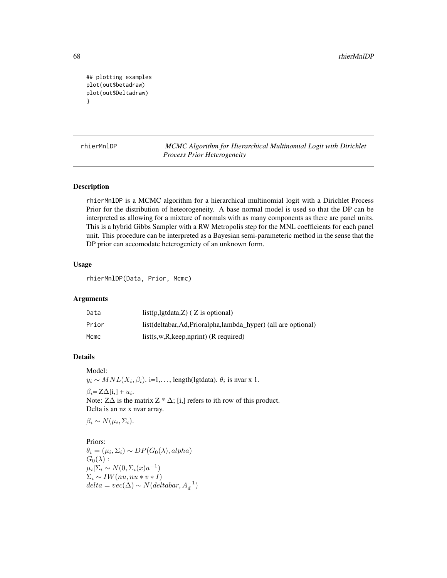```
## plotting examples
plot(out$betadraw)
plot(out$Deltadraw)
}
```
rhierMnlDP *MCMC Algorithm for Hierarchical Multinomial Logit with Dirichlet Process Prior Heterogeneity*

## Description

rhierMnlDP is a MCMC algorithm for a hierarchical multinomial logit with a Dirichlet Process Prior for the distribution of heteorogeneity. A base normal model is used so that the DP can be interpreted as allowing for a mixture of normals with as many components as there are panel units. This is a hybrid Gibbs Sampler with a RW Metropolis step for the MNL coefficients for each panel unit. This procedure can be interpreted as a Bayesian semi-parameteric method in the sense that the DP prior can accomodate heterogeniety of an unknown form.

## Usage

rhierMnlDP(Data, Prior, Mcmc)

#### Arguments

| Data  | $list(p, lgtdata, Z)$ ( Z is optional)                          |
|-------|-----------------------------------------------------------------|
| Prior | list(deltabar, Ad, Prioralpha, lambda_hyper) (all are optional) |
| Mcmc  | $list(s, w, R, keep, nprint)$ (R required)                      |

# Details

Model:

 $y_i \sim MNL(X_i, \beta_i)$ . i=1,..., length(lgtdata).  $\theta_i$  is nvar x 1.

 $\beta_i = Z\Delta[i,]+u_i.$ 

Note:  $Z\Delta$  is the matrix  $Z * \Delta$ ; [i,] refers to ith row of this product. Delta is an nz x nvar array.

 $\beta_i \sim N(\mu_i, \Sigma_i).$ 

Priors:  $\theta_i = (\mu_i, \Sigma_i) \sim DP(G_0(\lambda), alpha)$  $G_0(\lambda)$  :  $\mu_i | \Sigma_i \sim N(0, \Sigma_i(x) a^{-1})$  $\Sigma_i \sim IW(nu, nu * v * I)$  $delta = vec(\Delta) \sim N(dettabar, A_d^{-1})$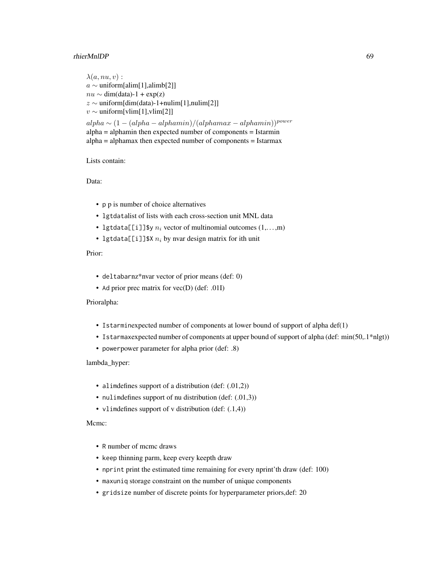## rhierMnlDP 69

```
\lambda(a, nu, v):
a ∼ uniform[alim[1],alimb[2]]
nu \sim dim(data) - 1 + exp(z)z \sim uniform[dim(data)-1+nulim[1],nulim[2]]
v \sim uniform[vlim[1],vlim[2]]
alpha \sim (1 - (alpha - alpha - alphamin)/(alpha max - alphamin))^{power}alpha = alphamin then expected number of components = Istarmin
alpha = alphamax then expected number of components = Istarmax
```
# Lists contain:

Data:

- p p is number of choice alternatives
- lgtdatalist of lists with each cross-section unit MNL data
- lgtdata[[i]]\$y  $n_i$  vector of multinomial outcomes  $(1,...,m)$
- lgtdata[[i]]\$X  $n_i$  by nvar design matrix for ith unit

Prior:

- deltabarnz\*nvar vector of prior means (def: 0)
- Ad prior prec matrix for vec(D) (def: .01I)

Prioralpha:

- Istarminexpected number of components at lower bound of support of alpha def(1)
- Istarmaxexpected number of components at upper bound of support of alpha (def: min(50,.1\*nlgt))
- powerpower parameter for alpha prior (def: .8)

lambda\_hyper:

- alimdefines support of a distribution (def: (.01,2))
- nulimdefines support of nu distribution (def: (.01,3))
- vlimdefines support of v distribution (def: (.1,4))

Mcmc:

- R number of mcmc draws
- keep thinning parm, keep every keepth draw
- nprint print the estimated time remaining for every nprint'th draw (def: 100)
- maxuniq storage constraint on the number of unique components
- gridsize number of discrete points for hyperparameter priors,def: 20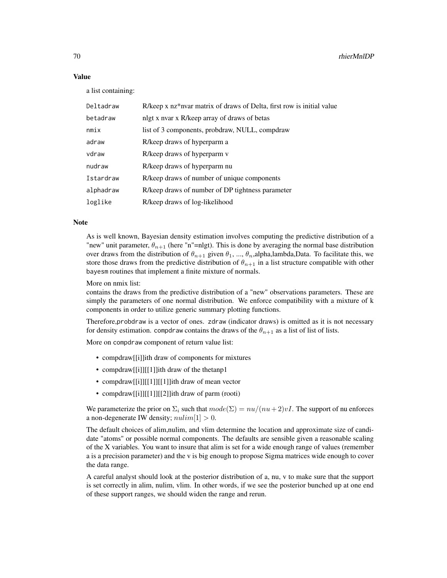#### Value

a list containing:

| Deltadraw | R/keep x nz*nvar matrix of draws of Delta, first row is initial value |
|-----------|-----------------------------------------------------------------------|
| betadraw  | nlgt x nvar x R/keep array of draws of betas                          |
| minx      | list of 3 components, probdraw, NULL, compdraw                        |
| adraw     | R/keep draws of hyperparm a                                           |
| vdraw     | R/keep draws of hyperparm v                                           |
| nudraw    | R/keep draws of hyperparm nu                                          |
| Istardraw | R/keep draws of number of unique components                           |
| alphadraw | R/keep draws of number of DP tightness parameter                      |
| loglike   | R/keep draws of log-likelihood                                        |

# Note

As is well known, Bayesian density estimation involves computing the predictive distribution of a "new" unit parameter,  $\theta_{n+1}$  (here "n"=nlgt). This is done by averaging the normal base distribution over draws from the distribution of  $\theta_{n+1}$  given  $\theta_1$ , ...,  $\theta_n$ , alpha, lambda, Data. To facilitate this, we store those draws from the predictive distribution of  $\theta_{n+1}$  in a list structure compatible with other bayesm routines that implement a finite mixture of normals.

#### More on nmix list:

contains the draws from the predictive distribution of a "new" observations parameters. These are simply the parameters of one normal distribution. We enforce compatibility with a mixture of k components in order to utilize generic summary plotting functions.

Therefore,probdraw is a vector of ones. zdraw (indicator draws) is omitted as it is not necessary for density estimation. compdraw contains the draws of the  $\theta_{n+1}$  as a list of list of lists.

More on compdraw component of return value list:

- compdraw[[i]]ith draw of components for mixtures
- compdraw[[i]][[1]]ith draw of the thetanp1
- compdraw[[i]][[1]][[1]]ith draw of mean vector
- compdraw[[i]][[1]][[2]]ith draw of parm (rooti)

We parameterize the prior on  $\Sigma_i$  such that  $mode(\Sigma) = nu/(nu+2)vI$ . The support of nu enforces a non-degenerate IW density;  $\textit{null} \geq 0$ .

The default choices of alim,nulim, and vlim determine the location and approximate size of candidate "atoms" or possible normal components. The defaults are sensible given a reasonable scaling of the X variables. You want to insure that alim is set for a wide enough range of values (remember a is a precision parameter) and the v is big enough to propose Sigma matrices wide enough to cover the data range.

A careful analyst should look at the posterior distribution of a, nu, v to make sure that the support is set correctly in alim, nulim, vlim. In other words, if we see the posterior bunched up at one end of these support ranges, we should widen the range and rerun.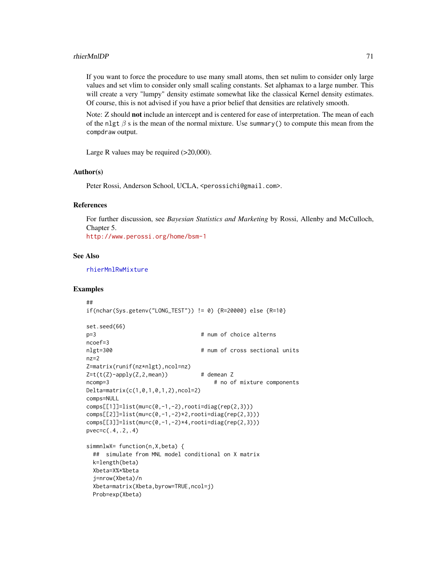#### rhierMnlDP 71

If you want to force the procedure to use many small atoms, then set nulim to consider only large values and set vlim to consider only small scaling constants. Set alphamax to a large number. This will create a very "lumpy" density estimate somewhat like the classical Kernel density estimates. Of course, this is not advised if you have a prior belief that densities are relatively smooth.

Note: Z should not include an intercept and is centered for ease of interpretation. The mean of each of the nlgt  $\beta$  s is the mean of the normal mixture. Use summary() to compute this mean from the compdraw output.

Large R values may be required (>20,000).

# Author(s)

Peter Rossi, Anderson School, UCLA, <perossichi@gmail.com>.

# References

For further discussion, see *Bayesian Statistics and Marketing* by Rossi, Allenby and McCulloch, Chapter 5. <http://www.perossi.org/home/bsm-1>

#### See Also

[rhierMnlRwMixture](#page-71-0)

```
##
if(nchar(Sys.getenv("LONG_TEST")) != 0) {R=20000} else {R=10}
set.seed(66)
p=3 # num of choice alterns
ncoef=3
nlgt=300 # num of cross sectional units
nz=2
Z=matrix(runif(nz*nlgt),ncol=nz)
Z=t(t(Z)-apply(Z,2,mean)) # demean Z
ncomp=3 # no of mixture components
Delta=matrix(c(1,0,1,0,1,2),ncol=2)
comps=NULL
comps[[1]]=list(mu=c(0,-1,-2),rooti=diag(rep(2,3)))
comps[[2]] = list(mu=c(0,-1,-2)*2,rooti=diag(rep(2,3)))comps[[3]]=list(mu=c(0,-1,-2)*4,rooti=diag(rep(2,3)))
pvec=c(.4,.2,.4)
simmnlwX= function(n,X,beta) {
 ## simulate from MNL model conditional on X matrix
 k=length(beta)
 Xbeta=X%*%beta
 j=nrow(Xbeta)/n
 Xbeta=matrix(Xbeta,byrow=TRUE,ncol=j)
 Prob=exp(Xbeta)
```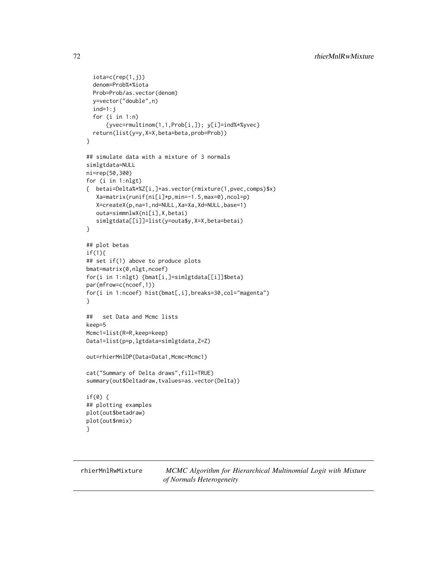```
iota=c(rep(1,j))denom=Prob%*%iota
 Prob=Prob/as.vector(denom)
 y=vector("double",n)
 ind=1:j
 for (i in 1:n)
     {yvec=rmultinom(1,1,Prob[i,]); y[i]=ind%*%yvec}
 return(list(y=y,X=X,beta=beta,prob=Prob))
}
## simulate data with a mixture of 3 normals
simlgtdata=NULL
ni=rep(50,300)
for (i in 1:nlgt)
{ betai=Delta%*%Z[i,]+as.vector(rmixture(1,pvec,comps)$x)
   Xa=matrix(runif(ni[i]*p,min=-1.5,max=0),ncol=p)
  X=createX(p,na=1,nd=NULL,Xa=Xa,Xd=NULL,base=1)
  outa=simmnlwX(ni[i],X,betai)
   simlgtdata[[i]]=list(y=outa$y,X=X,beta=betai)
}
## plot betas
if(1){
## set if(1) above to produce plots
bmat=matrix(0,nlgt,ncoef)
for(i in 1:nlgt) {bmat[i,]=simlgtdata[[i]]$beta}
par(mfrow=c(ncoef,1))
for(i in 1:ncoef) hist(bmat[,i],breaks=30,col="magenta")
}
## set Data and Mcmc lists
keep=5
Mcmc1=list(R=R,keep=keep)
Data1=list(p=p,lgtdata=simlgtdata,Z=Z)
out=rhierMnlDP(Data=Data1,Mcmc=Mcmc1)
cat("Summary of Delta draws",fill=TRUE)
summary(out$Deltadraw,tvalues=as.vector(Delta))
if(0) {
## plotting examples
plot(out$betadraw)
plot(out$nmix)
}
```
<span id="page-71-0"></span>rhierMnlRwMixture *MCMC Algorithm for Hierarchical Multinomial Logit with Mixture of Normals Heterogeneity*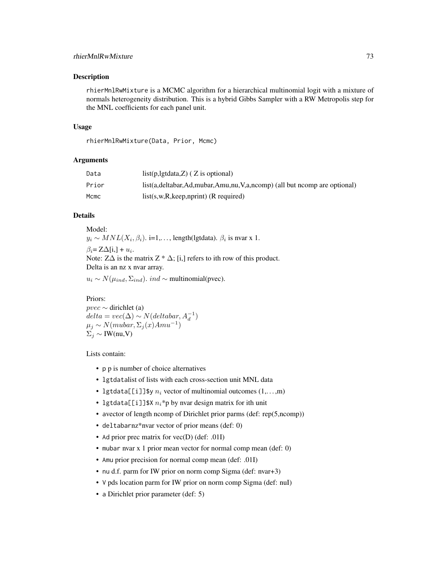# rhierMnlRwMixture 73

#### Description

rhierMnlRwMixture is a MCMC algorithm for a hierarchical multinomial logit with a mixture of normals heterogeneity distribution. This is a hybrid Gibbs Sampler with a RW Metropolis step for the MNL coefficients for each panel unit.

#### Usage

rhierMnlRwMixture(Data, Prior, Mcmc)

# Arguments

| Data  | $list(p, lgtdata, Z)$ ( Z is optional)                                          |
|-------|---------------------------------------------------------------------------------|
| Prior | $list(a, deltabar, Ad, mubar, Amu, nu, V,a, ncomp)$ (all but nomp are optional) |
| Mcmc  | $list(s, w, R, keep, nprint)$ (R required)                                      |

### Details

Model:  $y_i \sim MNL(X_i, \beta_i)$ . i=1,..., length(lgtdata).  $\beta_i$  is nvar x 1.  $\beta_i = Z\Delta[i,]+u_i.$ Note:  $Z\Delta$  is the matrix  $Z * \Delta$ ; [i,] refers to ith row of this product. Delta is an nz x nvar array.

 $u_i \sim N(\mu_{ind}, \Sigma_{ind})$ . *ind* ∼ multinomial(pvec).

Priors:  $pvec \sim$  dirichlet (a)  $delta = vec(\Delta) \sim N(dettabar, A_d^{-1})$  $\mu_j \sim N(mubar, \Sigma_j(x)Amu^{-1})$  $\Sigma_i \sim \text{IW(nu,V)}$ 

Lists contain:

- p p is number of choice alternatives
- lgtdatalist of lists with each cross-section unit MNL data
- lgtdata[[i]]\$y  $n_i$  vector of multinomial outcomes  $(1,...,m)$
- lgtdata[[i]]\$X  $n_i$ \*p by nvar design matrix for ith unit
- avector of length ncomp of Dirichlet prior parms (def: rep(5,ncomp))
- deltabarnz\*nvar vector of prior means (def: 0)
- Ad prior prec matrix for vec(D) (def: .01I)
- mubar nvar x 1 prior mean vector for normal comp mean (def: 0)
- Amu prior precision for normal comp mean (def: .01I)
- nu d.f. parm for IW prior on norm comp Sigma (def: nvar+3)
- V pds location parm for IW prior on norm comp Sigma (def: nuI)
- a Dirichlet prior parameter (def: 5)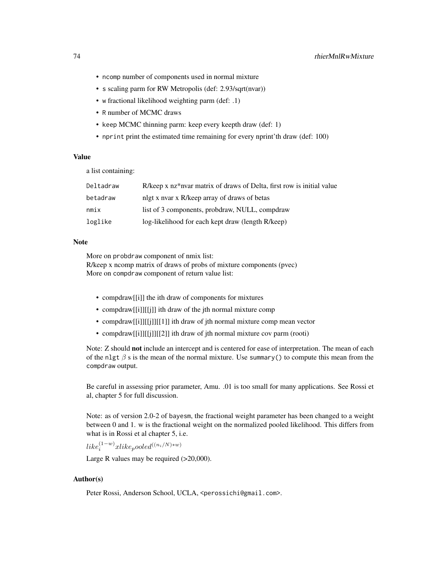- ncomp number of components used in normal mixture
- s scaling parm for RW Metropolis (def: 2.93/sqrt(nvar))
- w fractional likelihood weighting parm (def: .1)
- R number of MCMC draws
- keep MCMC thinning parm: keep every keepth draw (def: 1)
- nprint print the estimated time remaining for every nprint'th draw (def: 100)

# Value

a list containing:

| R/keep x nz*nvar matrix of draws of Delta, first row is initial value |
|-----------------------------------------------------------------------|
| nlgt x nyar x R/keep array of draws of betas                          |
| list of 3 components, probdraw, NULL, compdraw                        |
| log-likelihood for each kept draw (length R/keep)                     |
|                                                                       |

#### Note

More on probdraw component of nmix list:

R/keep x ncomp matrix of draws of probs of mixture components (pvec) More on compdraw component of return value list:

- compdraw[[i]] the ith draw of components for mixtures
- compdraw[[i]][[j]] ith draw of the jth normal mixture comp
- compdraw[[i]][[j]][[1]] ith draw of jth normal mixture comp mean vector
- compdraw[[i]][[j]][[2]] ith draw of jth normal mixture cov parm (rooti)

Note: Z should not include an intercept and is centered for ease of interpretation. The mean of each of the nlgt  $\beta$  s is the mean of the normal mixture. Use summary() to compute this mean from the compdraw output.

Be careful in assessing prior parameter, Amu. .01 is too small for many applications. See Rossi et al, chapter 5 for full discussion.

Note: as of version 2.0-2 of bayesm, the fractional weight parameter has been changed to a weight between 0 and 1. w is the fractional weight on the normalized pooled likelihood. This differs from what is in Rossi et al chapter 5, i.e.

 $like^{(1-w)}_i xlike pooled^{((n_i/N)*w)}$ 

Large R values may be required  $(>20,000)$ .

### Author(s)

Peter Rossi, Anderson School, UCLA, <perossichi@gmail.com>.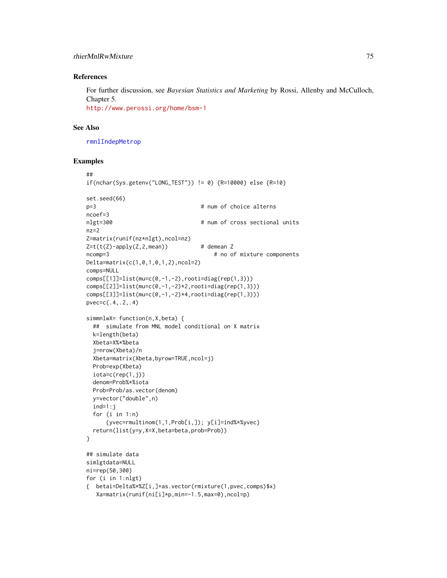# rhierMnlRwMixture 75

### References

For further discussion, see *Bayesian Statistics and Marketing* by Rossi, Allenby and McCulloch, Chapter 5. <http://www.perossi.org/home/bsm-1>

### See Also

[rmnlIndepMetrop](#page-87-0)

```
##
if(nchar(Sys.getenv("LONG_TEST")) != 0) {R=10000} else {R=10}
set.seed(66)
p=3 # num of choice alterns
ncoef=3
nlgt=300 # num of cross sectional units
nz=2Z=matrix(runif(nz*nlgt),ncol=nz)
Z=t(t(Z)-apply(Z,2,mean)) # demean Z
ncomp=3 # no of mixture components
Delta=matrix(c(1,0,1,0,1,2),ncol=2)
comps=NULL
comps[[1]]=list(mu=c(0,-1,-2),rooti=diag(rep(1,3)))
comps[[2]]=list(mu=c(0,-1,-2)*2,rooti=diag(rep(1,3)))
comps[[3]] = list(mu=c(0,-1,-2)*4,rooti=diag(rep(1,3)))pvec=c(.4,.2,.4)
simmnlwX= function(n,X,beta) {
 ## simulate from MNL model conditional on X matrix
 k=length(beta)
 Xbeta=X%*%beta
 j=nrow(Xbeta)/n
 Xbeta=matrix(Xbeta,byrow=TRUE,ncol=j)
 Prob=exp(Xbeta)
 iota=c(rep(1,j))
 denom=Prob%*%iota
 Prob=Prob/as.vector(denom)
 y=vector("double",n)
 ind=1:j
 for (i in 1:n)
     {yvec=rmultinom(1,1,Prob[i,]); y[i]=ind%*%yvec}
 return(list(y=y,X=X,beta=beta,prob=Prob))
}
## simulate data
simlgtdata=NULL
ni=rep(50,300)
for (i in 1:nlgt)
{ betai=Delta%*%Z[i,]+as.vector(rmixture(1,pvec,comps)$x)
  Xa=matrix(runif(ni[i]*p,min=-1.5,max=0),ncol=p)
```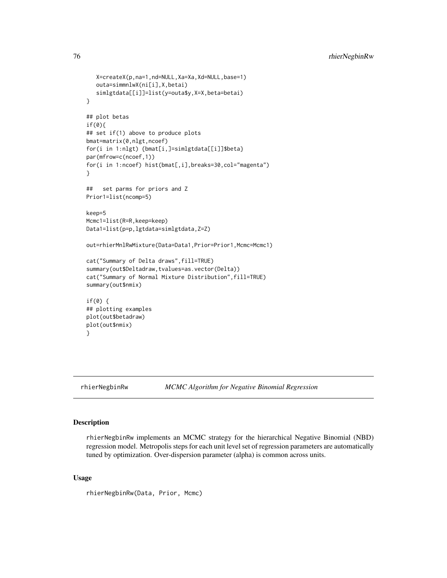```
X=createX(p,na=1,nd=NULL,Xa=Xa,Xd=NULL,base=1)
  outa=simmnlwX(ni[i],X,betai)
   simlgtdata[[i]]=list(y=outa$y,X=X,beta=betai)
}
## plot betas
if(0){
## set if(1) above to produce plots
bmat=matrix(0,nlgt,ncoef)
for(i in 1:nlgt) {bmat[i,]=simlgtdata[[i]]$beta}
par(mfrow=c(ncoef,1))
for(i in 1:ncoef) hist(bmat[,i],breaks=30,col="magenta")
}
## set parms for priors and Z
Prior1=list(ncomp=5)
keep=5
Mcmc1=list(R=R,keep=keep)
Data1=list(p=p,lgtdata=simlgtdata,Z=Z)
out=rhierMnlRwMixture(Data=Data1,Prior=Prior1,Mcmc=Mcmc1)
cat("Summary of Delta draws",fill=TRUE)
summary(out$Deltadraw,tvalues=as.vector(Delta))
cat("Summary of Normal Mixture Distribution",fill=TRUE)
summary(out$nmix)
if(0) {
## plotting examples
plot(out$betadraw)
plot(out$nmix)
}
```
<span id="page-75-0"></span>rhierNegbinRw *MCMC Algorithm for Negative Binomial Regression*

# Description

rhierNegbinRw implements an MCMC strategy for the hierarchical Negative Binomial (NBD) regression model. Metropolis steps for each unit level set of regression parameters are automatically tuned by optimization. Over-dispersion parameter (alpha) is common across units.

#### Usage

rhierNegbinRw(Data, Prior, Mcmc)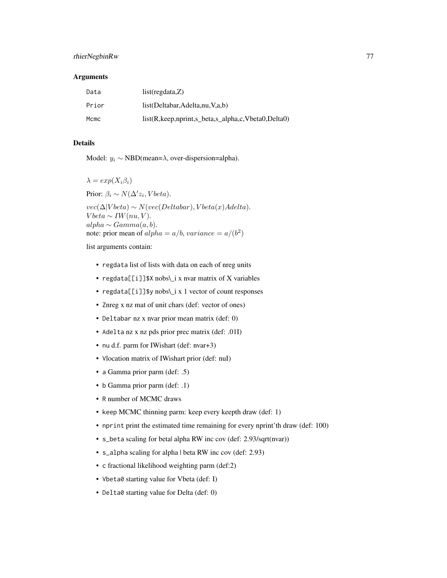### rhierNegbinRw 77

#### **Arguments**

| Data  | list(regdata, Z)                                                            |
|-------|-----------------------------------------------------------------------------|
| Prior | list(Deltabar, Adelta, nu, V, a, b)                                         |
| Mcmc  | $list(R, keep, nprint, s \text{ beta}, s \text{ alpha}, c, Vbeta0, Delta0)$ |

## Details

Model:  $y_i \sim \text{NBD}(\text{mean}=\lambda, \text{over-dispersion}= \text{alpha}).$ 

 $\lambda = exp(X_i \beta_i)$ 

Prior:  $\beta_i \sim N(\Delta' z_i, Vbeta).$ 

 $vec(\Delta|V beta) \sim N(vec(Deltabar), V beta(x) A delta).$  $V beta \sim IW(nu, V).$  $alpha \sim Gamma(a, b).$ note: prior mean of  $alpha = a/b$ ,  $variance = a/(b^2)$ 

list arguments contain:

- regdata list of lists with data on each of nreg units
- regdata[[i]]\$X nobs\\_i x nvar matrix of X variables
- regdata[[i]]\$y nobs\\_i x 1 vector of count responses
- Znreg x nz mat of unit chars (def: vector of ones)
- Deltabar nz x nvar prior mean matrix (def: 0)
- Adelta nz x nz pds prior prec matrix (def: .01I)
- nu d.f. parm for IWishart (def: nvar+3)
- Vlocation matrix of IWishart prior (def: nuI)
- a Gamma prior parm (def: .5)
- b Gamma prior parm (def: .1)
- R number of MCMC draws
- keep MCMC thinning parm: keep every keepth draw (def: 1)
- nprint print the estimated time remaining for every nprint'th draw (def: 100)
- s\_beta scaling for beta| alpha RW inc cov (def: 2.93/sqrt(nvar))
- s\_alpha scaling for alpha | beta RW inc cov (def: 2.93)
- c fractional likelihood weighting parm (def:2)
- Vbeta0 starting value for Vbeta (def: I)
- Delta0 starting value for Delta (def: 0)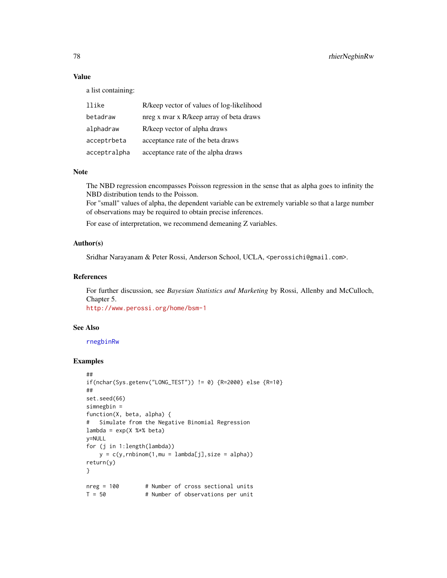# Value

a list containing:

| llike        | R/keep vector of values of log-likelihood |
|--------------|-------------------------------------------|
| betadraw     | nreg x nvar x R/keep array of beta draws  |
| alphadraw    | R/keep vector of alpha draws              |
| acceptrbeta  | acceptance rate of the beta draws         |
| acceptralpha | acceptance rate of the alpha draws        |

### **Note**

The NBD regression encompasses Poisson regression in the sense that as alpha goes to infinity the NBD distribution tends to the Poisson.

For "small" values of alpha, the dependent variable can be extremely variable so that a large number of observations may be required to obtain precise inferences.

For ease of interpretation, we recommend demeaning Z variables.

## Author(s)

Sridhar Narayanam & Peter Rossi, Anderson School, UCLA, <perossichi@gmail.com>.

# References

For further discussion, see *Bayesian Statistics and Marketing* by Rossi, Allenby and McCulloch, Chapter 5.

<http://www.perossi.org/home/bsm-1>

### See Also

[rnegbinRw](#page-96-0)

```
##
if(nchar(Sys.getenv("LONG_TEST")) != 0) {R=2000} else {R=10}
##
set.seed(66)
simnegbin =
function(X, beta, alpha) {
# Simulate from the Negative Binomial Regression
lambda = exp(X %*% beta)
y=NULL
for (j in 1:length(lambda))
    y = c(y, rnbinom(1, mu = lambda[j], size = alpha))return(y)
}
nreg = 100 # Number of cross sectional units<br>T = 50 # Number of observations per unit
                    # Number of observations per unit
```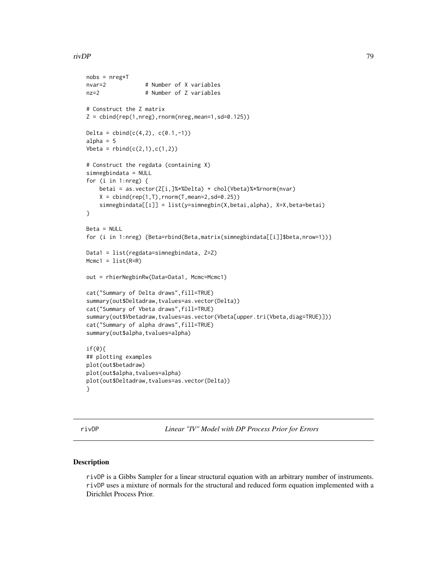### rivDP 79

```
nobs = nreg*Tnvar=2 # Number of X variables
nz=2 # Number of Z variables
# Construct the Z matrix
Z = \text{cbind}(\text{rep}(1, \text{nreg}), \text{rnorm}(\text{nreg}, \text{mean=1}, \text{sd=0.125}))Delta = \text{cbind}(c(4, 2), c(0.1, -1))alpha = 5Vbeta = rbind(c(2,1),c(1,2))# Construct the regdata (containing X)
simnegbindata = NULL
for (i in 1:nreg) {
    betai = as.vector(Z[i,]%*%Delta) + chol(Vbeta)%*%rnorm(nvar)
    X = \text{cbind}(\text{rep}(1, T), \text{rnorm}(T, \text{mean=2}, \text{sd=0.25}))simnegbindata[[i]] = list(y=simnegbin(X,betai,alpha), X=X,beta=betai)
}
Beta = NULL
for (i in 1:nreg) {Beta=rbind(Beta,matrix(simnegbindata[[i]]$beta,nrow=1))}
Data1 = list(regdata=simnegbindata, Z=Z)
Mcmc1 = list(R=R)out = rhierNegbinRw(Data=Data1, Mcmc=Mcmc1)
cat("Summary of Delta draws",fill=TRUE)
summary(out$Deltadraw,tvalues=as.vector(Delta))
cat("Summary of Vbeta draws",fill=TRUE)
summary(out$Vbetadraw,tvalues=as.vector(Vbeta[upper.tri(Vbeta,diag=TRUE)]))
cat("Summary of alpha draws",fill=TRUE)
summary(out$alpha,tvalues=alpha)
if(0){
## plotting examples
plot(out$betadraw)
plot(out$alpha,tvalues=alpha)
plot(out$Deltadraw,tvalues=as.vector(Delta))
}
```
rivDP *Linear "IV" Model with DP Process Prior for Errors*

#### **Description**

rivDP is a Gibbs Sampler for a linear structural equation with an arbitrary number of instruments. rivDP uses a mixture of normals for the structural and reduced form equation implemented with a Dirichlet Process Prior.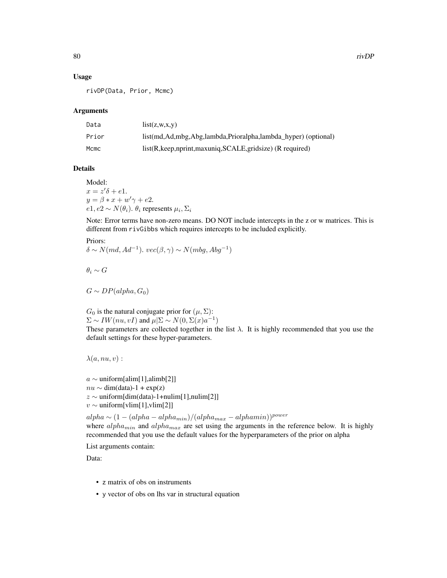### Usage

rivDP(Data, Prior, Mcmc)

#### Arguments

| Data  | list(z,w,x,y)                                                       |
|-------|---------------------------------------------------------------------|
| Prior | list(md, Ad, mbg, Abg, lambda, Prioralpha, lambda_hyper) (optional) |
| Mcmc  | list(R, keep, nprint, maxuniq, SCALE, gridsize) (R required)        |

# Details

Model:  $x = z'\delta + e1.$  $y = \beta * x + w' \gamma + e2.$  $e1, e2 \sim N(\theta_i)$ .  $\theta_i$  represents  $\mu_i, \Sigma_i$ 

Note: Error terms have non-zero means. DO NOT include intercepts in the z or w matrices. This is different from rivGibbs which requires intercepts to be included explicitly.

```
Priors:
\delta \sim N(md, Ad^{-1}). vec(\beta, \gamma) \sim N(mbg, Abg^{-1})
```
 $\theta_i \sim G$ 

 $G \sim DP(alpha, G_0)$ 

 $G_0$  is the natural conjugate prior for  $(\mu, \Sigma)$ :  $\Sigma \sim IW(nu, vI)$  and  $\mu | \Sigma \sim N(0, \Sigma(x)a^{-1})$ These parameters are collected together in the list  $\lambda$ . It is highly recommended that you use the default settings for these hyper-parameters.

 $\lambda(a, nu, v)$ :

a ∼ uniform[alim[1],alimb[2]]  $nu \sim dim(data) - 1 + exp(z)$  $z \sim$  uniform[dim(data)-1+nulim[1],nulim[2]] v ∼ uniform[vlim[1],vlim[2]]

 $alpha \sim (1 - (alpha - alpha - alpha_{min})/(alpha_{max} - alpha_{min}))^{power}$ where  $alpha_{min}$  and  $alpha_{max}$  are set using the arguments in the reference below. It is highly recommended that you use the default values for the hyperparameters of the prior on alpha

List arguments contain:

Data:

- z matrix of obs on instruments
- y vector of obs on lhs var in structural equation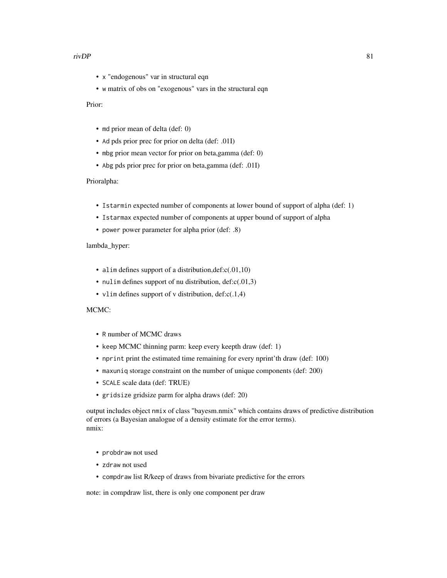#### $\frac{1}{2}$  rivDP 81

- x "endogenous" var in structural eqn
- w matrix of obs on "exogenous" vars in the structural eqn

Prior:

- md prior mean of delta (def: 0)
- Ad pds prior prec for prior on delta (def: .01I)
- mbg prior mean vector for prior on beta,gamma (def: 0)
- Abg pds prior prec for prior on beta,gamma (def: .01I)

Prioralpha:

- Istarmin expected number of components at lower bound of support of alpha (def: 1)
- Istarmax expected number of components at upper bound of support of alpha
- power power parameter for alpha prior (def: .8)

#### lambda\_hyper:

- alim defines support of a distribution,  $\text{def:}c(.01,10)$
- nulim defines support of nu distribution, def:c(.01,3)
- vlim defines support of v distribution,  $def: c(.1,4)$

### MCMC:

- R number of MCMC draws
- keep MCMC thinning parm: keep every keepth draw (def: 1)
- nprint print the estimated time remaining for every nprint'th draw (def: 100)
- maxuniq storage constraint on the number of unique components (def: 200)
- SCALE scale data (def: TRUE)
- gridsize gridsize parm for alpha draws (def: 20)

output includes object nmix of class "bayesm.nmix" which contains draws of predictive distribution of errors (a Bayesian analogue of a density estimate for the error terms). nmix:

- probdraw not used
- zdraw not used
- compdraw list R/keep of draws from bivariate predictive for the errors

note: in compdraw list, there is only one component per draw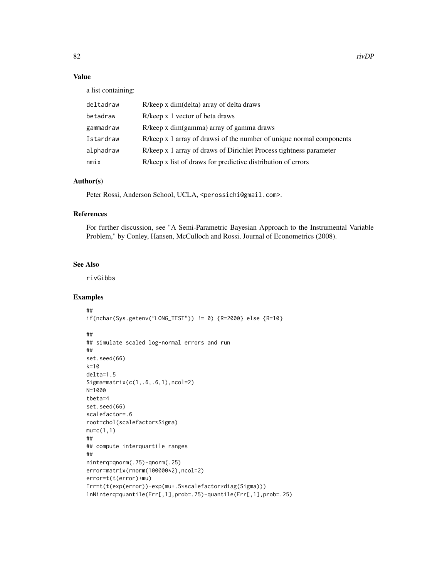# Value

a list containing:

| deltadraw | R/keep x dim(delta) array of delta draws                             |
|-----------|----------------------------------------------------------------------|
| betadraw  | R/keep x 1 vector of beta draws                                      |
| gammadraw | R/keep x dim(gamma) array of gamma draws                             |
| Istardraw | R/keep x 1 array of drawsi of the number of unique normal components |
| alphadraw | R/keep x 1 array of draws of Dirichlet Process tightness parameter   |
| nmix      | R/keep x list of draws for predictive distribution of errors         |

# Author(s)

Peter Rossi, Anderson School, UCLA, <perossichi@gmail.com>.

#### References

For further discussion, see "A Semi-Parametric Bayesian Approach to the Instrumental Variable Problem," by Conley, Hansen, McCulloch and Rossi, Journal of Econometrics (2008).

## See Also

rivGibbs

```
##
if(nchar(Sys.getenv("LONG_TEST")) != 0) {R=2000} else {R=10}
```

```
##
## simulate scaled log-normal errors and run
##
set.seed(66)
k=10
delta=1.5
Sigma=matrix(c(1,.6,.6,1),ncol=2)
N=1000
tbeta=4
set.seed(66)
scalefactor=.6
root=chol(scalefactor*Sigma)
mu=c(1,1)##
## compute interquartile ranges
##
ninterq=qnorm(.75)-qnorm(.25)
error=matrix(rnorm(100000*2),ncol=2)
error=t(t(error)+mu)
Err=t(t(exp(error))-exp(mu+.5*scalefactor*diag(Sigma)))
lnNinterq=quantile(Err[,1],prob=.75)-quantile(Err[,1],prob=.25)
```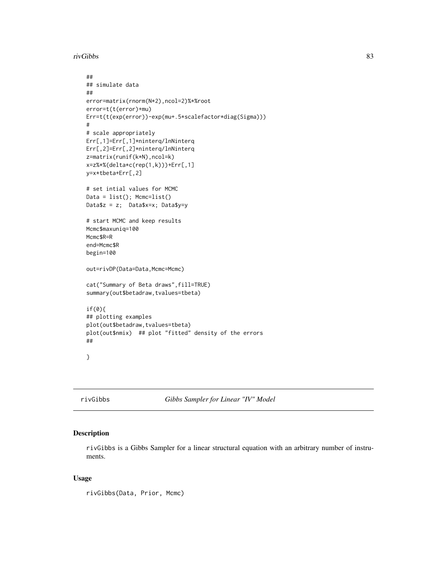rivGibbs 83

```
##
## simulate data
##
error=matrix(rnorm(N*2),ncol=2)%*%root
error=t(t(error)+mu)
Err=t(t(exp(error))-exp(mu+.5*scalefactor*diag(Sigma)))
#
# scale appropriately
Err[,1]=Err[,1]*ninterq/lnNinterq
Err[,2]=Err[,2]*ninterq/lnNinterq
z=matrix(runif(k*N),ncol=k)
x=z%*%(delta*c(rep(1,k)))+Err[,1]
y=x*tbeta+Err[,2]
# set intial values for MCMC
Data = list(); Mcmc=list()
Data$z = z; Data$x=x; Data$y=y
# start MCMC and keep results
Mcmc$maxuniq=100
Mcmc$R=R
end=Mcmc$R
begin=100
out=rivDP(Data=Data,Mcmc=Mcmc)
cat("Summary of Beta draws",fill=TRUE)
summary(out$betadraw,tvalues=tbeta)
if(0){
## plotting examples
plot(out$betadraw,tvalues=tbeta)
plot(out$nmix) ## plot "fitted" density of the errors
##
}
```
rivGibbs *Gibbs Sampler for Linear "IV" Model*

## Description

rivGibbs is a Gibbs Sampler for a linear structural equation with an arbitrary number of instruments.

# Usage

rivGibbs(Data, Prior, Mcmc)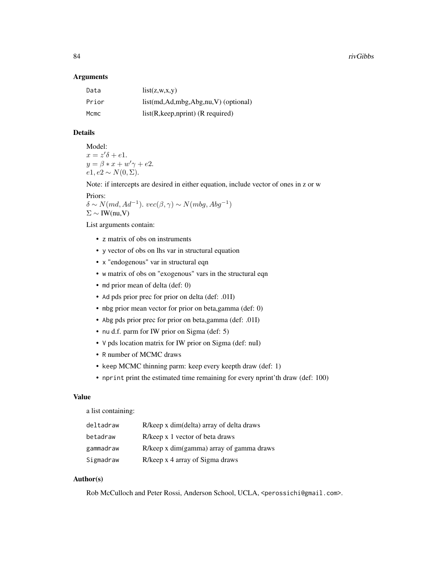#### **Arguments**

| Data  | list(z, w, x, y)                           |
|-------|--------------------------------------------|
| Prior | $list(md, Ad, mbg, Abg, nu, V)$ (optional) |
| Mcmc  | $list(R, keep, nprint)$ (R required)       |

# Details

Model:  $x = z'\delta + e1.$  $y = \beta * x + w' \gamma + e2.$  $e1, e2 \sim N(0, \Sigma).$ 

Note: if intercepts are desired in either equation, include vector of ones in z or w

Priors:

 $\delta \sim N(md, Ad^{-1})$ .  $vec(\beta, \gamma) \sim N(mbg, Abg^{-1})$  $\Sigma \sim \text{IW}(nu, V)$ 

List arguments contain:

- z matrix of obs on instruments
- y vector of obs on lhs var in structural equation
- x "endogenous" var in structural eqn
- w matrix of obs on "exogenous" vars in the structural eqn
- md prior mean of delta (def: 0)
- Ad pds prior prec for prior on delta (def: .01I)
- mbg prior mean vector for prior on beta,gamma (def: 0)
- Abg pds prior prec for prior on beta,gamma (def: .01I)
- nu d.f. parm for IW prior on Sigma (def: 5)
- V pds location matrix for IW prior on Sigma (def: nuI)
- R number of MCMC draws
- keep MCMC thinning parm: keep every keepth draw (def: 1)
- nprint print the estimated time remaining for every nprint'th draw (def: 100)

## Value

a list containing:

| deltadraw | R/keep x dim(delta) array of delta draws |
|-----------|------------------------------------------|
| betadraw  | R/keep x 1 vector of beta draws          |
| gammadraw | R/keep x dim(gamma) array of gamma draws |
| Sigmadraw | R/keep x 4 array of Sigma draws          |

### Author(s)

Rob McCulloch and Peter Rossi, Anderson School, UCLA, <perossichi@gmail.com>.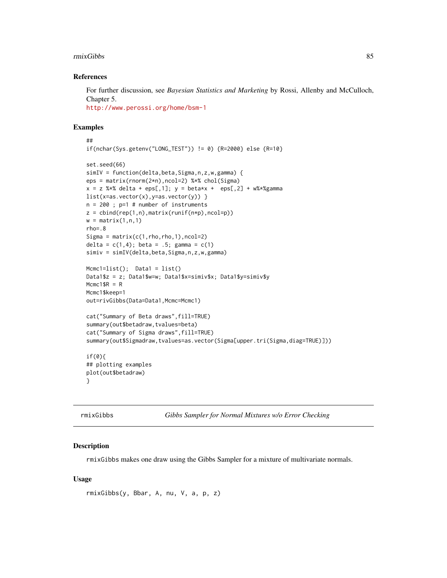#### rmixGibbs 85

### References

For further discussion, see *Bayesian Statistics and Marketing* by Rossi, Allenby and McCulloch, Chapter 5.

<http://www.perossi.org/home/bsm-1>

#### Examples

```
##
if(nchar(Sys.getenv("LONG_TEST")) != 0) {R=2000} else {R=10}
set.seed(66)
simIV = function(delta,beta,Sigma,n,z,w,gamma) {
eps = matrix(rnorm(2*n),ncol=2) %*% chol(Sigma)
x = z %*% delta + eps[,1]; y = \text{beta}x + \text{eps}[,2] + w%*%gamma
list(x=as.vector(x), y=as.vector(y)) }
n = 200 ; p=1 # number of instruments
z = cbind(rep(1,n),matrix(runif(n*p),ncol=p))
w = matrix(1, n, 1)rho=.8
Sigma = matrix(c(1,rho,rho,1),ncol=2)delta = c(1, 4); beta = .5; gamma = c(1)simiv = simIV(delta, beta, Sigma, n, z, w, gamma)
Mcmc1=list(); Data1 = list()
Data1$z = z; Data1$w=w; Data1$x=simiv$x; Data1$y=simiv$y
Mcmc1$R = R
Mcmc1$keep=1
out=rivGibbs(Data=Data1,Mcmc=Mcmc1)
cat("Summary of Beta draws",fill=TRUE)
summary(out$betadraw,tvalues=beta)
cat("Summary of Sigma draws",fill=TRUE)
summary(out$Sigmadraw,tvalues=as.vector(Sigma[upper.tri(Sigma,diag=TRUE)]))
if(0){
## plotting examples
plot(out$betadraw)
}
```
<span id="page-84-0"></span>rmixGibbs *Gibbs Sampler for Normal Mixtures w/o Error Checking*

### **Description**

rmixGibbs makes one draw using the Gibbs Sampler for a mixture of multivariate normals.

#### Usage

```
rmixGibbs(y, Bbar, A, nu, V, a, p, z)
```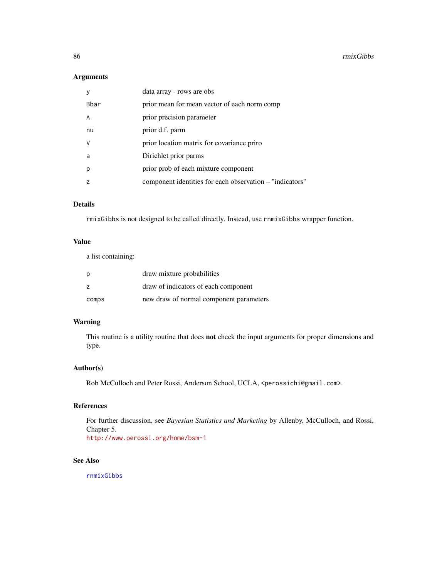## Arguments

|      | data array - rows are obs                                |
|------|----------------------------------------------------------|
| Bbar | prior mean for mean vector of each norm comp             |
| A    | prior precision parameter                                |
| nu   | prior d.f. parm                                          |
| V    | prior location matrix for covariance priro               |
| a    | Dirichlet prior parms                                    |
| р    | prior prob of each mixture component                     |
|      | component identities for each observation – "indicators" |
|      |                                                          |

## Details

rmixGibbs is not designed to be called directly. Instead, use rnmixGibbs wrapper function.

# Value

a list containing:

| p              | draw mixture probabilities              |
|----------------|-----------------------------------------|
| $\overline{z}$ | draw of indicators of each component    |
| comps          | new draw of normal component parameters |

# Warning

This routine is a utility routine that does not check the input arguments for proper dimensions and type.

### Author(s)

Rob McCulloch and Peter Rossi, Anderson School, UCLA, <perossichi@gmail.com>.

# References

For further discussion, see *Bayesian Statistics and Marketing* by Allenby, McCulloch, and Rossi, Chapter 5.

<http://www.perossi.org/home/bsm-1>

# See Also

[rnmixGibbs](#page-98-0)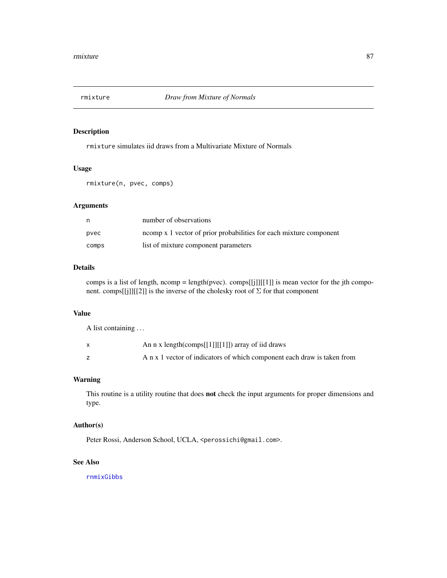<span id="page-86-0"></span>

# Description

rmixture simulates iid draws from a Multivariate Mixture of Normals

# Usage

rmixture(n, pvec, comps)

### Arguments

| n     | number of observations                                             |
|-------|--------------------------------------------------------------------|
| pyec  | ncomp x 1 vector of prior probabilities for each mixture component |
| comps | list of mixture component parameters                               |

# Details

comps is a list of length, ncomp = length(pvec). comps[[j]][[1]] is mean vector for the jth component. comps[[j]][[2]] is the inverse of the cholesky root of  $\Sigma$  for that component

# Value

A list containing . . .

| An n x length(comps[[1]][[1]]) array of iid draws                       |
|-------------------------------------------------------------------------|
| A n x 1 vector of indicators of which component each draw is taken from |

### Warning

This routine is a utility routine that does **not** check the input arguments for proper dimensions and type.

# Author(s)

Peter Rossi, Anderson School, UCLA, <perossichi@gmail.com>.

# See Also

[rnmixGibbs](#page-98-0)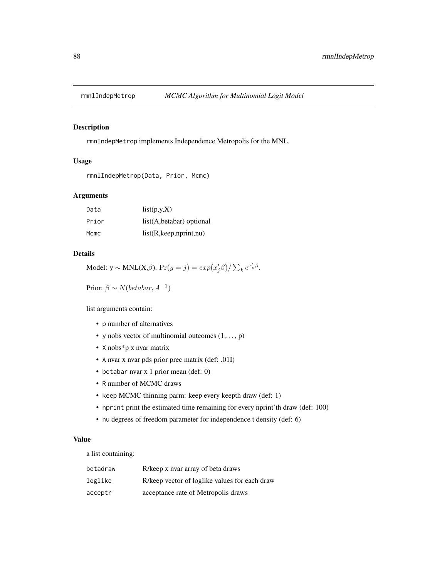<span id="page-87-0"></span>

#### Description

rmnIndepMetrop implements Independence Metropolis for the MNL.

## Usage

```
rmnlIndepMetrop(Data, Prior, Mcmc)
```
#### Arguments

| Data  | list(p,y,X)                 |
|-------|-----------------------------|
| Prior | $list(A, betabar)$ optional |
| Mcmc  | list(R, keep, nprint, nu)   |

# Details

Model:  $y \sim MNL(X,\beta)$ .  $Pr(y = j) = exp(x'_j\beta)/\sum_k e^{x'_k\beta}$ .

Prior:  $\beta \sim N(betabar, A^{-1})$ 

list arguments contain:

- p number of alternatives
- y nobs vector of multinomial outcomes  $(1, \ldots, p)$
- X nobs\*p x nvar matrix
- A nvar x nvar pds prior prec matrix (def: .01I)
- betabar nvar x 1 prior mean (def: 0)
- R number of MCMC draws
- keep MCMC thinning parm: keep every keepth draw (def: 1)
- nprint print the estimated time remaining for every nprint'th draw (def: 100)
- nu degrees of freedom parameter for independence t density (def: 6)

### Value

a list containing:

| betadraw | R/keep x nyar array of beta draws             |
|----------|-----------------------------------------------|
| loglike  | R/keep vector of loglike values for each draw |
| acceptr  | acceptance rate of Metropolis draws           |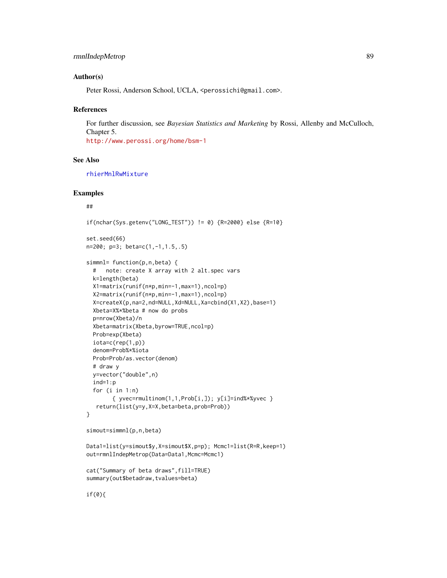# rmnlIndepMetrop 89

### Author(s)

Peter Rossi, Anderson School, UCLA, <perossichi@gmail.com>.

#### References

For further discussion, see *Bayesian Statistics and Marketing* by Rossi, Allenby and McCulloch, Chapter 5. <http://www.perossi.org/home/bsm-1>

### See Also

[rhierMnlRwMixture](#page-71-0)

#### Examples

#### ##

if(nchar(Sys.getenv("LONG\_TEST")) != 0) {R=2000} else {R=10}

set.seed(66) n=200; p=3; beta=c(1,-1,1.5,.5)

```
simmnl= function(p,n,beta) {
 # note: create X array with 2 alt.spec vars
 k=length(beta)
 X1=matrix(runif(n*p,min=-1,max=1),ncol=p)
 X2=matrix(runif(n*p,min=-1,max=1),ncol=p)
 X=createX(p,na=2,nd=NULL,Xd=NULL,Xa=cbind(X1,X2),base=1)
 Xbeta=X%*%beta # now do probs
 p=nrow(Xbeta)/n
 Xbeta=matrix(Xbeta,byrow=TRUE,ncol=p)
 Prob=exp(Xbeta)
 iota=c(rep(1,p))
 denom=Prob%*%iota
 Prob=Prob/as.vector(denom)
 # draw y
 y=vector("double",n)
 ind=1:p
 for (i in 1:n)
       \{ yvec=rmultinom(1,1,Prob[i,]); y[i]=ind%*%yvec }
  return(list(y=y,X=X,beta=beta,prob=Prob))
}
simout=simmnl(p,n,beta)
```

```
Data1=list(y=simout$y,X=simout$X,p=p); Mcmc1=list(R=R,keep=1)
out=rmnlIndepMetrop(Data=Data1,Mcmc=Mcmc1)
```

```
cat("Summary of beta draws",fill=TRUE)
summary(out$betadraw,tvalues=beta)
```
if(0){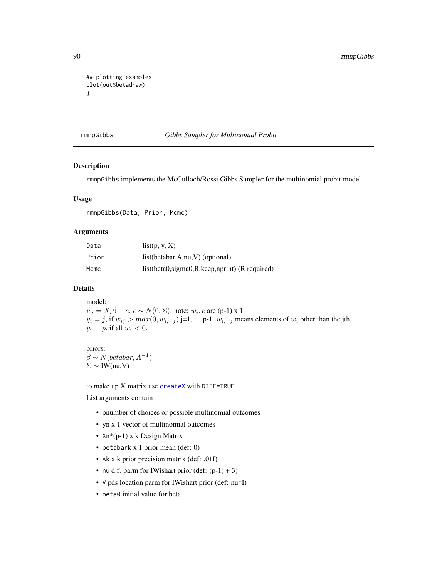```
## plotting examples
plot(out$betadraw)
}
```
<span id="page-89-0"></span>rmnpGibbs *Gibbs Sampler for Multinomial Probit*

### Description

rmnpGibbs implements the McCulloch/Rossi Gibbs Sampler for the multinomial probit model.

#### Usage

rmnpGibbs(Data, Prior, Mcmc)

#### Arguments

| Data  | list(p, y, X)                                       |
|-------|-----------------------------------------------------|
| Prior | $list(betabar, A, nu, V)$ (optional)                |
| Mcmc  | $list(beta0, sigma0, R, keep, nprint)$ (R required) |

## Details

model:  $w_i = X_i \beta + e$ .  $e \sim N(0, \Sigma)$ . note:  $w_i$ ,  $e$  are (p-1) x 1.  $y_i = j$ , if  $w_{ij} > max(0, w_{i,-j})$  j=1,..., p-1.  $w_{i,-j}$  means elements of  $w_i$  other than the jth.  $y_i = p$ , if all  $w_i < 0$ .

## priors:

 $\beta \sim N(betabar, A^{-1})$  $\Sigma \sim \text{IW}(nu, V)$ 

to make up X matrix use [createX](#page-12-0) with DIFF=TRUE.

List arguments contain

- pnumber of choices or possible multinomial outcomes
- yn x 1 vector of multinomial outcomes
- Xn\*(p-1) x k Design Matrix
- betabark x 1 prior mean (def: 0)
- Ak x k prior precision matrix (def: .01I)
- nu d.f. parm for IWishart prior (def:  $(p-1) + 3$ )
- V pds location parm for IWishart prior (def: nu\*I)
- beta0 initial value for beta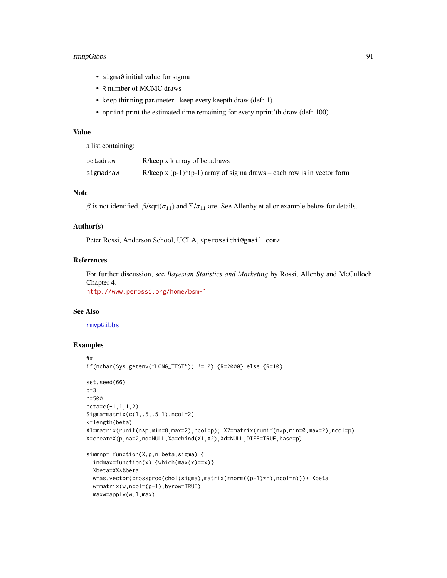## rmnpGibbs 91

- sigma0 initial value for sigma
- R number of MCMC draws
- keep thinning parameter keep every keepth draw (def: 1)
- nprint print the estimated time remaining for every nprint'th draw (def: 100)

## Value

a list containing:

| betadraw  | R/keep x k array of betadraws                                             |
|-----------|---------------------------------------------------------------------------|
| sigmadraw | R/keep x $(p-1)$ *(p-1) array of sigma draws – each row is in vector form |

# Note

β is not identified. β/sqrt( $\sigma_{11}$ ) and  $\Sigma/\sigma_{11}$  are. See Allenby et al or example below for details.

#### Author(s)

Peter Rossi, Anderson School, UCLA, <perossichi@gmail.com>.

# References

For further discussion, see *Bayesian Statistics and Marketing* by Rossi, Allenby and McCulloch, Chapter 4.

<http://www.perossi.org/home/bsm-1>

# See Also

[rmvpGibbs](#page-93-0)

```
##
if(nchar(Sys.getenv("LONG_TEST")) != 0) {R=2000} else {R=10}
set.seed(66)
p=3n=500
beta=c(-1,1,1,2)
Sigma=matrix(c(1,.5,.5,1),ncol=2)
k=length(beta)
X1=matrix(runif(n*p,min=0,max=2),ncol=p); X2=matrix(runif(n*p,min=0,max=2),ncol=p)
X=createX(p,na=2,nd=NULL,Xa=cbind(X1,X2),Xd=NULL,DIFF=TRUE,base=p)
simmnp= function(X,p,n,beta,sigma) {
  indmax=function(x) {which(max(x)==x)}
  Xbeta=X%*%beta
  w=as.vector(crossprod(chol(sigma),matrix(rnorm((p-1)*n),ncol=n)))+ Xbeta
  w=matrix(w,ncol=(p-1),byrow=TRUE)
  maxw=apply(w,1,max)
```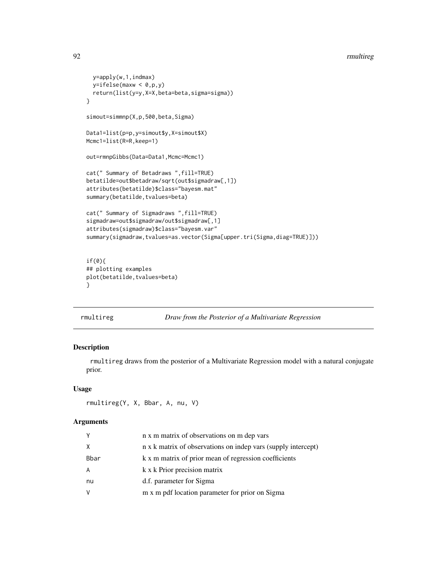```
y=apply(w,1,indmax)
  y=ifelse(maxw < 0,p,y)
  return(list(y=y,X=X,beta=beta,sigma=sigma))
}
simout=simmnp(X,p,500,beta,Sigma)
Data1=list(p=p,y=simout$y,X=simout$X)
Mcmc1=list(R=R,keep=1)
out=rmnpGibbs(Data=Data1,Mcmc=Mcmc1)
cat(" Summary of Betadraws ",fill=TRUE)
betatilde=out$betadraw/sqrt(out$sigmadraw[,1])
attributes(betatilde)$class="bayesm.mat"
summary(betatilde,tvalues=beta)
cat(" Summary of Sigmadraws ",fill=TRUE)
sigmadraw=out$sigmadraw/out$sigmadraw[,1]
attributes(sigmadraw)$class="bayesm.var"
summary(sigmadraw,tvalues=as.vector(Sigma[upper.tri(Sigma,diag=TRUE)]))
if(0){
## plotting examples
plot(betatilde,tvalues=beta)
}
```
#### <span id="page-91-0"></span>rmultireg *Draw from the Posterior of a Multivariate Regression*

# Description

rmultireg draws from the posterior of a Multivariate Regression model with a natural conjugate prior.

### Usage

```
rmultireg(Y, X, Bbar, A, nu, V)
```
## Arguments

| Y           | n x m matrix of observations on m dep vars                    |
|-------------|---------------------------------------------------------------|
| X           | n x k matrix of observations on indep vars (supply intercept) |
| <b>Bbar</b> | k x m matrix of prior mean of regression coefficients         |
| A           | k x k Prior precision matrix                                  |
| nu          | d.f. parameter for Sigma                                      |
| V           | m x m pdf location parameter for prior on Sigma               |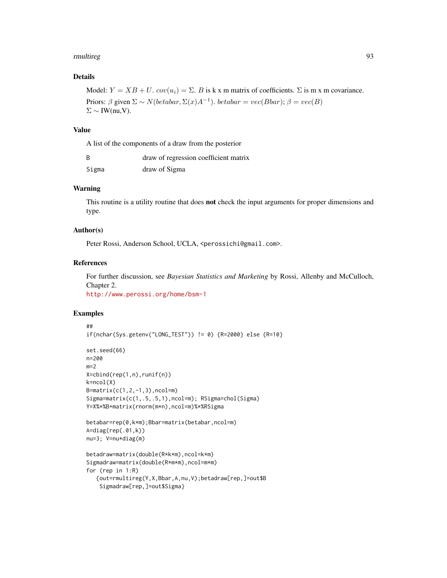#### rmultireg the contract of the contract of the contract of the contract of the contract of the contract of the contract of the contract of the contract of the contract of the contract of the contract of the contract of the

## Details

```
Model: Y = XB + U. cov(u_i) = \Sigma. B is k x m matrix of coefficients. \Sigma is m x m covariance.
Priors: \beta given \Sigma \sim N(betabar, \Sigma(x)A^{-1}). betaar = vec(Bbar); \beta = vec(B)\Sigma \sim \text{IW(nu,V)}.
```
## Value

A list of the components of a draw from the posterior

|       | draw of regression coefficient matrix |
|-------|---------------------------------------|
| Sigma | draw of Sigma                         |

# Warning

This routine is a utility routine that does **not** check the input arguments for proper dimensions and type.

#### Author(s)

Peter Rossi, Anderson School, UCLA, <perossichi@gmail.com>.

### References

For further discussion, see *Bayesian Statistics and Marketing* by Rossi, Allenby and McCulloch, Chapter 2.

<http://www.perossi.org/home/bsm-1>

```
##
if(nchar(Sys.getenv("LONG_TEST")) != 0) {R=2000} else {R=10}
set.seed(66)
n=200
m=2X=cbind(rep(1,n),runif(n))
k=ncol(X)
B = matrix(c(1, 2, -1, 3), ncol=m)Sigma=matrix(c(1,.5,.5,1),ncol=m); RSigma=chol(Sigma)
Y=X%*%B+matrix(rnorm(m*n),ncol=m)%*%RSigma
betabar=rep(0,k*m);Bbar=matrix(betabar,ncol=m)
A=diag(rep(.01,k))
nu=3; V=nu*diag(m)
betadraw=matrix(double(R*k*m),ncol=k*m)
Sigmadraw=matrix(double(R*m*m),ncol=m*m)
for (rep in 1:R)
   {out=rmultireg(Y,X,Bbar,A,nu,V);betadraw[rep,]=out$B
    Sigmadraw[rep,]=out$Sigma}
```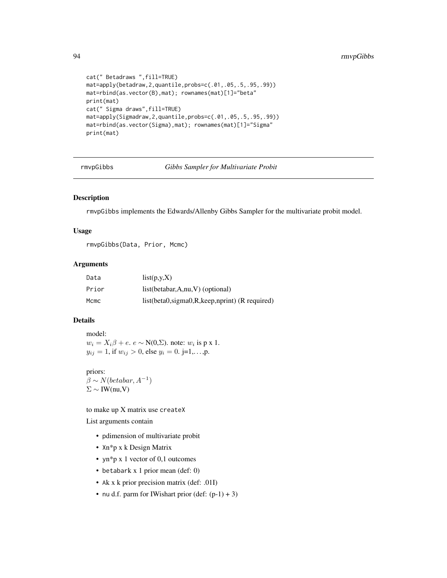```
cat(" Betadraws ",fill=TRUE)
mat=apply(betadraw,2,quantile,probs=c(.01,.05,.5,.95,.99))
mat=rbind(as.vector(B),mat); rownames(mat)[1]="beta"
print(mat)
cat(" Sigma draws",fill=TRUE)
mat=apply(Sigmadraw,2,quantile,probs=c(.01,.05,.5,.95,.99))
mat=rbind(as.vector(Sigma),mat); rownames(mat)[1]="Sigma"
print(mat)
```
<span id="page-93-0"></span>rmvpGibbs *Gibbs Sampler for Multivariate Probit*

#### Description

rmvpGibbs implements the Edwards/Allenby Gibbs Sampler for the multivariate probit model.

### Usage

rmvpGibbs(Data, Prior, Mcmc)

### Arguments

| Data  | list(p,y,X)                                         |
|-------|-----------------------------------------------------|
| Prior | $list(betabar, A, nu, V)$ (optional)                |
| Mcmc  | $list(beta0, sigma0, R, keep, nprint)$ (R required) |

## Details

model:  $w_i = X_i \beta + e$ .  $e \sim N(0, \Sigma)$ . note:  $w_i$  is p x 1.  $y_{ij} = 1$ , if  $w_{ij} > 0$ , else  $y_i = 0$ . j=1,...,p.

# priors:

 $\beta \sim N(betabar, A^{-1})$  $\Sigma \sim \text{IW}(nu, V)$ 

to make up X matrix use createX

List arguments contain

- pdimension of multivariate probit
- Xn\*p x k Design Matrix
- yn\*p x 1 vector of 0,1 outcomes
- betabark x 1 prior mean (def: 0)
- Ak x k prior precision matrix (def: .01I)
- nu d.f. parm for IWishart prior  $(\text{def: } (p-1) + 3)$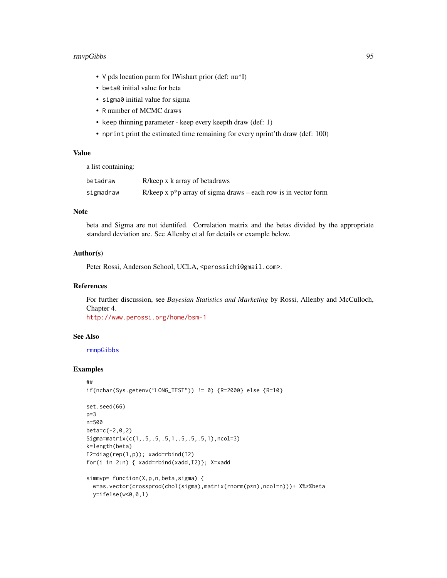## rmvpGibbs 95

- V pds location parm for IWishart prior (def: nu\*I)
- beta0 initial value for beta
- sigma0 initial value for sigma
- R number of MCMC draws
- keep thinning parameter keep every keepth draw (def: 1)
- nprint print the estimated time remaining for every nprint'th draw (def: 100)

# Value

a list containing:

| betadraw  | R/keep x k array of betadraws                                     |
|-----------|-------------------------------------------------------------------|
| sigmadraw | R/keep x $p^*p$ array of sigma draws – each row is in vector form |

### Note

beta and Sigma are not identifed. Correlation matrix and the betas divided by the appropriate standard deviation are. See Allenby et al for details or example below.

## Author(s)

Peter Rossi, Anderson School, UCLA, <perossichi@gmail.com>.

## References

For further discussion, see *Bayesian Statistics and Marketing* by Rossi, Allenby and McCulloch, Chapter 4.

<http://www.perossi.org/home/bsm-1>

# See Also

[rmnpGibbs](#page-89-0)

```
##
if(nchar(Sys.getenv("LONG_TEST")) != 0) {R=2000} else {R=10}
set.seed(66)
p=3n=500
beta=c(-2,0,2)
Sigma=matrix(c(1,.5,.5,.5,1,.5,.5,.5,1),ncol=3)
k=length(beta)
```

```
I2=diag(rep(1,p)); xadd=rbind(I2)
for(i in 2:n) { xadd=rbind(xadd,I2)}; X=xadd
```

```
simmvp= function(X,p,n,beta,sigma) {
 w=as.vector(crossprod(chol(sigma),matrix(rnorm(p*n),ncol=n)))+ X%*%beta
 y=ifelse(w<0,0,1)
```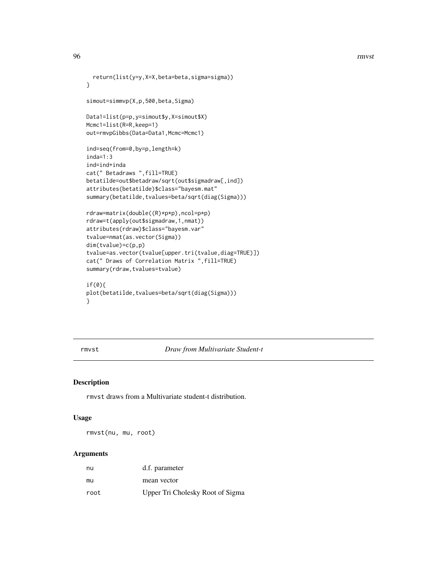```
return(list(y=y,X=X,beta=beta,sigma=sigma))
}
simout=simmvp(X,p,500,beta,Sigma)
Data1=list(p=p,y=simout$y,X=simout$X)
Mcmc1=list(R=R,keep=1)
out=rmvpGibbs(Data=Data1,Mcmc=Mcmc1)
ind=seq(from=0,by=p,length=k)
inda=1:3
ind=ind+inda
cat(" Betadraws ",fill=TRUE)
betatilde=out$betadraw/sqrt(out$sigmadraw[,ind])
attributes(betatilde)$class="bayesm.mat"
summary(betatilde,tvalues=beta/sqrt(diag(Sigma)))
rdraw=matrix(double((R)*p*p),ncol=p*p)
rdraw=t(apply(out$sigmadraw,1,nmat))
attributes(rdraw)$class="bayesm.var"
tvalue=nmat(as.vector(Sigma))
dim(tvalue)=c(p,p)
tvalue=as.vector(tvalue[upper.tri(tvalue,diag=TRUE)])
cat(" Draws of Correlation Matrix ",fill=TRUE)
summary(rdraw,tvalues=tvalue)
if(0){
plot(betatilde,tvalues=beta/sqrt(diag(Sigma)))
```
}

rmvst *Draw from Multivariate Student-t*

### Description

rmvst draws from a Multivariate student-t distribution.

#### Usage

rmvst(nu, mu, root)

### Arguments

| nu   | d.f. parameter                   |
|------|----------------------------------|
| mu   | mean vector                      |
| root | Upper Tri Cholesky Root of Sigma |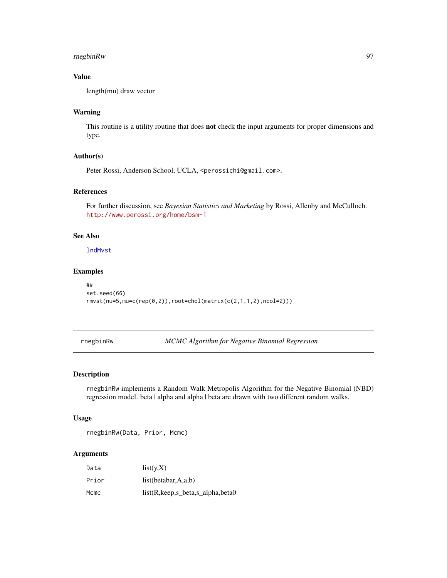# rnegbinRw 97

# Value

length(mu) draw vector

# Warning

This routine is a utility routine that does not check the input arguments for proper dimensions and type.

# Author(s)

Peter Rossi, Anderson School, UCLA, <perossichi@gmail.com>.

# References

For further discussion, see *Bayesian Statistics and Marketing* by Rossi, Allenby and McCulloch. <http://www.perossi.org/home/bsm-1>

# See Also

[lndMvst](#page-27-0)

### Examples

```
##
set.seed(66)
rmvst(nu=5,mu=c(rep(0,2)),root=chol(matrix(c(2,1,1,2),ncol=2)))
```
<span id="page-96-0"></span>rnegbinRw *MCMC Algorithm for Negative Binomial Regression*

# Description

rnegbinRw implements a Random Walk Metropolis Algorithm for the Negative Binomial (NBD) regression model. beta | alpha and alpha | beta are drawn with two different random walks.

### Usage

rnegbinRw(Data, Prior, Mcmc)

# Arguments

| Data  | list(y,X)                        |
|-------|----------------------------------|
| Prior | list(betabar, $A$ ,a,b)          |
| Mcmc  | list(R,keep,s_beta,s_alpha,beta0 |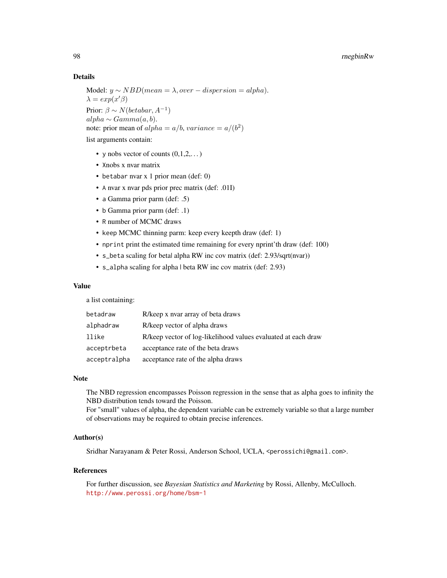## Details

Model:  $y \sim NBD(mean = \lambda, over-dispersion = alpha).$  $\lambda = exp(x'\beta)$ Prior:  $\beta \sim N(betabar, A^{-1})$  $alpha \sim Gamma(a, b).$ note: prior mean of  $alpha = a/b$ ,  $variance = a/(b^2)$ 

list arguments contain:

- y nobs vector of counts  $(0,1,2,...)$
- Xnobs x nvar matrix
- betabar nvar x 1 prior mean (def: 0)
- A nvar x nvar pds prior prec matrix (def: .01I)
- a Gamma prior parm (def: .5)
- b Gamma prior parm (def: .1)
- R number of MCMC draws
- keep MCMC thinning parm: keep every keepth draw (def: 1)
- nprint print the estimated time remaining for every nprint'th draw (def: 100)
- s\_beta scaling for beta| alpha RW inc cov matrix (def: 2.93/sqrt(nvar))
- s\_alpha scaling for alpha | beta RW inc cov matrix (def: 2.93)

## Value

a list containing:

| betadraw     | R/keep x nyar array of beta draws                             |
|--------------|---------------------------------------------------------------|
| alphadraw    | R/keep vector of alpha draws                                  |
| llike        | R/keep vector of log-likelihood values evaluated at each draw |
| acceptrbeta  | acceptance rate of the beta draws                             |
| acceptralpha | acceptance rate of the alpha draws                            |

#### Note

The NBD regression encompasses Poisson regression in the sense that as alpha goes to infinity the NBD distribution tends toward the Poisson.

For "small" values of alpha, the dependent variable can be extremely variable so that a large number of observations may be required to obtain precise inferences.

# Author(s)

Sridhar Narayanam & Peter Rossi, Anderson School, UCLA, <perossichi@gmail.com>.

# References

For further discussion, see *Bayesian Statistics and Marketing* by Rossi, Allenby, McCulloch. <http://www.perossi.org/home/bsm-1>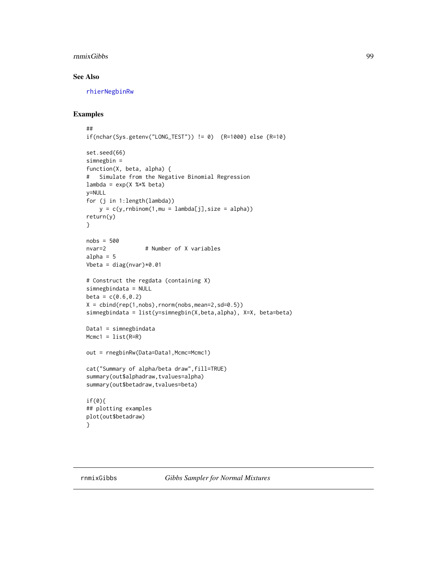#### rnmixGibbs 99

# See Also

[rhierNegbinRw](#page-75-0)

# Examples

```
##
if(nchar(Sys.getenv("LONG_TEST")) != 0) {R=1000} else {R=10}
set.seed(66)
simnegbin =
function(X, beta, alpha) {
# Simulate from the Negative Binomial Regression
lambda = exp(X %*% beta)
y=NULL
for (j in 1:length(lambda))
    y = c(y, rnbinom(1, mu = lambda[j], size = alpha))return(y)
}
nobs = 500
nvar=2 # Number of X variables
alpha = 5Vbeta = diag(nvar)*0.01# Construct the regdata (containing X)
simnegbindata = NULL
beta = c(0.6, 0.2)X = \text{cbind}(\text{rep}(1, \text{nobs}), \text{rnorm}(\text{nobs}, \text{mean=2}, \text{sd=0.5}))simnegbindata = list(y=simnegbin(X,beta,alpha), X=X, beta=beta)
Data1 = simnegbindata
Mcmc1 = list(R=R)out = rnegbinRw(Data=Data1,Mcmc=Mcmc1)
cat("Summary of alpha/beta draw",fill=TRUE)
summary(out$alphadraw,tvalues=alpha)
summary(out$betadraw,tvalues=beta)
if(0){
## plotting examples
plot(out$betadraw)
}
```
<span id="page-98-0"></span>rnmixGibbs *Gibbs Sampler for Normal Mixtures*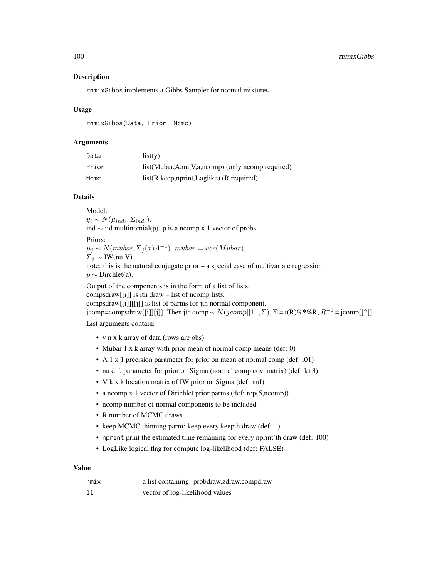### Description

rnmixGibbs implements a Gibbs Sampler for normal mixtures.

### Usage

rnmixGibbs(Data, Prior, Mcmc)

## Arguments

| Data  | list(v)                                          |
|-------|--------------------------------------------------|
| Prior | list(Mubar,A,nu,V,a,ncomp) (only ncomp required) |
| Mcmc  | $list(R, keep, nprint, Loglike)$ (R required)    |

# Details

Model:  $y_i \sim N(\mu_{ind_i}, \Sigma_{ind_i}).$ ind  $\sim$  iid multinomial(p). p is a ncomp x 1 vector of probs.

Priors:

 $\mu_j \sim N(mubar, \Sigma_j(x)A^{-1})$ . mubar = vec(Mubar).

 $\Sigma_i \sim \text{IW(nu,V)}$ .

note: this is the natural conjugate prior – a special case of multivariate regression.  $p \sim$  Dirchlet(a).

Output of the components is in the form of a list of lists.

compsdraw[[i]] is ith draw – list of ncomp lists.

compsdraw[[i]][[j]] is list of parms for jth normal component.

jcomp=compsdraw[[i]][j]]. Then jth comp ~  $N(jcomp[[1]], \Sigma)$ ,  $\Sigma = t(R)\%^* \% R$ ,  $R^{-1}$  = jcomp[[2]].

List arguments contain:

- y n x k array of data (rows are obs)
- Mubar 1 x k array with prior mean of normal comp means (def: 0)
- A 1 x 1 precision parameter for prior on mean of normal comp (def: .01)
- nu d.f. parameter for prior on Sigma (normal comp cov matrix) (def: k+3)
- V k x k location matrix of IW prior on Sigma (def: nuI)
- a ncomp x 1 vector of Dirichlet prior parms (def: rep(5,ncomp))
- ncomp number of normal components to be included
- R number of MCMC draws
- keep MCMC thinning parm: keep every keepth draw (def: 1)
- nprint print the estimated time remaining for every nprint'th draw (def: 100)
- LogLike logical flag for compute log-likelihood (def: FALSE)

#### Value

| nmix | a list containing: probdraw, zdraw, compdraw |
|------|----------------------------------------------|
| 11   | vector of log-likelihood values              |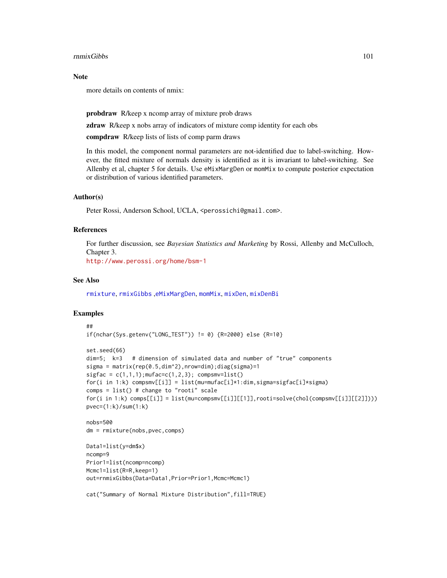#### rnmixGibbs 101

#### Note

more details on contents of nmix:

probdraw R/keep x ncomp array of mixture prob draws

**zdraw** R/keep x nobs array of indicators of mixture comp identity for each obs

compdraw R/keep lists of lists of comp parm draws

In this model, the component normal parameters are not-identified due to label-switching. However, the fitted mixture of normals density is identified as it is invariant to label-switching. See Allenby et al, chapter 5 for details. Use eMixMargDen or momMix to compute posterior expectation or distribution of various identified parameters.

### Author(s)

Peter Rossi, Anderson School, UCLA, <perossichi@gmail.com>.

### References

For further discussion, see *Bayesian Statistics and Marketing* by Rossi, Allenby and McCulloch, Chapter 3.

<http://www.perossi.org/home/bsm-1>

#### See Also

[rmixture](#page-86-0), [rmixGibbs](#page-84-0) ,[eMixMargDen](#page-17-0), [momMix](#page-36-0), [mixDen](#page-31-0), [mixDenBi](#page-33-0)

```
##
if(nchar(Sys.getenv("LONG_TEST")) != 0) {R=2000} else {R=10}
set.seed(66)
dim=5; k=3 # dimension of simulated data and number of "true" components
sigma = matrix(rep(0.5,dim^2),nrow=dim);diag(sigma)=1
sigfac = c(1,1,1);mufac=c(1,2,3); compsmv=list()
for(i in 1:k) compsmv[[i]] = list(mu=mufac[i]*1:dim,sigma=sigfac[i]*sigma)
comps = list() # change to "rooti" scale
for(i in 1:k) comps[[i]] = list(mu=compsmv[[i]][[1]], rooti=solve(chol(compsmv[[i]][[2]])))pvec=(1:k)/sum(1:k)nobs=500
dm = rmixture(nobs,pvec,comps)
Data1=list(y=dm$x)
ncomp=9
Prior1=list(ncomp=ncomp)
Mcmc1=list(R=R,keep=1)
out=rnmixGibbs(Data=Data1,Prior=Prior1,Mcmc=Mcmc1)
cat("Summary of Normal Mixture Distribution",fill=TRUE)
```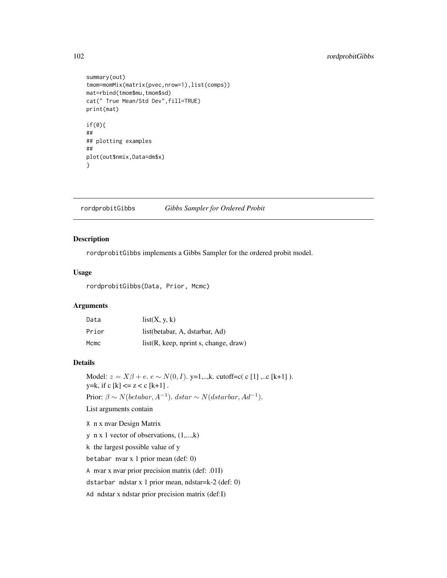# 102 rordprobitGibbs

```
summary(out)
tmom=momMix(matrix(pvec,nrow=1),list(comps))
mat=rbind(tmom$mu,tmom$sd)
cat(" True Mean/Std Dev",fill=TRUE)
print(mat)
if(0){
##
## plotting examples
##
plot(out$nmix,Data=dm$x)
}
```
rordprobitGibbs *Gibbs Sampler for Ordered Probit*

### Description

rordprobitGibbs implements a Gibbs Sampler for the ordered probit model.

## Usage

rordprobitGibbs(Data, Prior, Mcmc)

# Arguments

| Data  | list(X, y, k)                         |
|-------|---------------------------------------|
| Prior | list(betabar, A, dstarbar, Ad)        |
| Mcmc  | list(R, keep, nprint s, change, draw) |

### Details

Model:  $z = X\beta + e$ .  $e \sim N(0, I)$ . y=1,..,k. cutoff=c( c [1] ,..c [k+1] ). y=k, if c [k] <=  $z < c$  [k+1]. Prior:  $\beta \sim N(betabar, A^{-1})$ . dstar ∼  $N(dstarbar, Ad^{-1})$ . List arguments contain

X n x nvar Design Matrix y n x 1 vector of observations, (1,...,k) k the largest possible value of y betabar nvar x 1 prior mean (def: 0) A nvar x nvar prior precision matrix (def: .01I) dstarbar ndstar x 1 prior mean, ndstar=k-2 (def: 0) Ad ndstar x ndstar prior precision matrix (def:I)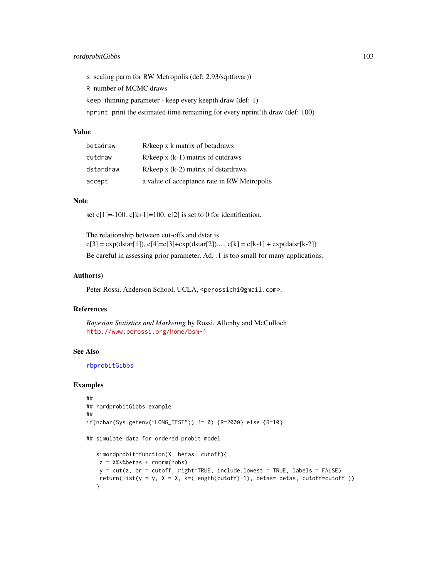## rordprobitGibbs 103

s scaling parm for RW Metropolis (def: 2.93/sqrt(nvar))

R number of MCMC draws

keep thinning parameter - keep every keepth draw (def: 1)

nprint print the estimated time remaining for every nprint'th draw (def: 100)

# Value

| betadraw  | R/keep x k matrix of betadraws              |
|-----------|---------------------------------------------|
| cutdraw   | $R/keep x (k-1) matrix of cut draws$        |
| dstardraw | $R/keep x (k-2)$ matrix of dstardraws       |
| accept    | a value of acceptance rate in RW Metropolis |

# Note

set c[1]=-100. c[k+1]=100. c[2] is set to 0 for identification.

The relationship between cut-offs and dstar is  $c[3] = exp(dstar[1]), c[4] = c[3] + exp(dstar[2]), ..., c[k] = c[k-1] + exp(datsr[k-2])$ Be careful in assessing prior parameter, Ad. .1 is too small for many applications.

### Author(s)

Peter Rossi, Anderson School, UCLA, <perossichi@gmail.com>.

# References

*Bayesian Statistics and Marketing* by Rossi, Allenby and McCulloch <http://www.perossi.org/home/bsm-1>

### See Also

[rbprobitGibbs](#page-52-0)

```
##
## rordprobitGibbs example
##
if(nchar(Sys.getenv("LONG_TEST")) != 0) {R=2000} else {R=10}
## simulate data for ordered probit model
   simordprobit=function(X, betas, cutoff){
   z = X%*%betas + rnorm(nobs)
   y = cut(z, br = cutoff, right = TRUE, include.lower = TRUE, label s = FALSE)return(list(y = y, X = X, k=(length(cutoff)-1), betas= betas, cutoff=cutoff ))
   }
```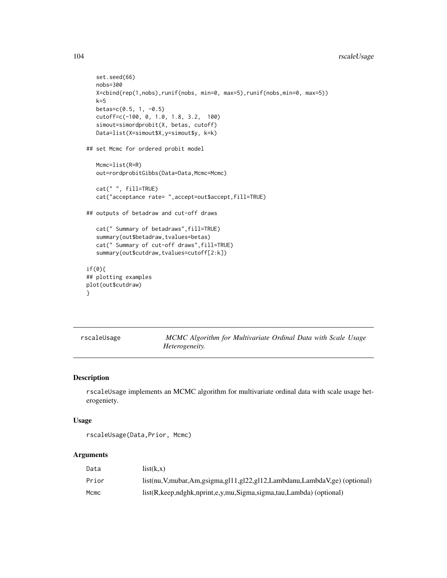```
set.seed(66)
   nobs=300
   X=cbind(rep(1,nobs),runif(nobs, min=0, max=5),runif(nobs,min=0, max=5))
   k=5betas=c(0.5, 1, -0.5)
   cutoff=c(-100, 0, 1.0, 1.8, 3.2, 100)
   simout=simordprobit(X, betas, cutoff)
   Data=list(X=simout$X,y=simout$y, k=k)
## set Mcmc for ordered probit model
   Mcmc=list(R=R)
   out=rordprobitGibbs(Data=Data,Mcmc=Mcmc)
   cat(" ", fill=TRUE)
   cat("acceptance rate= ",accept=out$accept,fill=TRUE)
## outputs of betadraw and cut-off draws
   cat(" Summary of betadraws",fill=TRUE)
   summary(out$betadraw,tvalues=betas)
   cat(" Summary of cut-off draws",fill=TRUE)
   summary(out$cutdraw,tvalues=cutoff[2:k])
if(0){
## plotting examples
plot(out$cutdraw)
}
```
rscaleUsage *MCMC Algorithm for Multivariate Ordinal Data with Scale Usage Heterogeneity.*

## Description

rscaleUsage implements an MCMC algorithm for multivariate ordinal data with scale usage heterogeniety.

## Usage

```
rscaleUsage(Data,Prior, Mcmc)
```
#### Arguments

| Data  | list(k.x)                                                                           |
|-------|-------------------------------------------------------------------------------------|
| Prior | list(nu, V, mubar, Am, gsigma, gl11, gl22, gl12, Lambdanu, Lambda V, ge) (optional) |
| Mcmc  | list(R, keep, ndghk, nprint, e, y, mu, Sigma, sigma, tau, Lambda) (optional)        |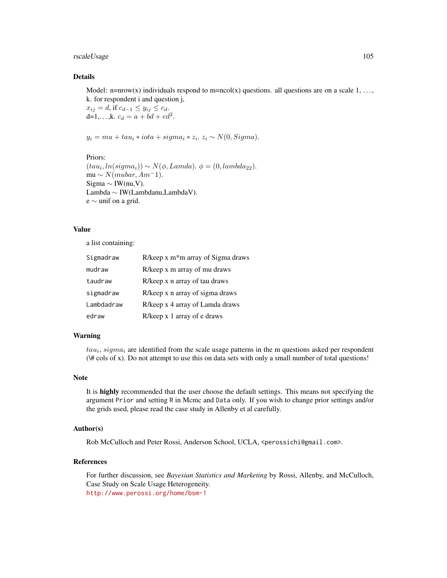rscaleUsage 105

## Details

Model: n=nrow(x) individuals respond to m=ncol(x) questions. all questions are on a scale  $1, \ldots$ , k. for respondent i and question j,

 $x_{ij} = d$ , if  $c_{d-1} \le y_{ij} \le c_d$ . d=1,...,k.  $c_d = a + bd + ed^2$ .

 $y_i = mu + tau_i * iota + sigma_i * z_i.$   $z_i \sim N(0, Sigma).$ 

#### Priors:

 $(tau_i, ln(signa_i)) \sim N(\phi, Lambda). \phi = (0, lambda_{22}).$ mu  $\sim N(mubar, Am^-1)$ . Sigma  $\sim$  IW(nu,V). Lambda ∼ IW(Lambdanu,LambdaV). e ∼ unif on a grid.

#### Value

a list containing:

| Sigmadraw  | R/keep x m <sup>*</sup> m array of Sigma draws |
|------------|------------------------------------------------|
| mudraw     | R/keep x m array of mu draws                   |
| taudraw    | R/keep x n array of tau draws                  |
| sigmadraw  | R/keep x n array of sigma draws                |
| Lambdadraw | R/keep x 4 array of Lamda draws                |
| edraw      | R/keep x 1 array of e draws                    |

#### Warning

 $tau_i$ ,  $sigma_i$  are identified from the scale usage patterns in the m questions asked per respondent  $(\# \text{cols of } x)$ . Do not attempt to use this on data sets with only a small number of total questions!

#### Note

It is highly recommended that the user choose the default settings. This means not specifying the argument Prior and setting R in Mcmc and Data only. If you wish to change prior settings and/or the grids used, please read the case study in Allenby et al carefully.

## Author(s)

Rob McCulloch and Peter Rossi, Anderson School, UCLA, <perossichi@gmail.com>.

#### References

For further discussion, see *Bayesian Statistics and Marketing* by Rossi, Allenby, and McCulloch, Case Study on Scale Usage Heterogeneity. <http://www.perossi.org/home/bsm-1>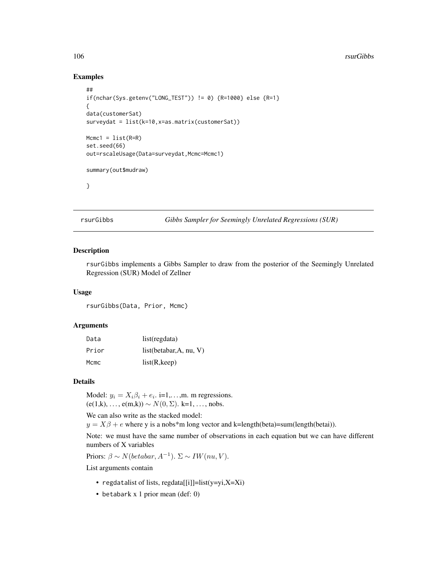#### Examples

```
##
if(nchar(Sys.getenv("LONG_TEST")) != 0) {R=1000} else {R=1}
{
data(customerSat)
surveydat = list(k=10,x=as.matrix(customerSat))
Mcmc1 = list(R=R)set.seed(66)
out=rscaleUsage(Data=surveydat,Mcmc=Mcmc1)
summary(out$mudraw)
}
```
rsurGibbs *Gibbs Sampler for Seemingly Unrelated Regressions (SUR)*

#### Description

rsurGibbs implements a Gibbs Sampler to draw from the posterior of the Seemingly Unrelated Regression (SUR) Model of Zellner

#### Usage

rsurGibbs(Data, Prior, Mcmc)

### Arguments

| Data  | list(regdata)                 |
|-------|-------------------------------|
| Prior | list(betabar, $A$ , nu, $V$ ) |
| Mcmc  | list(R, keep)                 |

#### Details

Model:  $y_i = X_i \beta_i + e_i$ . i=1,...,m. m regressions.  $(e(1,k), \ldots, e(m,k)) \sim N(0, \Sigma)$ . k=1, ..., nobs.

We can also write as the stacked model:

 $y = X\beta + e$  where y is a nobs\*m long vector and k=length(beta)=sum(length(betai)).

Note: we must have the same number of observations in each equation but we can have different numbers of X variables

Priors:  $\beta \sim N(betabar, A^{-1})$ .  $\Sigma \sim IW(nu, V)$ .

List arguments contain

- regdatalist of lists, regdata[[i]]=list(y=yi,X=Xi)
- betabark x 1 prior mean (def: 0)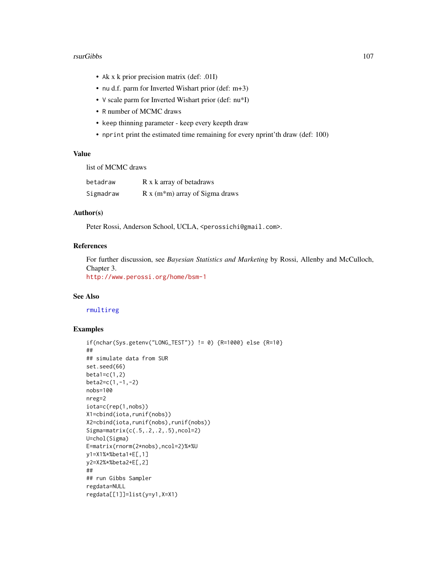#### rsurGibbs 107

- Ak x k prior precision matrix (def: .01I)
- nu d.f. parm for Inverted Wishart prior (def: m+3)
- V scale parm for Inverted Wishart prior (def: nu\*I)
- R number of MCMC draws
- keep thinning parameter keep every keepth draw
- nprint print the estimated time remaining for every nprint'th draw (def: 100)

## Value

list of MCMC draws

| betadraw  | R x k array of betadraws                      |
|-----------|-----------------------------------------------|
| Sigmadraw | $R x$ (m <sup>*</sup> m) array of Sigma draws |

# Author(s)

Peter Rossi, Anderson School, UCLA, <perossichi@gmail.com>.

### References

For further discussion, see *Bayesian Statistics and Marketing* by Rossi, Allenby and McCulloch, Chapter 3. <http://www.perossi.org/home/bsm-1>

### See Also

[rmultireg](#page-91-0)

```
if(nchar(Sys.getenv("LONG_TEST")) != 0) {R=1000} else {R=10}
##
## simulate data from SUR
set.seed(66)
beta1=c(1,2)beta2=c(1,-1,-2)
nobs=100
nreg=2
iota=c(rep(1,nobs))
X1=cbind(iota,runif(nobs))
X2=cbind(iota,runif(nobs),runif(nobs))
Sigma=matrix(c(.5,.2,.2,.5),ncol=2)
U=chol(Sigma)
E=matrix(rnorm(2*nobs),ncol=2)%*%U
y1=X1%*%beta1+E[,1]
y2=X2%*%beta2+E[,2]
##
## run Gibbs Sampler
regdata=NULL
regdata[[1]]=list(y=y1,X=X1)
```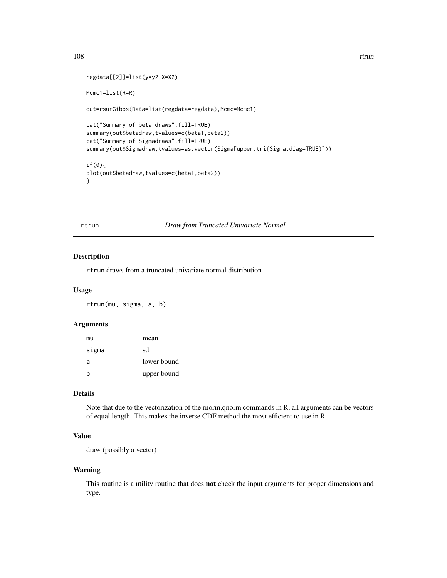```
regdata[[2]]=list(y=y2,X=X2)
Mcmc1=list(R=R)
out=rsurGibbs(Data=list(regdata=regdata),Mcmc=Mcmc1)
cat("Summary of beta draws",fill=TRUE)
summary(out$betadraw,tvalues=c(beta1,beta2))
cat("Summary of Sigmadraws",fill=TRUE)
summary(out$Sigmadraw,tvalues=as.vector(Sigma[upper.tri(Sigma,diag=TRUE)]))
if(0){
plot(out$betadraw,tvalues=c(beta1,beta2))
}
```
rtrun *Draw from Truncated Univariate Normal*

## Description

rtrun draws from a truncated univariate normal distribution

#### Usage

rtrun(mu, sigma, a, b)

### Arguments

| mu    | mean        |
|-------|-------------|
| sigma | sd          |
| a     | lower bound |
| b     | upper bound |

## Details

Note that due to the vectorization of the rnorm,qnorm commands in R, all arguments can be vectors of equal length. This makes the inverse CDF method the most efficient to use in R.

# Value

draw (possibly a vector)

# Warning

This routine is a utility routine that does **not** check the input arguments for proper dimensions and type.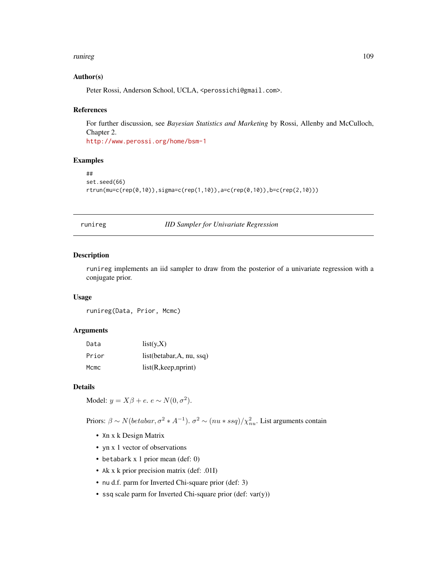#### <span id="page-108-1"></span>runireg the contract of the contract of the contract of the contract of the contract of the contract of the contract of the contract of the contract of the contract of the contract of the contract of the contract of the co

# Author(s)

Peter Rossi, Anderson School, UCLA, <perossichi@gmail.com>.

#### References

For further discussion, see *Bayesian Statistics and Marketing* by Rossi, Allenby and McCulloch, Chapter 2. <http://www.perossi.org/home/bsm-1>

# Examples

```
##
set.seed(66)
rtrun(mu=c(rep(0,10)),sigma=c(rep(1,10)),a=c(rep(0,10)),b=c(rep(2,10)))
```
<span id="page-108-0"></span>runireg *IID Sampler for Univariate Regression*

# Description

runireg implements an iid sampler to draw from the posterior of a univariate regression with a conjugate prior.

# Usage

runireg(Data, Prior, Mcmc)

# Arguments

| Data  | list(y,X)                 |
|-------|---------------------------|
| Prior | list(betabar, A, nu, ssq) |
| Mcmc  | list(R, keep, nprint)     |

#### Details

Model:  $y = X\beta + e$ .  $e \sim N(0, \sigma^2)$ .

Priors:  $\beta \sim N(betabar, \sigma^2 * A^{-1})$ .  $\sigma^2 \sim (nu * ssq)/\chi^2_{nu}$ . List arguments contain

- Xn x k Design Matrix
- yn x 1 vector of observations
- betabark x 1 prior mean (def: 0)
- Ak x k prior precision matrix (def: .01I)
- nu d.f. parm for Inverted Chi-square prior (def: 3)
- ssq scale parm for Inverted Chi-square prior (def: var(y))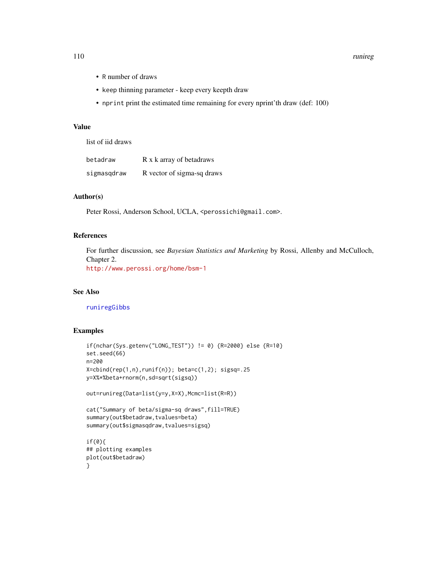#### 110 runireg

- R number of draws
- keep thinning parameter keep every keepth draw
- nprint print the estimated time remaining for every nprint'th draw (def: 100)

#### Value

list of iid draws

| betadraw    | R x k array of betadraws   |
|-------------|----------------------------|
| sigmasqdraw | R vector of sigma-sq draws |

# Author(s)

Peter Rossi, Anderson School, UCLA, <perossichi@gmail.com>.

# References

For further discussion, see *Bayesian Statistics and Marketing* by Rossi, Allenby and McCulloch, Chapter 2.

<http://www.perossi.org/home/bsm-1>

# See Also

[runiregGibbs](#page-110-0)

#### Examples

```
if(nchar(Sys.getenv("LONG_TEST")) != 0) {R=2000} else {R=10}
set.seed(66)
n=200
X = \text{cbind}(\text{rep}(1, n), \text{runif}(n)); \text{ beta} = c(1, 2); \text{ sigsq} = .25y=X%*%beta+rnorm(n,sd=sqrt(sigsq))
out=runireg(Data=list(y=y,X=X),Mcmc=list(R=R))
cat("Summary of beta/sigma-sq draws",fill=TRUE)
summary(out$betadraw,tvalues=beta)
summary(out$sigmasqdraw,tvalues=sigsq)
if(0){
## plotting examples
```
plot(out\$betadraw) }

<span id="page-109-0"></span>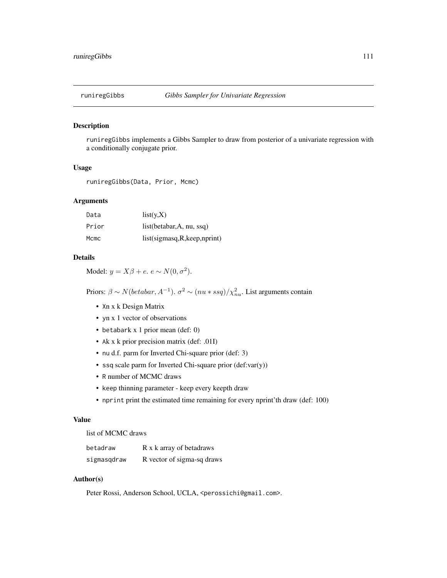<span id="page-110-1"></span><span id="page-110-0"></span>

#### Description

runiregGibbs implements a Gibbs Sampler to draw from posterior of a univariate regression with a conditionally conjugate prior.

# Usage

runiregGibbs(Data, Prior, Mcmc)

#### Arguments

| Data  | list(y, X)                     |
|-------|--------------------------------|
| Prior | list(betabar, $A$ , nu, ssq)   |
| Mcmc  | list(sigmasq, R, keep, nprint) |

# Details

Model:  $y = X\beta + e$ .  $e \sim N(0, \sigma^2)$ .

Priors:  $\beta \sim N(betabar, A^{-1})$ .  $\sigma^2 \sim (nu * ssg)/\chi^2_{nu}$ . List arguments contain

- Xn x k Design Matrix
- yn x 1 vector of observations
- betabark x 1 prior mean (def: 0)
- Ak x k prior precision matrix (def: .01I)
- nu d.f. parm for Inverted Chi-square prior (def: 3)
- ssq scale parm for Inverted Chi-square prior (def:var(y))
- R number of MCMC draws
- keep thinning parameter keep every keepth draw
- nprint print the estimated time remaining for every nprint'th draw (def: 100)

#### Value

list of MCMC draws

| betadraw    | R x k array of betadraws   |
|-------------|----------------------------|
| sigmasqdraw | R vector of sigma-sq draws |

#### Author(s)

Peter Rossi, Anderson School, UCLA, <perossichi@gmail.com>.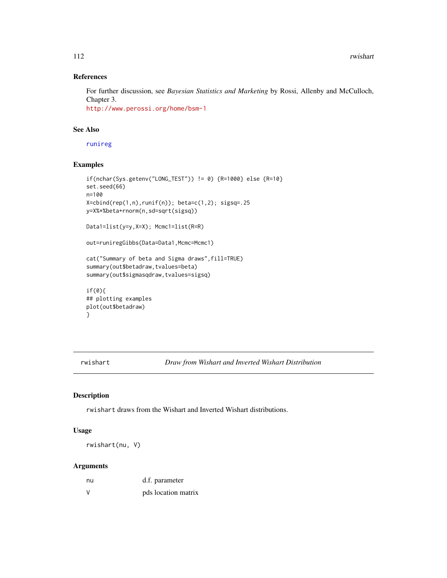# References

For further discussion, see *Bayesian Statistics and Marketing* by Rossi, Allenby and McCulloch, Chapter 3.

<http://www.perossi.org/home/bsm-1>

# See Also

[runireg](#page-108-0)

# Examples

```
if(nchar(Sys.getenv("LONG_TEST")) != 0) {R=1000} else {R=10}
set.seed(66)
n=100
X = \text{cbind}(\text{rep}(1, n), \text{runif}(n)); \text{ beta} = c(1, 2); \text{ sigsq} = .25y=X%*%beta+rnorm(n,sd=sqrt(sigsq))
Data1=list(y=y,X=X); Mcmc1=list(R=R)
out=runiregGibbs(Data=Data1,Mcmc=Mcmc1)
cat("Summary of beta and Sigma draws",fill=TRUE)
summary(out$betadraw,tvalues=beta)
summary(out$sigmasqdraw,tvalues=sigsq)
if(0){
## plotting examples
plot(out$betadraw)
```

```
}
```
rwishart *Draw from Wishart and Inverted Wishart Distribution*

# Description

rwishart draws from the Wishart and Inverted Wishart distributions.

# Usage

rwishart(nu, V)

# Arguments

| nu     | d.f. parameter      |
|--------|---------------------|
| $\vee$ | pds location matrix |

<span id="page-111-0"></span>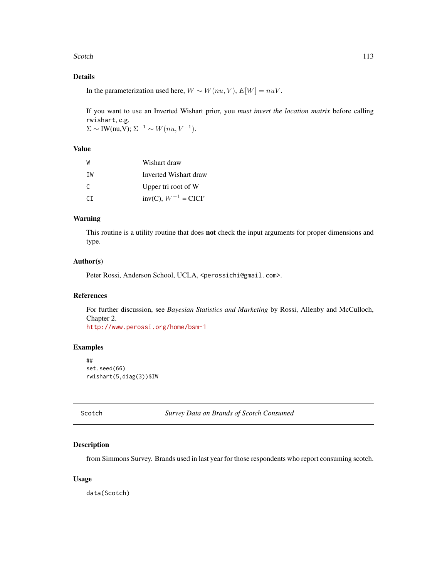#### <span id="page-112-0"></span>Scotch 113

# Details

In the parameterization used here,  $W \sim W(nu, V), E[W] = nuV$ .

If you want to use an Inverted Wishart prior, you *must invert the location matrix* before calling rwishart, e.g.  $\Sigma \sim \text{IW(nu,V)}$ ;  $\Sigma^{-1} \sim W(nu, V^{-1})$ .

# Value

| W   | Wishart draw                |
|-----|-----------------------------|
| TW  | Inverted Wishart draw       |
| C.  | Upper tri root of W         |
| CT. | $inv(C)$ , $W^{-1} = CICI'$ |

#### Warning

This routine is a utility routine that does **not** check the input arguments for proper dimensions and type.

# Author(s)

Peter Rossi, Anderson School, UCLA, <perossichi@gmail.com>.

# References

For further discussion, see *Bayesian Statistics and Marketing* by Rossi, Allenby and McCulloch, Chapter 2. <http://www.perossi.org/home/bsm-1>

# Examples

```
##
set.seed(66)
rwishart(5,diag(3))$IW
```
Scotch *Survey Data on Brands of Scotch Consumed*

# Description

from Simmons Survey. Brands used in last year for those respondents who report consuming scotch.

# Usage

data(Scotch)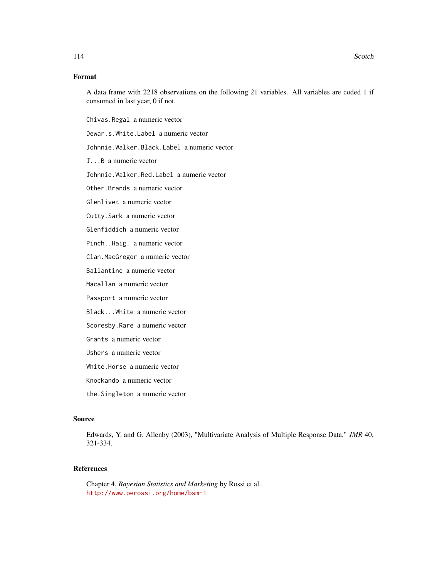# Format

A data frame with 2218 observations on the following 21 variables. All variables are coded 1 if consumed in last year, 0 if not.

Chivas.Regal a numeric vector

Dewar.s.White.Label a numeric vector

Johnnie.Walker.Black.Label a numeric vector

J...B a numeric vector

Johnnie.Walker.Red.Label a numeric vector

Other.Brands a numeric vector

Glenlivet a numeric vector

Cutty.Sark a numeric vector

Glenfiddich a numeric vector

Pinch..Haig. a numeric vector

Clan.MacGregor a numeric vector

Ballantine a numeric vector

Macallan a numeric vector

Passport a numeric vector

Black...White a numeric vector

Scoresby.Rare a numeric vector

Grants a numeric vector

Ushers a numeric vector

White.Horse a numeric vector

Knockando a numeric vector

the.Singleton a numeric vector

#### Source

Edwards, Y. and G. Allenby (2003), "Multivariate Analysis of Multiple Response Data," *JMR* 40, 321-334.

#### References

Chapter 4, *Bayesian Statistics and Marketing* by Rossi et al. <http://www.perossi.org/home/bsm-1>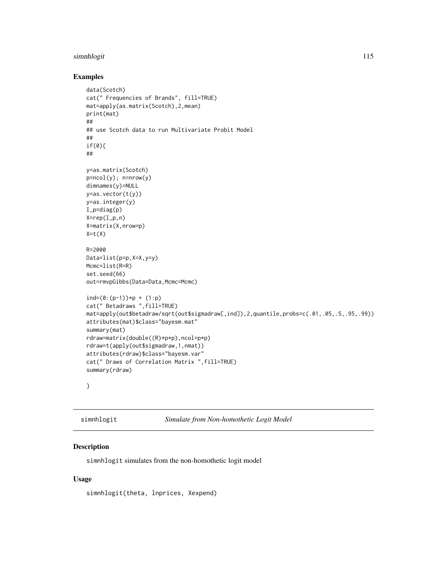#### <span id="page-114-0"></span>simnhlogit 115

# Examples

```
data(Scotch)
cat(" Frequencies of Brands", fill=TRUE)
mat=apply(as.matrix(Scotch),2,mean)
print(mat)
##
## use Scotch data to run Multivariate Probit Model
##
if(0){
##
y=as.matrix(Scotch)
p=ncol(y); n=nrow(y)
dimnames(y)=NULL
y=as.vector(t(y))
y=as.integer(y)
I_p=diag(p)
X=rep(I_p,n)X=matrix(X,nrow=p)
X=t(X)R=2000
Data=list(p=p,X=X,y=y)
Mcmc=list(R=R)
set.seed(66)
out=rmvpGibbs(Data=Data,Mcmc=Mcmc)
ind=(0:(p-1))*p + (1:p)cat(" Betadraws ",fill=TRUE)
mat=apply(out$betadraw/sqrt(out$sigmadraw[,ind]),2,quantile,probs=c(.01,.05,.5,.95,.99))
attributes(mat)$class="bayesm.mat"
summary(mat)
rdraw=matrix(double((R)*p*p),ncol=p*p)
rdraw=t(apply(out$sigmadraw,1,nmat))
attributes(rdraw)$class="bayesm.var"
cat(" Draws of Correlation Matrix ",fill=TRUE)
summary(rdraw)
```
}

simnhlogit *Simulate from Non-homothetic Logit Model*

#### Description

simnhlogit simulates from the non-homothetic logit model

#### Usage

simnhlogit(theta, lnprices, Xexpend)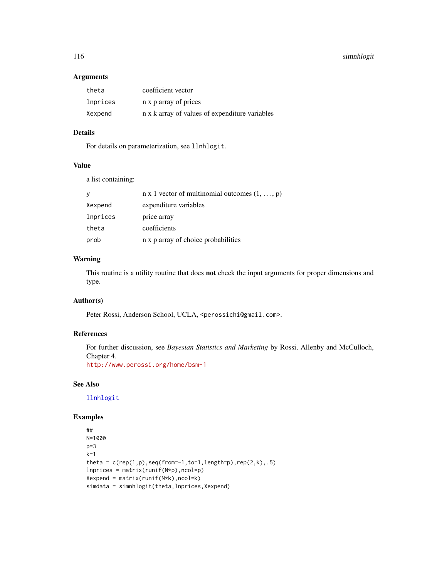# <span id="page-115-0"></span>116 simnhlogit

# Arguments

| theta    | coefficient vector                             |
|----------|------------------------------------------------|
| lnprices | n x p array of prices                          |
| Xexpend  | n x k array of values of expenditure variables |

# Details

For details on parameterization, see llnhlogit.

# Value

a list containing:

| y        | $n \times 1$ vector of multinomial outcomes $(1, \ldots, p)$ |
|----------|--------------------------------------------------------------|
| Xexpend  | expenditure variables                                        |
| lnprices | price array                                                  |
| theta    | coefficients                                                 |
| prob     | n x p array of choice probabilities                          |

# Warning

This routine is a utility routine that does not check the input arguments for proper dimensions and type.

# Author(s)

Peter Rossi, Anderson School, UCLA, <perossichi@gmail.com>.

# References

For further discussion, see *Bayesian Statistics and Marketing* by Rossi, Allenby and McCulloch, Chapter 4.

<http://www.perossi.org/home/bsm-1>

# See Also

[llnhlogit](#page-22-0)

# Examples

```
##
N=1000
p=3k=1theta = c(rep(1,p),seq(from=-1,to=1,length=p),rep(2,k),.5)lnprices = matrix(runif(N*p),ncol=p)
Xexpend = matrix(runif(N*k),ncol=k)
simdata = simnhlogit(theta,lnprices,Xexpend)
```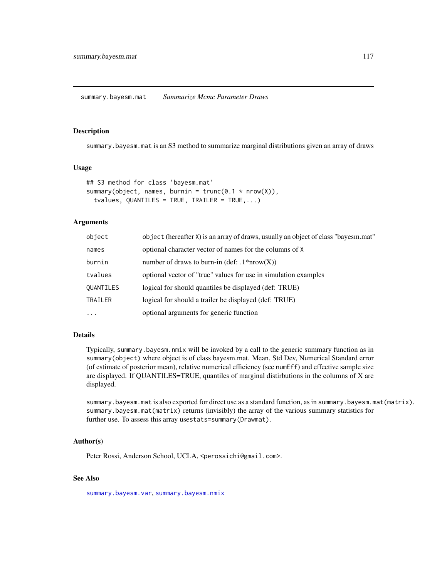<span id="page-116-1"></span><span id="page-116-0"></span>summary.bayesm.mat *Summarize Mcmc Parameter Draws*

#### Description

summary.bayesm.mat is an S3 method to summarize marginal distributions given an array of draws

# Usage

```
## S3 method for class 'bayesm.mat'
summary(object, names, burnin = trunc(0.1 * nrow(X)),
  tvalues, QUANTILES = TRUE, TRAILER = TRUE,...)
```
#### Arguments

| object           | object (hereafter X) is an array of draws, usually an object of class "bayesm.mat" |
|------------------|------------------------------------------------------------------------------------|
| names            | optional character vector of names for the columns of X                            |
| burnin           | number of draws to burn-in (def: $.1*uvw(X)$ )                                     |
| tvalues          | optional vector of "true" values for use in simulation examples                    |
| <b>QUANTILES</b> | logical for should quantiles be displayed (def: TRUE)                              |
| TRAILER          | logical for should a trailer be displayed (def: TRUE)                              |
| .                | optional arguments for generic function                                            |

# Details

Typically, summary.bayesm.nmix will be invoked by a call to the generic summary function as in summary(object) where object is of class bayesm.mat. Mean, Std Dev, Numerical Standard error (of estimate of posterior mean), relative numerical efficiency (see numEff) and effective sample size are displayed. If QUANTILES=TRUE, quantiles of marginal distirbutions in the columns of X are displayed.

summary.bayesm.mat is also exported for direct use as a standard function, as in summary.bayesm.mat(matrix). summary.bayesm.mat(matrix) returns (invisibly) the array of the various summary statistics for further use. To assess this array usestats=summary(Drawmat).

# Author(s)

Peter Rossi, Anderson School, UCLA, <perossichi@gmail.com>.

# See Also

[summary.bayesm.var](#page-118-0), [summary.bayesm.nmix](#page-117-0)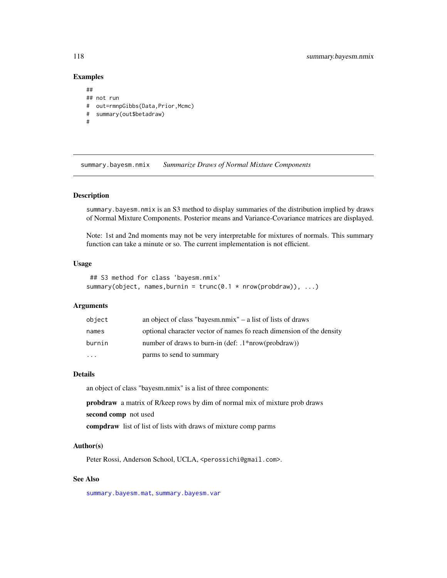# Examples

```
##
## not run
# out=rmnpGibbs(Data,Prior,Mcmc)
# summary(out$betadraw)
#
```
<span id="page-117-0"></span>summary.bayesm.nmix *Summarize Draws of Normal Mixture Components*

#### Description

summary.bayesm.nmix is an S3 method to display summaries of the distribution implied by draws of Normal Mixture Components. Posterior means and Variance-Covariance matrices are displayed.

Note: 1st and 2nd moments may not be very interpretable for mixtures of normals. This summary function can take a minute or so. The current implementation is not efficient.

#### Usage

```
## S3 method for class 'bayesm.nmix'
summary(object, names, burnin = trunc(0.1 * new(probability), ...)
```
#### Arguments

| object   | an object of class "bayesm.nmix" $-$ a list of lists of draws        |
|----------|----------------------------------------------------------------------|
| names    | optional character vector of names fo reach dimension of the density |
| burnin   | number of draws to burn-in (def: $.1*$ nrow(probdraw))               |
| $\cdots$ | parms to send to summary                                             |

# Details

an object of class "bayesm.nmix" is a list of three components:

probdraw a matrix of R/keep rows by dim of normal mix of mixture prob draws second comp not used

compdraw list of list of lists with draws of mixture comp parms

# Author(s)

Peter Rossi, Anderson School, UCLA, <perossichi@gmail.com>.

#### See Also

[summary.bayesm.mat](#page-116-0), [summary.bayesm.var](#page-118-0)

<span id="page-117-1"></span>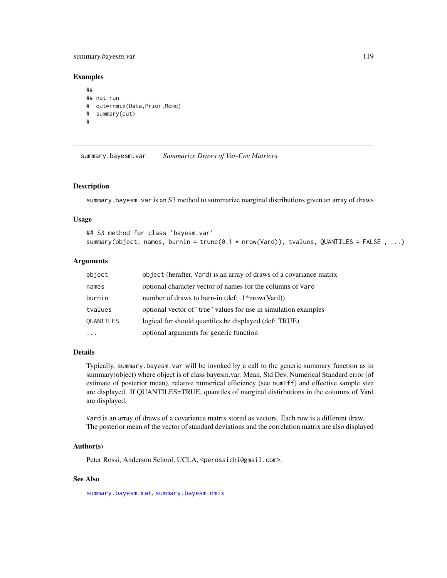# <span id="page-118-1"></span>summary.bayesm.var 119

#### Examples

```
##
## not run
# out=rnmix(Data,Prior,Mcmc)
# summary(out)
#
```
<span id="page-118-0"></span>summary.bayesm.var *Summarize Draws of Var-Cov Matrices*

#### Description

summary.bayesm.var is an S3 method to summarize marginal distributions given an array of draws

#### Usage

## S3 method for class 'bayesm.var' summary(object, names, burnin = trunc(0.1 \* nrow(Vard)), tvalues, QUANTILES = FALSE , ...)

# Arguments

| object           | object (herafter, Vard) is an array of draws of a covariance matrix |
|------------------|---------------------------------------------------------------------|
| names            | optional character vector of names for the columns of Vard          |
| burnin           | number of draws to burn-in $(\text{def: } .1^*nrow(Vard))$          |
| tvalues          | optional vector of "true" values for use in simulation examples     |
| <b>QUANTILES</b> | logical for should quantiles be displayed (def: TRUE)               |
| .                | optional arguments for generic function                             |

#### Details

Typically, summary.bayesm.var will be invoked by a call to the generic summary function as in summary(object) where object is of class bayesm.var. Mean, Std Dev, Numerical Standard error (of estimate of posterior mean), relative numerical efficiency (see numEff) and effective sample size are displayed. If QUANTILES=TRUE, quantiles of marginal distirbutions in the columns of Vard are displayed.

Vard is an array of draws of a covariance matrix stored as vectors. Each row is a different draw. The posterior mean of the vector of standard deviations and the correlation matrix are also displayed

#### Author(s)

Peter Rossi, Anderson School, UCLA, <perossichi@gmail.com>.

# See Also

[summary.bayesm.mat](#page-116-0), [summary.bayesm.nmix](#page-117-0)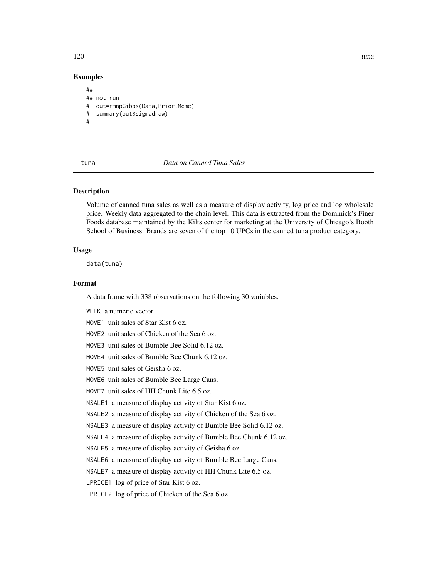<span id="page-119-0"></span>Examples

## ## not run # out=rmnpGibbs(Data,Prior,Mcmc) # summary(out\$sigmadraw) #

tuna *Data on Canned Tuna Sales*

#### Description

Volume of canned tuna sales as well as a measure of display activity, log price and log wholesale price. Weekly data aggregated to the chain level. This data is extracted from the Dominick's Finer Foods database maintained by the Kilts center for marketing at the University of Chicago's Booth School of Business. Brands are seven of the top 10 UPCs in the canned tuna product category.

#### Usage

data(tuna)

#### Format

A data frame with 338 observations on the following 30 variables.

WEEK a numeric vector

MOVE1 unit sales of Star Kist 6 oz.

MOVE2 unit sales of Chicken of the Sea 6 oz.

MOVE3 unit sales of Bumble Bee Solid 6.12 oz.

MOVE4 unit sales of Bumble Bee Chunk 6.12 oz.

MOVE5 unit sales of Geisha 6 oz.

MOVE6 unit sales of Bumble Bee Large Cans.

MOVE7 unit sales of HH Chunk Lite 6.5 oz.

NSALE1 a measure of display activity of Star Kist 6 oz.

NSALE2 a measure of display activity of Chicken of the Sea 6 oz.

NSALE3 a measure of display activity of Bumble Bee Solid 6.12 oz.

NSALE4 a measure of display activity of Bumble Bee Chunk 6.12 oz.

NSALE5 a measure of display activity of Geisha 6 oz.

NSALE6 a measure of display activity of Bumble Bee Large Cans.

NSALE7 a measure of display activity of HH Chunk Lite 6.5 oz.

LPRICE1 log of price of Star Kist 6 oz.

LPRICE2 log of price of Chicken of the Sea 6 oz.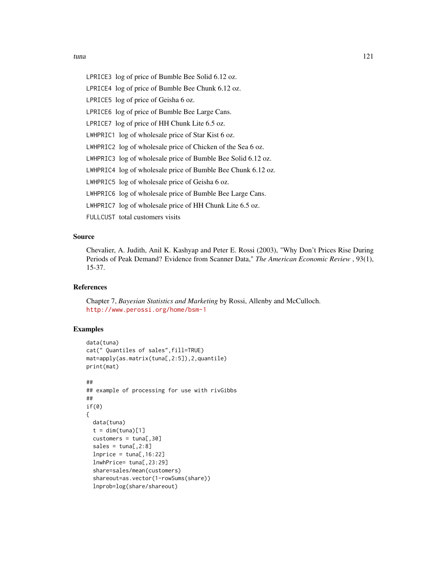LPRICE3 log of price of Bumble Bee Solid 6.12 oz.

LPRICE4 log of price of Bumble Bee Chunk 6.12 oz.

LPRICE5 log of price of Geisha 6 oz.

LPRICE6 log of price of Bumble Bee Large Cans.

LPRICE7 log of price of HH Chunk Lite 6.5 oz.

LWHPRIC1 log of wholesale price of Star Kist 6 oz.

LWHPRIC2 log of wholesale price of Chicken of the Sea 6 oz.

LWHPRIC3 log of wholesale price of Bumble Bee Solid 6.12 oz.

LWHPRIC4 log of wholesale price of Bumble Bee Chunk 6.12 oz.

LWHPRIC5 log of wholesale price of Geisha 6 oz.

LWHPRIC6 log of wholesale price of Bumble Bee Large Cans.

LWHPRIC7 log of wholesale price of HH Chunk Lite 6.5 oz.

FULLCUST total customers visits

# Source

Chevalier, A. Judith, Anil K. Kashyap and Peter E. Rossi (2003), "Why Don't Prices Rise During Periods of Peak Demand? Evidence from Scanner Data," *The American Economic Review* , 93(1), 15-37.

## References

Chapter 7, *Bayesian Statistics and Marketing* by Rossi, Allenby and McCulloch. <http://www.perossi.org/home/bsm-1>

# Examples

```
data(tuna)
cat(" Quantiles of sales",fill=TRUE)
mat=apply(as.matrix(tuna[,2:5]),2,quantile)
print(mat)
##
## example of processing for use with rivGibbs
##
if(0)
{
 data(tuna)
 t = dim(tuna)[1]cuts = tuna[, 30]
 sales = tuna[, 2:8]lnprice = tuna[, 16:22]lnwhPrice= tuna[,23:29]
 share=sales/mean(customers)
 shareout=as.vector(1-rowSums(share))
 lnprob=log(share/shareout)
```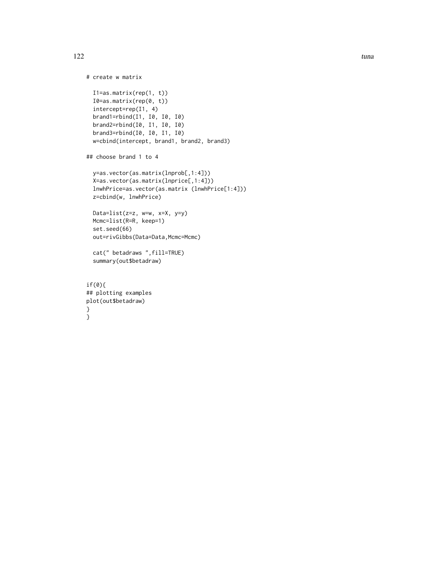```
# create w matrix
  I1=as.matrix(rep(1, t))
  I0=as.matrix(rep(0, t))
  intercept=rep(I1, 4)
  brand1=rbind(I1, I0, I0, I0)
  brand2=rbind(I0, I1, I0, I0)
  brand3=rbind(I0, I0, I1, I0)
  w=cbind(intercept, brand1, brand2, brand3)
## choose brand 1 to 4
  y=as.vector(as.matrix(lnprob[,1:4]))
  X=as.vector(as.matrix(lnprice[,1:4]))
  lnwhPrice=as.vector(as.matrix (lnwhPrice[1:4]))
  z=cbind(w, lnwhPrice)
  Data=list(z=z, w=w, x=X, y=y)
  Mcmc=list(R=R, keep=1)
  set.seed(66)
  out=rivGibbs(Data=Data,Mcmc=Mcmc)
  cat(" betadraws ",fill=TRUE)
  summary(out$betadraw)
if(0){
## plotting examples
plot(out$betadraw)
}
```
}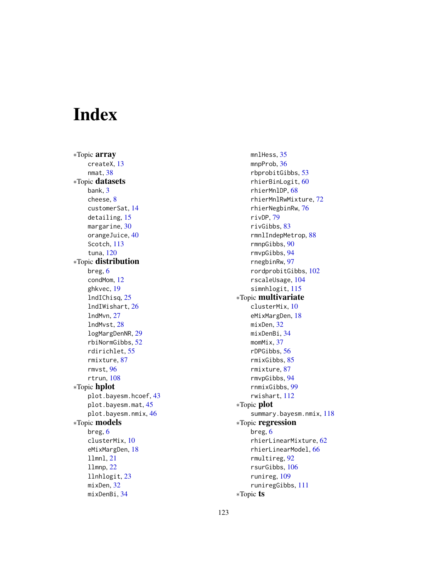# Index

∗Topic array createX, [13](#page-12-0) nmat, [38](#page-37-0) ∗Topic datasets bank, [3](#page-2-0) cheese, [8](#page-7-0) customerSat, [14](#page-13-0) detailing, [15](#page-14-0) margarine, [30](#page-29-0) orangeJuice, [40](#page-39-0) Scotch, [113](#page-112-0) tuna, [120](#page-119-0) ∗Topic distribution breg, [6](#page-5-0) condMom, [12](#page-11-0) ghkvec, [19](#page-18-0) lndIChisq, [25](#page-24-0) lndIWishart, [26](#page-25-0) lndMvn, [27](#page-26-0) lndMvst, [28](#page-27-0) logMargDenNR, [29](#page-28-0) rbiNormGibbs, [52](#page-51-0) rdirichlet, [55](#page-54-0) rmixture, [87](#page-86-0) rmvst, [96](#page-95-0) rtrun, [108](#page-107-0) ∗Topic hplot plot.bayesm.hcoef, [43](#page-42-0) plot.bayesm.mat, [45](#page-44-0) plot.bayesm.nmix, [46](#page-45-0) ∗Topic models breg, [6](#page-5-0) clusterMix, [10](#page-9-0) eMixMargDen, [18](#page-17-0) llmnl, [21](#page-20-0) llmnp, [22](#page-21-0) llnhlogit, [23](#page-22-1) mixDen, [32](#page-31-0) mixDenBi, [34](#page-33-0)

mnlHess, [35](#page-34-0) mnpProb, [36](#page-35-0) rbprobitGibbs, [53](#page-52-0) rhierBinLogit, [60](#page-59-0) rhierMnlDP, [68](#page-67-0) rhierMnlRwMixture, [72](#page-71-0) rhierNegbinRw, [76](#page-75-0) rivDP, [79](#page-78-0) rivGibbs, [83](#page-82-0) rmnlIndepMetrop, [88](#page-87-0) rmnpGibbs, [90](#page-89-0) rmvpGibbs, [94](#page-93-0) rnegbinRw, [97](#page-96-0) rordprobitGibbs, [102](#page-101-0) rscaleUsage, [104](#page-103-0) simnhlogit, [115](#page-114-0) ∗Topic multivariate clusterMix, [10](#page-9-0) eMixMargDen, [18](#page-17-0) mixDen, [32](#page-31-0) mixDenBi, [34](#page-33-0) momMix, [37](#page-36-0) rDPGibbs, [56](#page-55-0) rmixGibbs, [85](#page-84-0) rmixture, [87](#page-86-0) rmvpGibbs, [94](#page-93-0) rnmixGibbs, [99](#page-98-0) rwishart, [112](#page-111-0) ∗Topic plot summary.bayesm.nmix, [118](#page-117-1) ∗Topic regression breg, [6](#page-5-0) rhierLinearMixture, [62](#page-61-0) rhierLinearModel, [66](#page-65-0) rmultireg, [92](#page-91-0) rsurGibbs, [106](#page-105-0) runireg, [109](#page-108-1) runiregGibbs, [111](#page-110-1) ∗Topic ts